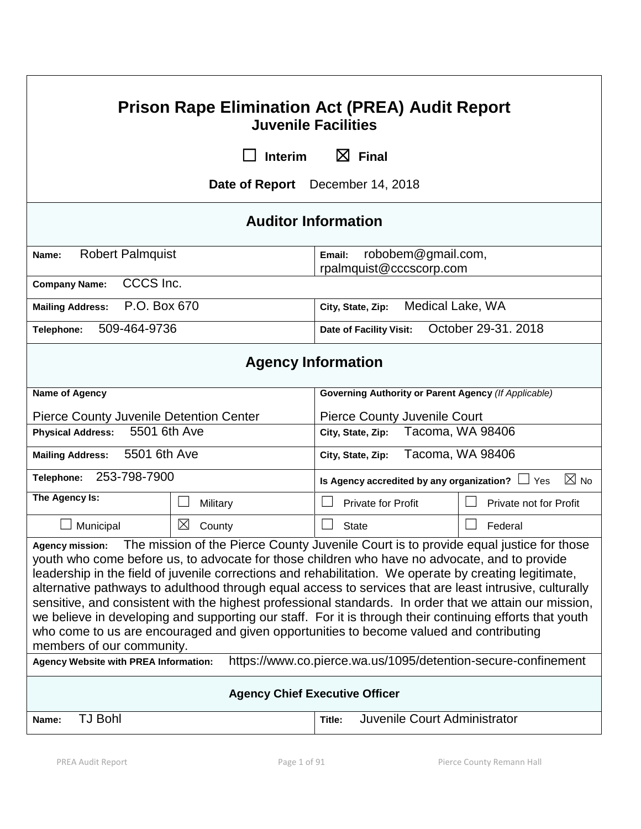| <b>Prison Rape Elimination Act (PREA) Audit Report</b><br><b>Juvenile Facilities</b>                                                                                                                                                                                                                                                                                                                                                                                                                                                                                                                                                                                                                                                                                                 |             |                                                             |                        |  |  |
|--------------------------------------------------------------------------------------------------------------------------------------------------------------------------------------------------------------------------------------------------------------------------------------------------------------------------------------------------------------------------------------------------------------------------------------------------------------------------------------------------------------------------------------------------------------------------------------------------------------------------------------------------------------------------------------------------------------------------------------------------------------------------------------|-------------|-------------------------------------------------------------|------------------------|--|--|
| $\boxtimes$ Final<br><b>Interim</b>                                                                                                                                                                                                                                                                                                                                                                                                                                                                                                                                                                                                                                                                                                                                                  |             |                                                             |                        |  |  |
| Date of Report December 14, 2018                                                                                                                                                                                                                                                                                                                                                                                                                                                                                                                                                                                                                                                                                                                                                     |             |                                                             |                        |  |  |
| <b>Auditor Information</b>                                                                                                                                                                                                                                                                                                                                                                                                                                                                                                                                                                                                                                                                                                                                                           |             |                                                             |                        |  |  |
| <b>Robert Palmquist</b><br>Name:                                                                                                                                                                                                                                                                                                                                                                                                                                                                                                                                                                                                                                                                                                                                                     |             | robobem@gmail.com,<br>Email:<br>rpalmquist@cccscorp.com     |                        |  |  |
| CCCS Inc.<br><b>Company Name:</b>                                                                                                                                                                                                                                                                                                                                                                                                                                                                                                                                                                                                                                                                                                                                                    |             |                                                             |                        |  |  |
| P.O. Box 670<br><b>Mailing Address:</b>                                                                                                                                                                                                                                                                                                                                                                                                                                                                                                                                                                                                                                                                                                                                              |             | Medical Lake, WA<br>City, State, Zip:                       |                        |  |  |
| 509-464-9736<br>Telephone:                                                                                                                                                                                                                                                                                                                                                                                                                                                                                                                                                                                                                                                                                                                                                           |             | Date of Facility Visit:                                     | October 29-31, 2018    |  |  |
| <b>Agency Information</b>                                                                                                                                                                                                                                                                                                                                                                                                                                                                                                                                                                                                                                                                                                                                                            |             |                                                             |                        |  |  |
| Name of Agency                                                                                                                                                                                                                                                                                                                                                                                                                                                                                                                                                                                                                                                                                                                                                                       |             | <b>Governing Authority or Parent Agency (If Applicable)</b> |                        |  |  |
| <b>Pierce County Juvenile Detention Center</b>                                                                                                                                                                                                                                                                                                                                                                                                                                                                                                                                                                                                                                                                                                                                       |             | <b>Pierce County Juvenile Court</b>                         |                        |  |  |
| 5501 6th Ave<br><b>Physical Address:</b>                                                                                                                                                                                                                                                                                                                                                                                                                                                                                                                                                                                                                                                                                                                                             |             | City, State, Zip:                                           | Tacoma, WA 98406       |  |  |
| 5501 6th Ave<br><b>Mailing Address:</b>                                                                                                                                                                                                                                                                                                                                                                                                                                                                                                                                                                                                                                                                                                                                              |             | City, State, Zip:                                           | Tacoma, WA 98406       |  |  |
| 253-798-7900<br>Telephone:                                                                                                                                                                                                                                                                                                                                                                                                                                                                                                                                                                                                                                                                                                                                                           |             | Is Agency accredited by any organization? $\Box$ Yes        | $\boxtimes$ No         |  |  |
| The Agency Is:                                                                                                                                                                                                                                                                                                                                                                                                                                                                                                                                                                                                                                                                                                                                                                       | Military    | <b>Private for Profit</b>                                   | Private not for Profit |  |  |
| Municipal                                                                                                                                                                                                                                                                                                                                                                                                                                                                                                                                                                                                                                                                                                                                                                            | ⊠<br>County | <b>State</b>                                                | Federal                |  |  |
| The mission of the Pierce County Juvenile Court is to provide equal justice for those<br><b>Agency mission:</b><br>youth who come before us, to advocate for those children who have no advocate, and to provide<br>leadership in the field of juvenile corrections and rehabilitation. We operate by creating legitimate,<br>alternative pathways to adulthood through equal access to services that are least intrusive, culturally<br>sensitive, and consistent with the highest professional standards. In order that we attain our mission,<br>we believe in developing and supporting our staff. For it is through their continuing efforts that youth<br>who come to us are encouraged and given opportunities to become valued and contributing<br>members of our community. |             |                                                             |                        |  |  |
| https://www.co.pierce.wa.us/1095/detention-secure-confinement<br><b>Agency Website with PREA Information:</b>                                                                                                                                                                                                                                                                                                                                                                                                                                                                                                                                                                                                                                                                        |             |                                                             |                        |  |  |
| <b>Agency Chief Executive Officer</b>                                                                                                                                                                                                                                                                                                                                                                                                                                                                                                                                                                                                                                                                                                                                                |             |                                                             |                        |  |  |
| <b>TJ Bohl</b><br>Name:                                                                                                                                                                                                                                                                                                                                                                                                                                                                                                                                                                                                                                                                                                                                                              |             | Juvenile Court Administrator<br>Title:                      |                        |  |  |

Г

٦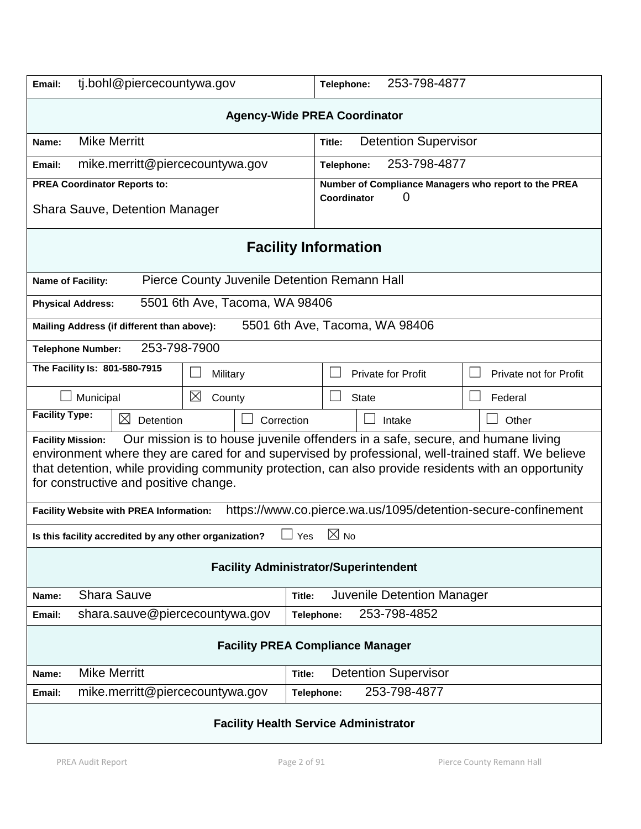| tj.bohl@piercecountywa.gov<br>Email:                                                                                                                                                                                                                                                                                                                                | 253-798-4877<br>Telephone:                                               |  |  |  |  |
|---------------------------------------------------------------------------------------------------------------------------------------------------------------------------------------------------------------------------------------------------------------------------------------------------------------------------------------------------------------------|--------------------------------------------------------------------------|--|--|--|--|
| <b>Agency-Wide PREA Coordinator</b>                                                                                                                                                                                                                                                                                                                                 |                                                                          |  |  |  |  |
| <b>Mike Merritt</b><br>Name:                                                                                                                                                                                                                                                                                                                                        | <b>Detention Supervisor</b><br>Title:                                    |  |  |  |  |
| mike.merritt@piercecountywa.gov<br>Email:                                                                                                                                                                                                                                                                                                                           | 253-798-4877<br>Telephone:                                               |  |  |  |  |
| <b>PREA Coordinator Reports to:</b>                                                                                                                                                                                                                                                                                                                                 | Number of Compliance Managers who report to the PREA<br>0<br>Coordinator |  |  |  |  |
| <b>Shara Sauve, Detention Manager</b>                                                                                                                                                                                                                                                                                                                               |                                                                          |  |  |  |  |
| <b>Facility Information</b>                                                                                                                                                                                                                                                                                                                                         |                                                                          |  |  |  |  |
| Pierce County Juvenile Detention Remann Hall<br>Name of Facility:                                                                                                                                                                                                                                                                                                   |                                                                          |  |  |  |  |
| 5501 6th Ave, Tacoma, WA 98406<br><b>Physical Address:</b>                                                                                                                                                                                                                                                                                                          |                                                                          |  |  |  |  |
| 5501 6th Ave, Tacoma, WA 98406<br>Mailing Address (if different than above):                                                                                                                                                                                                                                                                                        |                                                                          |  |  |  |  |
| 253-798-7900<br><b>Telephone Number:</b>                                                                                                                                                                                                                                                                                                                            |                                                                          |  |  |  |  |
| The Facility Is: 801-580-7915<br>Military                                                                                                                                                                                                                                                                                                                           | Private not for Profit<br>Private for Profit                             |  |  |  |  |
| $\boxtimes$<br>Municipal<br>County                                                                                                                                                                                                                                                                                                                                  | <b>State</b><br>Federal                                                  |  |  |  |  |
| <b>Facility Type:</b><br>⊠<br>Detention                                                                                                                                                                                                                                                                                                                             | Correction<br>Other<br>Intake                                            |  |  |  |  |
| Our mission is to house juvenile offenders in a safe, secure, and humane living<br><b>Facility Mission:</b><br>environment where they are cared for and supervised by professional, well-trained staff. We believe<br>that detention, while providing community protection, can also provide residents with an opportunity<br>for constructive and positive change. |                                                                          |  |  |  |  |
| Facility Website with PREA Information:                                                                                                                                                                                                                                                                                                                             | https://www.co.pierce.wa.us/1095/detention-secure-confinement            |  |  |  |  |
| Is this facility accredited by any other organization?                                                                                                                                                                                                                                                                                                              | $\boxtimes$<br>No<br><b>Yes</b>                                          |  |  |  |  |
| <b>Facility Administrator/Superintendent</b>                                                                                                                                                                                                                                                                                                                        |                                                                          |  |  |  |  |
| <b>Shara Sauve</b><br>Name:                                                                                                                                                                                                                                                                                                                                         | Juvenile Detention Manager<br>Title:                                     |  |  |  |  |
| shara.sauve@piercecountywa.gov<br>Email:                                                                                                                                                                                                                                                                                                                            | 253-798-4852<br>Telephone:                                               |  |  |  |  |
| <b>Facility PREA Compliance Manager</b>                                                                                                                                                                                                                                                                                                                             |                                                                          |  |  |  |  |
| <b>Mike Merritt</b><br>Name:                                                                                                                                                                                                                                                                                                                                        | <b>Detention Supervisor</b><br>Title:                                    |  |  |  |  |
| mike.merritt@piercecountywa.gov<br>Email:                                                                                                                                                                                                                                                                                                                           | 253-798-4877<br>Telephone:                                               |  |  |  |  |
| <b>Facility Health Service Administrator</b>                                                                                                                                                                                                                                                                                                                        |                                                                          |  |  |  |  |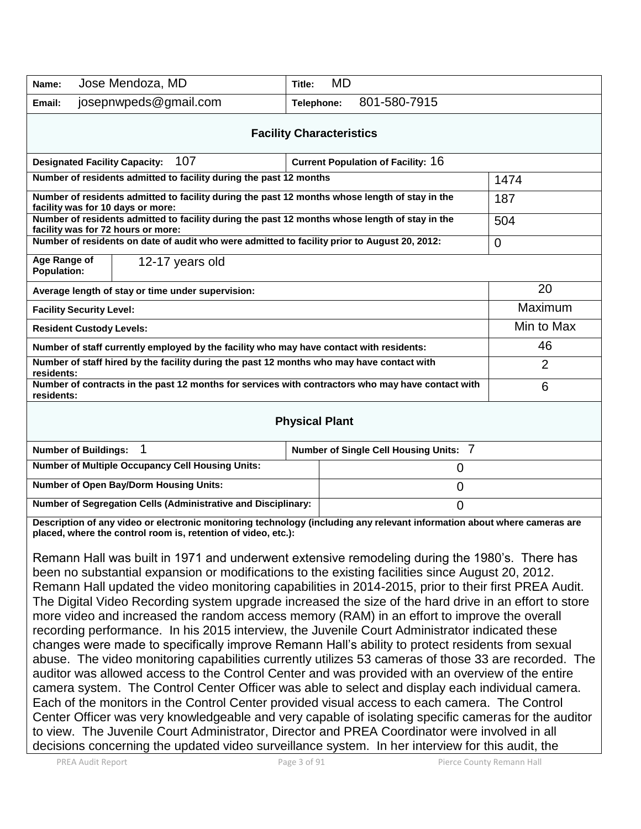| <b>MD</b><br>Title:                                                                                                                                                                       |                                                                                                                                                                    |  |  |  |
|-------------------------------------------------------------------------------------------------------------------------------------------------------------------------------------------|--------------------------------------------------------------------------------------------------------------------------------------------------------------------|--|--|--|
| 801-580-7915<br>Telephone:                                                                                                                                                                |                                                                                                                                                                    |  |  |  |
| <b>Facility Characteristics</b>                                                                                                                                                           |                                                                                                                                                                    |  |  |  |
| <b>Current Population of Facility: 16</b>                                                                                                                                                 |                                                                                                                                                                    |  |  |  |
| Number of residents admitted to facility during the past 12 months                                                                                                                        |                                                                                                                                                                    |  |  |  |
| Number of residents admitted to facility during the past 12 months whose length of stay in the<br>facility was for 10 days or more:                                                       |                                                                                                                                                                    |  |  |  |
| Number of residents admitted to facility during the past 12 months whose length of stay in the<br>facility was for 72 hours or more:                                                      |                                                                                                                                                                    |  |  |  |
| Number of residents on date of audit who were admitted to facility prior to August 20, 2012:                                                                                              |                                                                                                                                                                    |  |  |  |
| Age Range of<br>12-17 years old<br><b>Population:</b>                                                                                                                                     |                                                                                                                                                                    |  |  |  |
| Average length of stay or time under supervision:                                                                                                                                         |                                                                                                                                                                    |  |  |  |
| <b>Facility Security Level:</b>                                                                                                                                                           |                                                                                                                                                                    |  |  |  |
| <b>Resident Custody Levels:</b>                                                                                                                                                           |                                                                                                                                                                    |  |  |  |
| Number of staff currently employed by the facility who may have contact with residents:                                                                                                   |                                                                                                                                                                    |  |  |  |
| Number of staff hired by the facility during the past 12 months who may have contact with<br>residents:                                                                                   |                                                                                                                                                                    |  |  |  |
|                                                                                                                                                                                           | 6                                                                                                                                                                  |  |  |  |
| residents:<br><b>Physical Plant</b>                                                                                                                                                       |                                                                                                                                                                    |  |  |  |
| 1<br>Number of Single Cell Housing Units: 7<br><b>Number of Buildings:</b>                                                                                                                |                                                                                                                                                                    |  |  |  |
| 0                                                                                                                                                                                         |                                                                                                                                                                    |  |  |  |
| $\mathbf 0$                                                                                                                                                                               |                                                                                                                                                                    |  |  |  |
| $\overline{0}$                                                                                                                                                                            |                                                                                                                                                                    |  |  |  |
| Description of any video or electronic monitoring technology (including any relevant information about where cameras are<br>placed, where the control room is, retention of video, etc.): |                                                                                                                                                                    |  |  |  |
|                                                                                                                                                                                           |                                                                                                                                                                    |  |  |  |
|                                                                                                                                                                                           | Number of contracts in the past 12 months for services with contractors who may have contact with<br>Number of Segregation Cells (Administrative and Disciplinary: |  |  |  |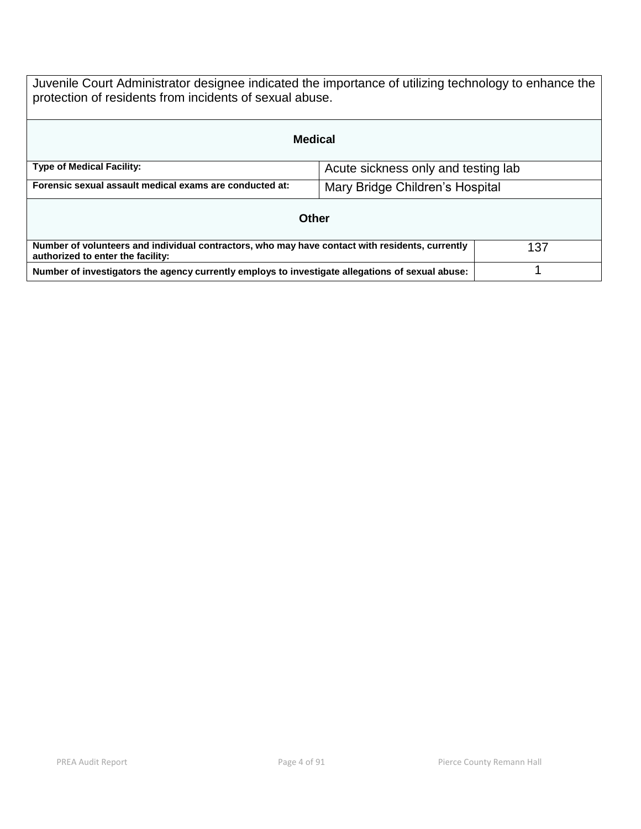Juvenile Court Administrator designee indicated the importance of utilizing technology to enhance the protection of residents from incidents of sexual abuse.

| <b>Medical</b>                                                                                                                       |                                     |  |  |  |
|--------------------------------------------------------------------------------------------------------------------------------------|-------------------------------------|--|--|--|
| <b>Type of Medical Facility:</b>                                                                                                     | Acute sickness only and testing lab |  |  |  |
| Forensic sexual assault medical exams are conducted at:                                                                              | Mary Bridge Children's Hospital     |  |  |  |
| Other                                                                                                                                |                                     |  |  |  |
| Number of volunteers and individual contractors, who may have contact with residents, currently<br>authorized to enter the facility: | 137                                 |  |  |  |
| Number of investigators the agency currently employs to investigate allegations of sexual abuse:                                     |                                     |  |  |  |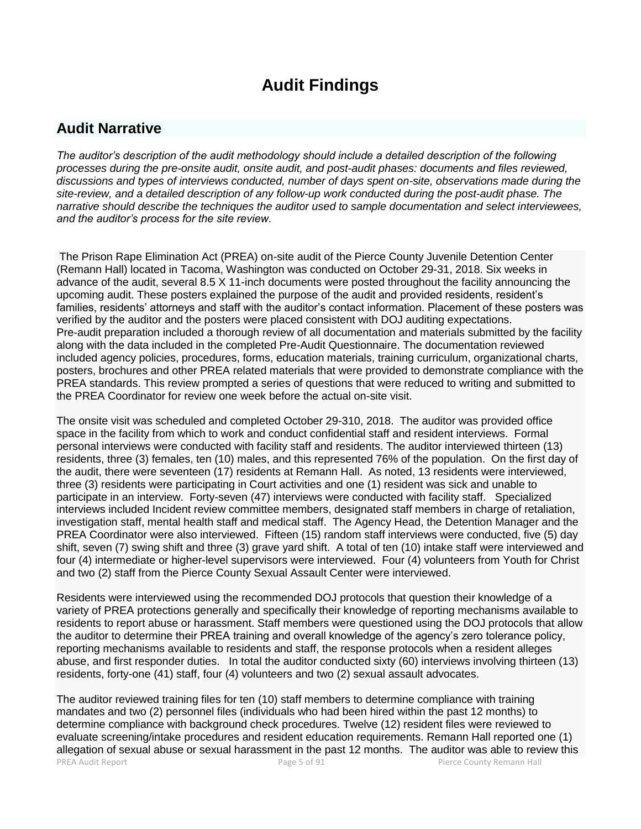# **Audit Findings**

# **Audit Narrative**

*The auditor's description of the audit methodology should include a detailed description of the following processes during the pre-onsite audit, onsite audit, and post-audit phases: documents and files reviewed, discussions and types of interviews conducted, number of days spent on-site, observations made during the site-review, and a detailed description of any follow-up work conducted during the post-audit phase. The narrative should describe the techniques the auditor used to sample documentation and select interviewees, and the auditor's process for the site review.*

The Prison Rape Elimination Act (PREA) on-site audit of the Pierce County Juvenile Detention Center (Remann Hall) located in Tacoma, Washington was conducted on October 29-31, 2018. Six weeks in advance of the audit, several 8.5 X 11-inch documents were posted throughout the facility announcing the upcoming audit. These posters explained the purpose of the audit and provided residents, resident's families, residents' attorneys and staff with the auditor's contact information. Placement of these posters was verified by the auditor and the posters were placed consistent with DOJ auditing expectations. Pre-audit preparation included a thorough review of all documentation and materials submitted by the facility along with the data included in the completed Pre-Audit Questionnaire. The documentation reviewed included agency policies, procedures, forms, education materials, training curriculum, organizational charts, posters, brochures and other PREA related materials that were provided to demonstrate compliance with the PREA standards. This review prompted a series of questions that were reduced to writing and submitted to the PREA Coordinator for review one week before the actual on-site visit.

The onsite visit was scheduled and completed October 29-310, 2018. The auditor was provided office space in the facility from which to work and conduct confidential staff and resident interviews. Formal personal interviews were conducted with facility staff and residents. The auditor interviewed thirteen (13) residents, three (3) females, ten (10) males, and this represented 76% of the population. On the first day of the audit, there were seventeen (17) residents at Remann Hall. As noted, 13 residents were interviewed, three (3) residents were participating in Court activities and one (1) resident was sick and unable to participate in an interview. Forty-seven (47) interviews were conducted with facility staff. Specialized interviews included Incident review committee members, designated staff members in charge of retaliation, investigation staff, mental health staff and medical staff. The Agency Head, the Detention Manager and the PREA Coordinator were also interviewed. Fifteen (15) random staff interviews were conducted, five (5) day shift, seven (7) swing shift and three (3) grave yard shift. A total of ten (10) intake staff were interviewed and four (4) intermediate or higher-level supervisors were interviewed. Four (4) volunteers from Youth for Christ and two (2) staff from the Pierce County Sexual Assault Center were interviewed.

Residents were interviewed using the recommended DOJ protocols that question their knowledge of a variety of PREA protections generally and specifically their knowledge of reporting mechanisms available to residents to report abuse or harassment. Staff members were questioned using the DOJ protocols that allow the auditor to determine their PREA training and overall knowledge of the agency's zero tolerance policy, reporting mechanisms available to residents and staff, the response protocols when a resident alleges abuse, and first responder duties. In total the auditor conducted sixty (60) interviews involving thirteen (13) residents, forty-one (41) staff, four (4) volunteers and two (2) sexual assault advocates.

PREA Audit Report **Page 5 of 91** Press, Page 5 of 91 Pierce County Remann Hall The auditor reviewed training files for ten (10) staff members to determine compliance with training mandates and two (2) personnel files (individuals who had been hired within the past 12 months) to determine compliance with background check procedures. Twelve (12) resident files were reviewed to evaluate screening/intake procedures and resident education requirements. Remann Hall reported one (1) allegation of sexual abuse or sexual harassment in the past 12 months. The auditor was able to review this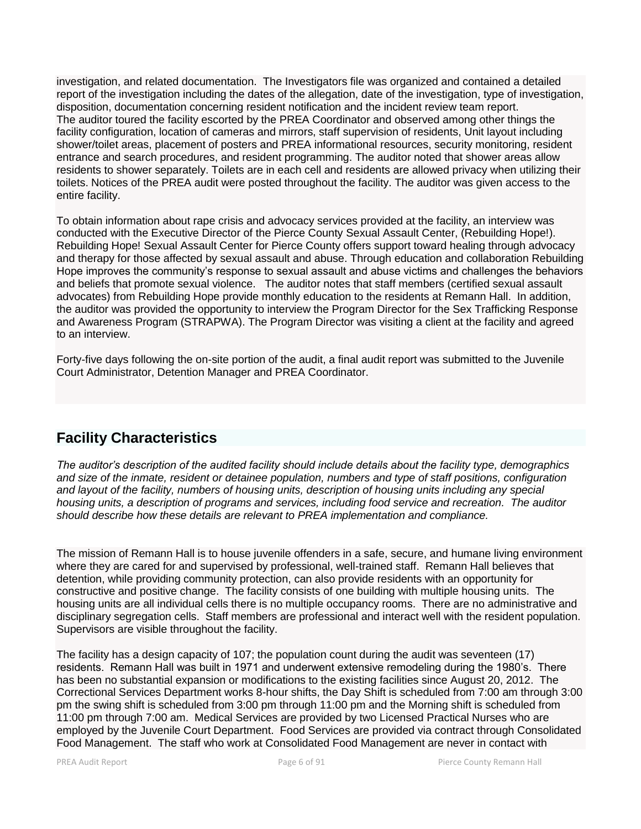investigation, and related documentation. The Investigators file was organized and contained a detailed report of the investigation including the dates of the allegation, date of the investigation, type of investigation, disposition, documentation concerning resident notification and the incident review team report. The auditor toured the facility escorted by the PREA Coordinator and observed among other things the facility configuration, location of cameras and mirrors, staff supervision of residents, Unit layout including shower/toilet areas, placement of posters and PREA informational resources, security monitoring, resident entrance and search procedures, and resident programming. The auditor noted that shower areas allow residents to shower separately. Toilets are in each cell and residents are allowed privacy when utilizing their toilets. Notices of the PREA audit were posted throughout the facility. The auditor was given access to the entire facility.

To obtain information about rape crisis and advocacy services provided at the facility, an interview was conducted with the Executive Director of the Pierce County Sexual Assault Center, (Rebuilding Hope!). Rebuilding Hope! Sexual Assault Center for Pierce County offers support toward healing through advocacy and therapy for those affected by sexual assault and abuse. Through education and collaboration Rebuilding Hope improves the community's response to sexual assault and abuse victims and challenges the behaviors and beliefs that promote sexual violence. The auditor notes that staff members (certified sexual assault advocates) from Rebuilding Hope provide monthly education to the residents at Remann Hall. In addition, the auditor was provided the opportunity to interview the Program Director for the Sex Trafficking Response and Awareness Program (STRAPWA). The Program Director was visiting a client at the facility and agreed to an interview.

Forty-five days following the on-site portion of the audit, a final audit report was submitted to the Juvenile Court Administrator, Detention Manager and PREA Coordinator.

# **Facility Characteristics**

*The auditor's description of the audited facility should include details about the facility type, demographics and size of the inmate, resident or detainee population, numbers and type of staff positions, configuration and layout of the facility, numbers of housing units, description of housing units including any special housing units, a description of programs and services, including food service and recreation. The auditor should describe how these details are relevant to PREA implementation and compliance.*

The mission of Remann Hall is to house juvenile offenders in a safe, secure, and humane living environment where they are cared for and supervised by professional, well-trained staff. Remann Hall believes that detention, while providing community protection, can also provide residents with an opportunity for constructive and positive change. The facility consists of one building with multiple housing units. The housing units are all individual cells there is no multiple occupancy rooms. There are no administrative and disciplinary segregation cells. Staff members are professional and interact well with the resident population. Supervisors are visible throughout the facility.

The facility has a design capacity of 107; the population count during the audit was seventeen (17) residents. Remann Hall was built in 1971 and underwent extensive remodeling during the 1980's. There has been no substantial expansion or modifications to the existing facilities since August 20, 2012. The Correctional Services Department works 8-hour shifts, the Day Shift is scheduled from 7:00 am through 3:00 pm the swing shift is scheduled from 3:00 pm through 11:00 pm and the Morning shift is scheduled from 11:00 pm through 7:00 am. Medical Services are provided by two Licensed Practical Nurses who are employed by the Juvenile Court Department. Food Services are provided via contract through Consolidated Food Management. The staff who work at Consolidated Food Management are never in contact with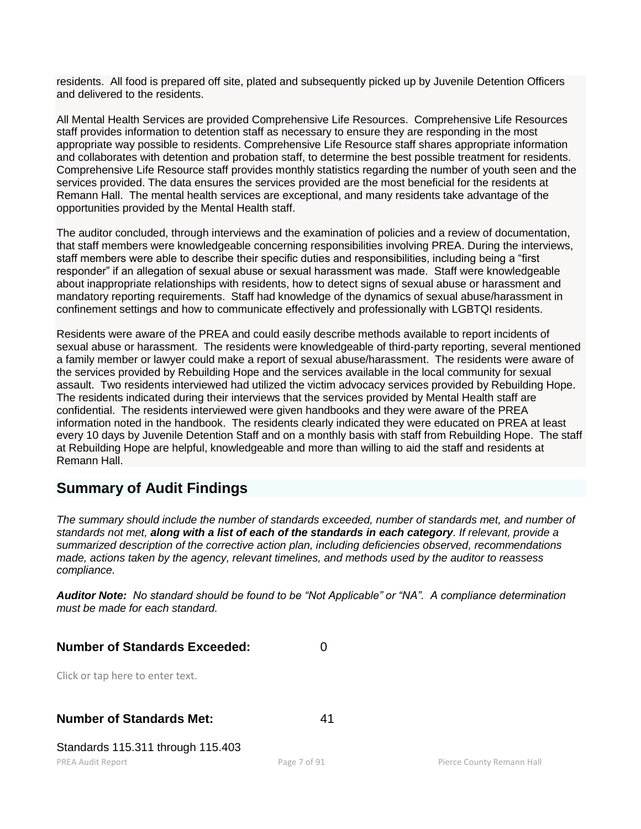residents. All food is prepared off site, plated and subsequently picked up by Juvenile Detention Officers and delivered to the residents.

All Mental Health Services are provided Comprehensive Life Resources. Comprehensive Life Resources staff provides information to detention staff as necessary to ensure they are responding in the most appropriate way possible to residents. Comprehensive Life Resource staff shares appropriate information and collaborates with detention and probation staff, to determine the best possible treatment for residents. Comprehensive Life Resource staff provides monthly statistics regarding the number of youth seen and the services provided. The data ensures the services provided are the most beneficial for the residents at Remann Hall. The mental health services are exceptional, and many residents take advantage of the opportunities provided by the Mental Health staff.

The auditor concluded, through interviews and the examination of policies and a review of documentation, that staff members were knowledgeable concerning responsibilities involving PREA. During the interviews, staff members were able to describe their specific duties and responsibilities, including being a "first responder" if an allegation of sexual abuse or sexual harassment was made. Staff were knowledgeable about inappropriate relationships with residents, how to detect signs of sexual abuse or harassment and mandatory reporting requirements. Staff had knowledge of the dynamics of sexual abuse/harassment in confinement settings and how to communicate effectively and professionally with LGBTQI residents.

Residents were aware of the PREA and could easily describe methods available to report incidents of sexual abuse or harassment. The residents were knowledgeable of third-party reporting, several mentioned a family member or lawyer could make a report of sexual abuse/harassment. The residents were aware of the services provided by Rebuilding Hope and the services available in the local community for sexual assault. Two residents interviewed had utilized the victim advocacy services provided by Rebuilding Hope. The residents indicated during their interviews that the services provided by Mental Health staff are confidential. The residents interviewed were given handbooks and they were aware of the PREA information noted in the handbook. The residents clearly indicated they were educated on PREA at least every 10 days by Juvenile Detention Staff and on a monthly basis with staff from Rebuilding Hope. The staff at Rebuilding Hope are helpful, knowledgeable and more than willing to aid the staff and residents at Remann Hall.

# **Summary of Audit Findings**

*The summary should include the number of standards exceeded, number of standards met, and number of standards not met, along with a list of each of the standards in each category. If relevant, provide a summarized description of the corrective action plan, including deficiencies observed, recommendations made, actions taken by the agency, relevant timelines, and methods used by the auditor to reassess compliance.*

*Auditor Note: No standard should be found to be "Not Applicable" or "NA". A compliance determination must be made for each standard.*

**Number of Standards Exceeded:** 0

Click or tap here to enter text.

## **Number of Standards Met:** 41

Standards 115.311 through 115.403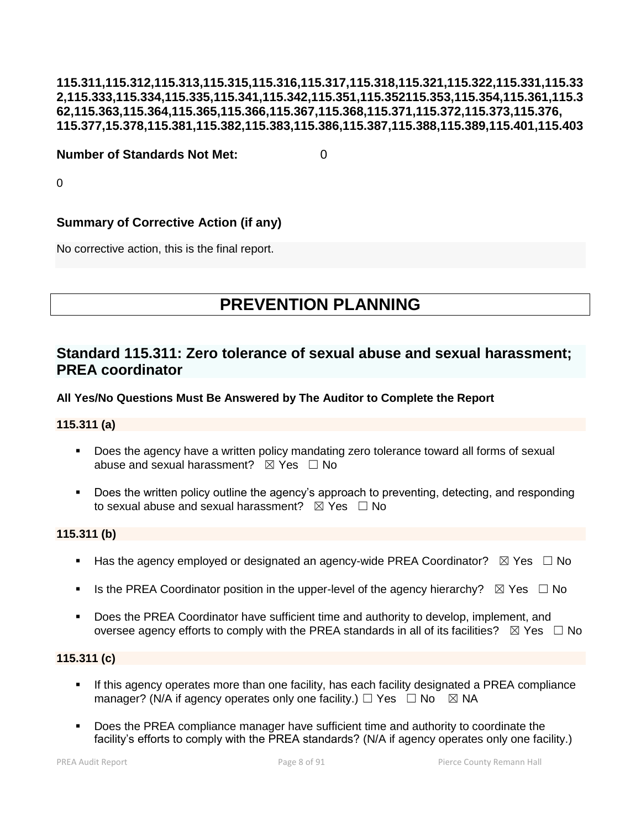## **115.311,115.312,115.313,115.315,115.316,115.317,115.318,115.321,115.322,115.331,115.33 2,115.333,115.334,115.335,115.341,115.342,115.351,115.352115.353,115.354,115.361,115.3 62,115.363,115.364,115.365,115.366,115.367,115.368,115.371,115.372,115.373,115.376, 115.377,15.378,115.381,115.382,115.383,115.386,115.387,115.388,115.389,115.401,115.403**

#### **Number of Standards Not Met:** 0

 $\Omega$ 

## **Summary of Corrective Action (if any)**

No corrective action, this is the final report.

# **PREVENTION PLANNING**

# **Standard 115.311: Zero tolerance of sexual abuse and sexual harassment; PREA coordinator**

## **All Yes/No Questions Must Be Answered by The Auditor to Complete the Report**

#### **115.311 (a)**

- Does the agency have a written policy mandating zero tolerance toward all forms of sexual abuse and sexual harassment?  $\boxtimes$  Yes  $\Box$  No
- Does the written policy outline the agency's approach to preventing, detecting, and responding to sexual abuse and sexual harassment?  $\boxtimes$  Yes  $\Box$  No

## **115.311 (b)**

- Has the agency employed or designated an agency-wide PREA Coordinator?  $\boxtimes$  Yes  $\Box$  No
- Is the PREA Coordinator position in the upper-level of the agency hierarchy?  $\boxtimes$  Yes  $\Box$  No
- Does the PREA Coordinator have sufficient time and authority to develop, implement, and oversee agency efforts to comply with the PREA standards in all of its facilities?  $\boxtimes$  Yes  $\Box$  No

#### **115.311 (c)**

- If this agency operates more than one facility, has each facility designated a PREA compliance manager? (N/A if agency operates only one facility.)  $\Box$  Yes  $\Box$  No  $\boxtimes$  NA
- Does the PREA compliance manager have sufficient time and authority to coordinate the facility's efforts to comply with the PREA standards? (N/A if agency operates only one facility.)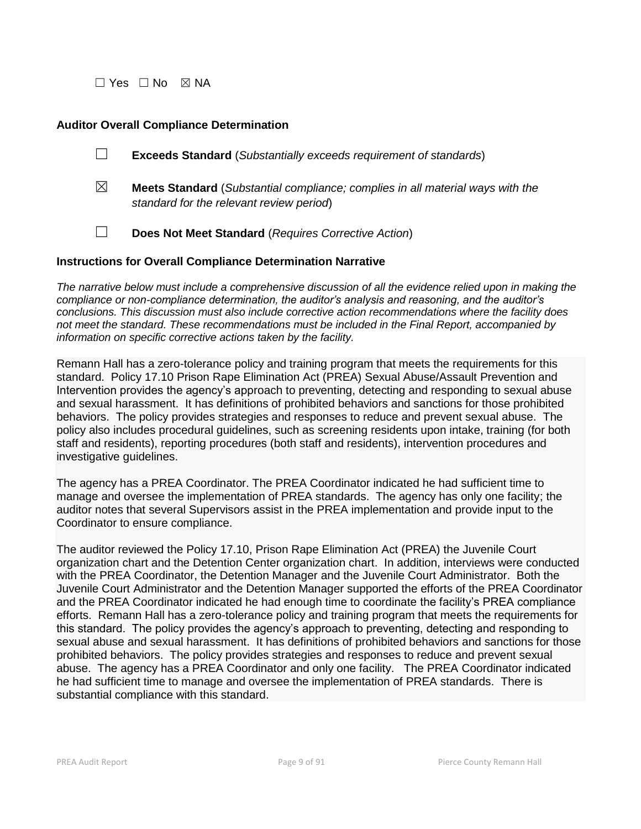$\Box$  Yes  $\Box$  No  $\boxtimes$  NA

#### **Auditor Overall Compliance Determination**

- ☐ **Exceeds Standard** (*Substantially exceeds requirement of standards*)
- ☒ **Meets Standard** (*Substantial compliance; complies in all material ways with the standard for the relevant review period*)
- ☐ **Does Not Meet Standard** (*Requires Corrective Action*)

#### **Instructions for Overall Compliance Determination Narrative**

*The narrative below must include a comprehensive discussion of all the evidence relied upon in making the compliance or non-compliance determination, the auditor's analysis and reasoning, and the auditor's conclusions. This discussion must also include corrective action recommendations where the facility does not meet the standard. These recommendations must be included in the Final Report, accompanied by information on specific corrective actions taken by the facility.*

Remann Hall has a zero-tolerance policy and training program that meets the requirements for this standard. Policy 17.10 Prison Rape Elimination Act (PREA) Sexual Abuse/Assault Prevention and Intervention provides the agency's approach to preventing, detecting and responding to sexual abuse and sexual harassment. It has definitions of prohibited behaviors and sanctions for those prohibited behaviors. The policy provides strategies and responses to reduce and prevent sexual abuse. The policy also includes procedural guidelines, such as screening residents upon intake, training (for both staff and residents), reporting procedures (both staff and residents), intervention procedures and investigative guidelines.

The agency has a PREA Coordinator. The PREA Coordinator indicated he had sufficient time to manage and oversee the implementation of PREA standards. The agency has only one facility; the auditor notes that several Supervisors assist in the PREA implementation and provide input to the Coordinator to ensure compliance.

The auditor reviewed the Policy 17.10, Prison Rape Elimination Act (PREA) the Juvenile Court organization chart and the Detention Center organization chart. In addition, interviews were conducted with the PREA Coordinator, the Detention Manager and the Juvenile Court Administrator. Both the Juvenile Court Administrator and the Detention Manager supported the efforts of the PREA Coordinator and the PREA Coordinator indicated he had enough time to coordinate the facility's PREA compliance efforts. Remann Hall has a zero-tolerance policy and training program that meets the requirements for this standard. The policy provides the agency's approach to preventing, detecting and responding to sexual abuse and sexual harassment. It has definitions of prohibited behaviors and sanctions for those prohibited behaviors. The policy provides strategies and responses to reduce and prevent sexual abuse. The agency has a PREA Coordinator and only one facility. The PREA Coordinator indicated he had sufficient time to manage and oversee the implementation of PREA standards. There is substantial compliance with this standard.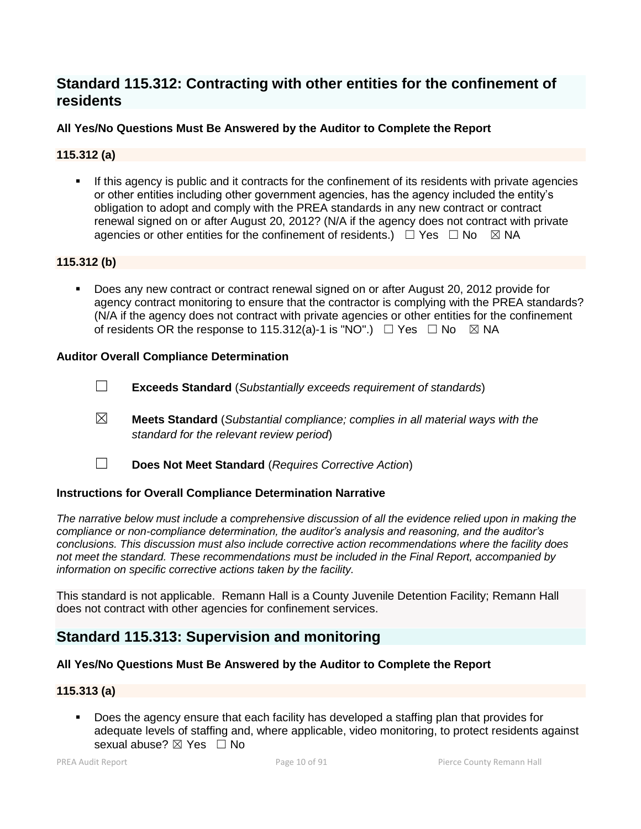# **Standard 115.312: Contracting with other entities for the confinement of residents**

## **All Yes/No Questions Must Be Answered by the Auditor to Complete the Report**

## **115.312 (a)**

 If this agency is public and it contracts for the confinement of its residents with private agencies or other entities including other government agencies, has the agency included the entity's obligation to adopt and comply with the PREA standards in any new contract or contract renewal signed on or after August 20, 2012? (N/A if the agency does not contract with private agencies or other entities for the confinement of residents.)  $\Box$  Yes  $\Box$  No  $\boxtimes$  NA

## **115.312 (b)**

 Does any new contract or contract renewal signed on or after August 20, 2012 provide for agency contract monitoring to ensure that the contractor is complying with the PREA standards? (N/A if the agency does not contract with private agencies or other entities for the confinement of residents OR the response to 115.312(a)-1 is "NO".)  $\Box$  Yes  $\Box$  No  $\boxtimes$  NA

## **Auditor Overall Compliance Determination**

- ☐ **Exceeds Standard** (*Substantially exceeds requirement of standards*)
- ☒ **Meets Standard** (*Substantial compliance; complies in all material ways with the standard for the relevant review period*)
- 
- ☐ **Does Not Meet Standard** (*Requires Corrective Action*)

## **Instructions for Overall Compliance Determination Narrative**

*The narrative below must include a comprehensive discussion of all the evidence relied upon in making the compliance or non-compliance determination, the auditor's analysis and reasoning, and the auditor's conclusions. This discussion must also include corrective action recommendations where the facility does not meet the standard. These recommendations must be included in the Final Report, accompanied by information on specific corrective actions taken by the facility.*

This standard is not applicable. Remann Hall is a County Juvenile Detention Facility; Remann Hall does not contract with other agencies for confinement services.

## **Standard 115.313: Supervision and monitoring**

## **All Yes/No Questions Must Be Answered by the Auditor to Complete the Report**

## **115.313 (a)**

 Does the agency ensure that each facility has developed a staffing plan that provides for adequate levels of staffing and, where applicable, video monitoring, to protect residents against sexual abuse?  $\boxtimes$  Yes  $\Box$  No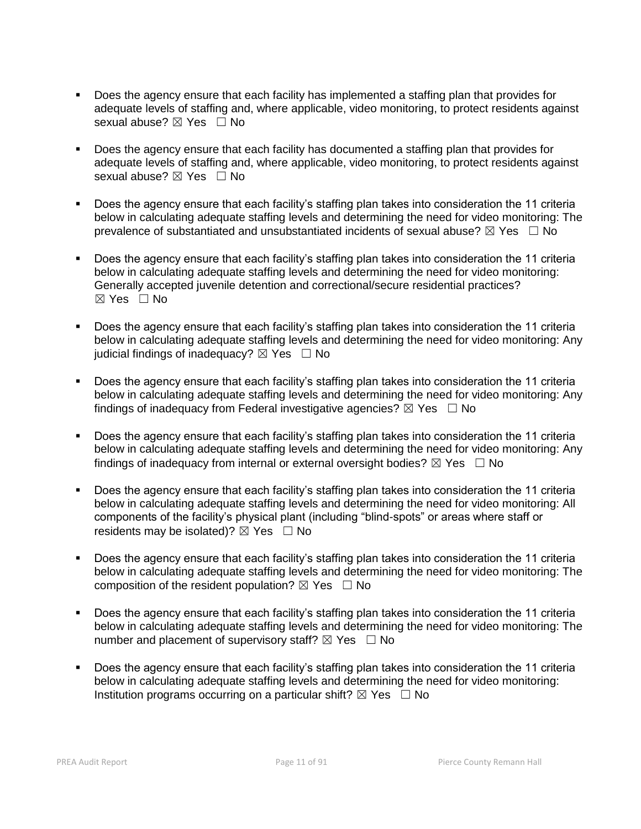- Does the agency ensure that each facility has implemented a staffing plan that provides for adequate levels of staffing and, where applicable, video monitoring, to protect residents against sexual abuse? ⊠ Yes □ No
- Does the agency ensure that each facility has documented a staffing plan that provides for adequate levels of staffing and, where applicable, video monitoring, to protect residents against sexual abuse? ⊠ Yes □ No
- Does the agency ensure that each facility's staffing plan takes into consideration the 11 criteria below in calculating adequate staffing levels and determining the need for video monitoring: The prevalence of substantiated and unsubstantiated incidents of sexual abuse?  $\boxtimes$  Yes  $\Box$  No
- Does the agency ensure that each facility's staffing plan takes into consideration the 11 criteria below in calculating adequate staffing levels and determining the need for video monitoring: Generally accepted juvenile detention and correctional/secure residential practices?  $\boxtimes$  Yes  $\Box$  No
- Does the agency ensure that each facility's staffing plan takes into consideration the 11 criteria below in calculating adequate staffing levels and determining the need for video monitoring: Any judicial findings of inadequacy?  $\boxtimes$  Yes  $\Box$  No
- Does the agency ensure that each facility's staffing plan takes into consideration the 11 criteria below in calculating adequate staffing levels and determining the need for video monitoring: Any findings of inadequacy from Federal investigative agencies?  $\boxtimes$  Yes  $\Box$  No
- Does the agency ensure that each facility's staffing plan takes into consideration the 11 criteria below in calculating adequate staffing levels and determining the need for video monitoring: Any findings of inadequacy from internal or external oversight bodies?  $\boxtimes$  Yes  $\Box$  No
- Does the agency ensure that each facility's staffing plan takes into consideration the 11 criteria below in calculating adequate staffing levels and determining the need for video monitoring: All components of the facility's physical plant (including "blind-spots" or areas where staff or residents may be isolated)?  $\boxtimes$  Yes  $\Box$  No
- Does the agency ensure that each facility's staffing plan takes into consideration the 11 criteria below in calculating adequate staffing levels and determining the need for video monitoring: The composition of the resident population?  $\boxtimes$  Yes  $\Box$  No
- Does the agency ensure that each facility's staffing plan takes into consideration the 11 criteria below in calculating adequate staffing levels and determining the need for video monitoring: The number and placement of supervisory staff?  $\boxtimes$  Yes  $\Box$  No
- Does the agency ensure that each facility's staffing plan takes into consideration the 11 criteria below in calculating adequate staffing levels and determining the need for video monitoring: Institution programs occurring on a particular shift?  $\boxtimes$  Yes  $\Box$  No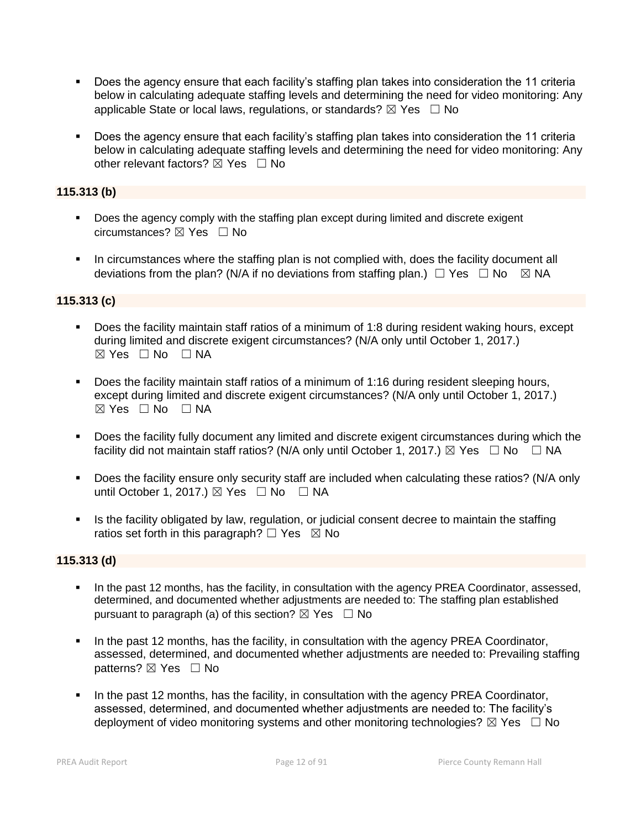- Does the agency ensure that each facility's staffing plan takes into consideration the 11 criteria below in calculating adequate staffing levels and determining the need for video monitoring: Any applicable State or local laws, regulations, or standards?  $\boxtimes$  Yes  $\Box$  No
- Does the agency ensure that each facility's staffing plan takes into consideration the 11 criteria below in calculating adequate staffing levels and determining the need for video monitoring: Any other relevant factors?  $\boxtimes$  Yes  $\Box$  No

## **115.313 (b)**

- **Does the agency comply with the staffing plan except during limited and discrete exigent** circumstances? ☒ Yes ☐ No
- In circumstances where the staffing plan is not complied with, does the facility document all deviations from the plan? (N/A if no deviations from staffing plan.)  $\Box$  Yes  $\Box$  No  $\boxtimes$  NA

## **115.313 (c)**

- Does the facility maintain staff ratios of a minimum of 1:8 during resident waking hours, except during limited and discrete exigent circumstances? (N/A only until October 1, 2017.)  $\boxtimes$  Yes  $\Box$  No  $\Box$  NA
- Does the facility maintain staff ratios of a minimum of 1:16 during resident sleeping hours, except during limited and discrete exigent circumstances? (N/A only until October 1, 2017.) ☒ Yes ☐ No ☐ NA
- Does the facility fully document any limited and discrete exigent circumstances during which the facility did not maintain staff ratios? (N/A only until October 1, 2017.)  $\boxtimes$  Yes  $\Box$  No  $\Box$  NA
- Does the facility ensure only security staff are included when calculating these ratios? (N/A only until October 1, 2017.)  $\boxtimes$  Yes  $\Box$  No  $\Box$  NA
- If Is the facility obligated by law, regulation, or judicial consent decree to maintain the staffing ratios set forth in this paragraph?  $\Box$  Yes  $\boxtimes$  No

## **115.313 (d)**

- In the past 12 months, has the facility, in consultation with the agency PREA Coordinator, assessed, determined, and documented whether adjustments are needed to: The staffing plan established pursuant to paragraph (a) of this section?  $\boxtimes$  Yes  $\Box$  No
- In the past 12 months, has the facility, in consultation with the agency PREA Coordinator, assessed, determined, and documented whether adjustments are needed to: Prevailing staffing patterns? ⊠ Yes □ No
- In the past 12 months, has the facility, in consultation with the agency PREA Coordinator, assessed, determined, and documented whether adjustments are needed to: The facility's deployment of video monitoring systems and other monitoring technologies?  $\boxtimes$  Yes  $\Box$  No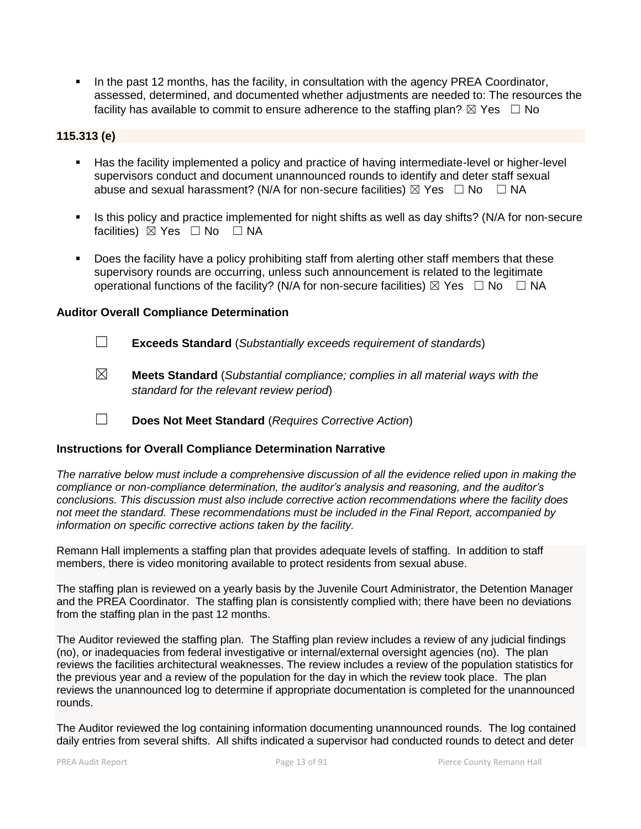In the past 12 months, has the facility, in consultation with the agency PREA Coordinator, assessed, determined, and documented whether adjustments are needed to: The resources the facility has available to commit to ensure adherence to the staffing plan?  $\boxtimes$  Yes  $\Box$  No

#### **115.313 (e)**

- Has the facility implemented a policy and practice of having intermediate-level or higher-level supervisors conduct and document unannounced rounds to identify and deter staff sexual abuse and sexual harassment? (N/A for non-secure facilities)  $\boxtimes$  Yes  $\Box$  No  $\Box$  NA
- Is this policy and practice implemented for night shifts as well as day shifts? (N/A for non-secure facilities) ⊠ Yes □ No □ NA
- Does the facility have a policy prohibiting staff from alerting other staff members that these supervisory rounds are occurring, unless such announcement is related to the legitimate operational functions of the facility? (N/A for non-secure facilities)  $\boxtimes$  Yes  $\Box$  No  $\Box$  NA

#### **Auditor Overall Compliance Determination**

- ☐ **Exceeds Standard** (*Substantially exceeds requirement of standards*)
- ☒ **Meets Standard** (*Substantial compliance; complies in all material ways with the standard for the relevant review period*)
- ☐ **Does Not Meet Standard** (*Requires Corrective Action*)

#### **Instructions for Overall Compliance Determination Narrative**

*The narrative below must include a comprehensive discussion of all the evidence relied upon in making the compliance or non-compliance determination, the auditor's analysis and reasoning, and the auditor's conclusions. This discussion must also include corrective action recommendations where the facility does not meet the standard. These recommendations must be included in the Final Report, accompanied by information on specific corrective actions taken by the facility.*

Remann Hall implements a staffing plan that provides adequate levels of staffing. In addition to staff members, there is video monitoring available to protect residents from sexual abuse.

The staffing plan is reviewed on a yearly basis by the Juvenile Court Administrator, the Detention Manager and the PREA Coordinator. The staffing plan is consistently complied with; there have been no deviations from the staffing plan in the past 12 months.

The Auditor reviewed the staffing plan. The Staffing plan review includes a review of any judicial findings (no), or inadequacies from federal investigative or internal/external oversight agencies (no). The plan reviews the facilities architectural weaknesses. The review includes a review of the population statistics for the previous year and a review of the population for the day in which the review took place. The plan reviews the unannounced log to determine if appropriate documentation is completed for the unannounced rounds.

The Auditor reviewed the log containing information documenting unannounced rounds. The log contained daily entries from several shifts. All shifts indicated a supervisor had conducted rounds to detect and deter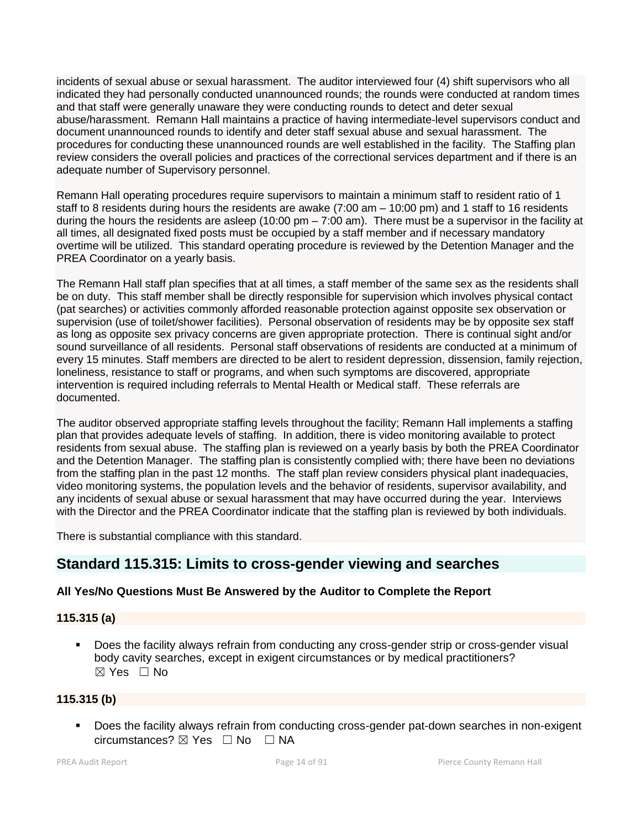incidents of sexual abuse or sexual harassment. The auditor interviewed four (4) shift supervisors who all indicated they had personally conducted unannounced rounds; the rounds were conducted at random times and that staff were generally unaware they were conducting rounds to detect and deter sexual abuse/harassment. Remann Hall maintains a practice of having intermediate-level supervisors conduct and document unannounced rounds to identify and deter staff sexual abuse and sexual harassment. The procedures for conducting these unannounced rounds are well established in the facility. The Staffing plan review considers the overall policies and practices of the correctional services department and if there is an adequate number of Supervisory personnel.

Remann Hall operating procedures require supervisors to maintain a minimum staff to resident ratio of 1 staff to 8 residents during hours the residents are awake (7:00 am – 10:00 pm) and 1 staff to 16 residents during the hours the residents are asleep (10:00 pm – 7:00 am). There must be a supervisor in the facility at all times, all designated fixed posts must be occupied by a staff member and if necessary mandatory overtime will be utilized. This standard operating procedure is reviewed by the Detention Manager and the PREA Coordinator on a yearly basis.

The Remann Hall staff plan specifies that at all times, a staff member of the same sex as the residents shall be on duty. This staff member shall be directly responsible for supervision which involves physical contact (pat searches) or activities commonly afforded reasonable protection against opposite sex observation or supervision (use of toilet/shower facilities). Personal observation of residents may be by opposite sex staff as long as opposite sex privacy concerns are given appropriate protection. There is continual sight and/or sound surveillance of all residents. Personal staff observations of residents are conducted at a minimum of every 15 minutes. Staff members are directed to be alert to resident depression, dissension, family rejection, loneliness, resistance to staff or programs, and when such symptoms are discovered, appropriate intervention is required including referrals to Mental Health or Medical staff. These referrals are documented.

The auditor observed appropriate staffing levels throughout the facility; Remann Hall implements a staffing plan that provides adequate levels of staffing. In addition, there is video monitoring available to protect residents from sexual abuse. The staffing plan is reviewed on a yearly basis by both the PREA Coordinator and the Detention Manager. The staffing plan is consistently complied with; there have been no deviations from the staffing plan in the past 12 months. The staff plan review considers physical plant inadequacies, video monitoring systems, the population levels and the behavior of residents, supervisor availability, and any incidents of sexual abuse or sexual harassment that may have occurred during the year. Interviews with the Director and the PREA Coordinator indicate that the staffing plan is reviewed by both individuals.

There is substantial compliance with this standard.

# **Standard 115.315: Limits to cross-gender viewing and searches**

## **All Yes/No Questions Must Be Answered by the Auditor to Complete the Report**

## **115.315 (a)**

**Does the facility always refrain from conducting any cross-gender strip or cross-gender visual** body cavity searches, except in exigent circumstances or by medical practitioners? ☒ Yes ☐ No

## **115.315 (b)**

 Does the facility always refrain from conducting cross-gender pat-down searches in non-exigent circumstances? ☒ Yes ☐ No ☐ NA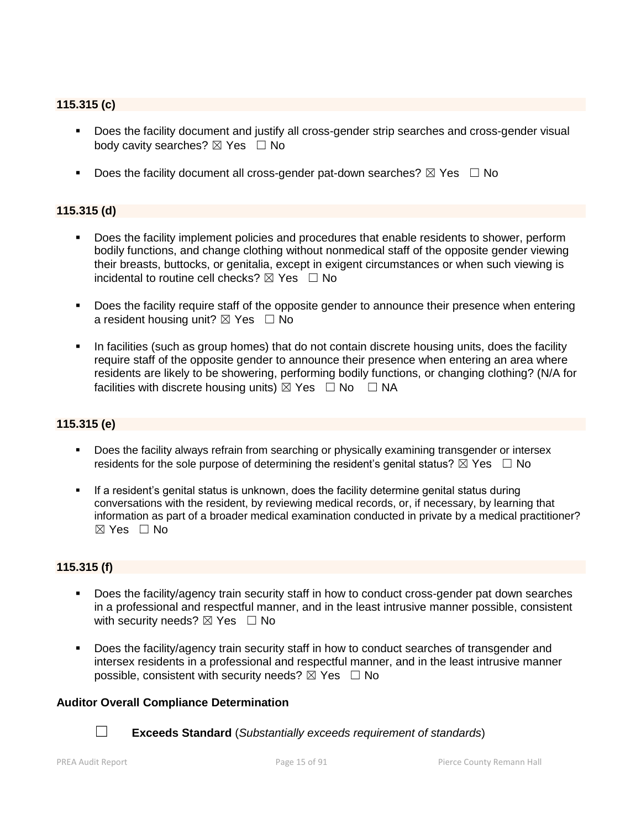## **115.315 (c)**

- **Does the facility document and justify all cross-gender strip searches and cross-gender visual** body cavity searches?  $\boxtimes$  Yes  $\Box$  No
- Does the facility document all cross-gender pat-down searches?  $\boxtimes$  Yes  $\Box$  No

#### **115.315 (d)**

- **Does the facility implement policies and procedures that enable residents to shower, perform** bodily functions, and change clothing without nonmedical staff of the opposite gender viewing their breasts, buttocks, or genitalia, except in exigent circumstances or when such viewing is incidental to routine cell checks?  $\boxtimes$  Yes  $\Box$  No
- Does the facility require staff of the opposite gender to announce their presence when entering a resident housing unit?  $\boxtimes$  Yes  $\Box$  No
- In facilities (such as group homes) that do not contain discrete housing units, does the facility require staff of the opposite gender to announce their presence when entering an area where residents are likely to be showering, performing bodily functions, or changing clothing? (N/A for facilities with discrete housing units)  $\boxtimes$  Yes  $\Box$  No  $\Box$  NA

#### **115.315 (e)**

- Does the facility always refrain from searching or physically examining transgender or intersex residents for the sole purpose of determining the resident's genital status?  $\boxtimes$  Yes  $\Box$  No
- If a resident's genital status is unknown, does the facility determine genital status during conversations with the resident, by reviewing medical records, or, if necessary, by learning that information as part of a broader medical examination conducted in private by a medical practitioner?  $\boxtimes$  Yes  $\Box$  No

## **115.315 (f)**

- Does the facility/agency train security staff in how to conduct cross-gender pat down searches in a professional and respectful manner, and in the least intrusive manner possible, consistent with security needs?  $\boxtimes$  Yes  $\Box$  No
- Does the facility/agency train security staff in how to conduct searches of transgender and intersex residents in a professional and respectful manner, and in the least intrusive manner possible, consistent with security needs?  $\boxtimes$  Yes  $\Box$  No

#### **Auditor Overall Compliance Determination**



☐ **Exceeds Standard** (*Substantially exceeds requirement of standards*)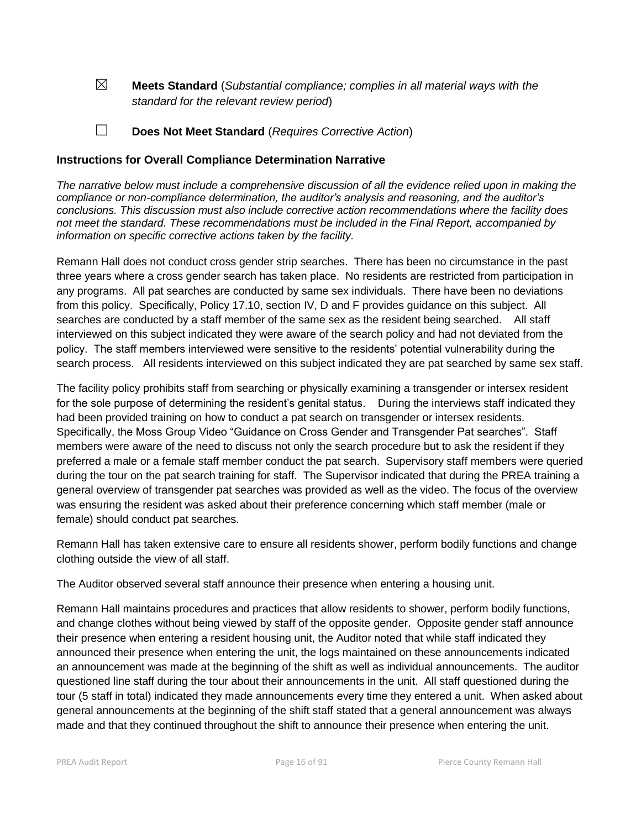☒ **Meets Standard** (*Substantial compliance; complies in all material ways with the standard for the relevant review period*)

☐ **Does Not Meet Standard** (*Requires Corrective Action*)

#### **Instructions for Overall Compliance Determination Narrative**

*The narrative below must include a comprehensive discussion of all the evidence relied upon in making the compliance or non-compliance determination, the auditor's analysis and reasoning, and the auditor's conclusions. This discussion must also include corrective action recommendations where the facility does not meet the standard. These recommendations must be included in the Final Report, accompanied by information on specific corrective actions taken by the facility.*

Remann Hall does not conduct cross gender strip searches. There has been no circumstance in the past three years where a cross gender search has taken place. No residents are restricted from participation in any programs. All pat searches are conducted by same sex individuals. There have been no deviations from this policy. Specifically, Policy 17.10, section IV, D and F provides guidance on this subject. All searches are conducted by a staff member of the same sex as the resident being searched. All staff interviewed on this subject indicated they were aware of the search policy and had not deviated from the policy. The staff members interviewed were sensitive to the residents' potential vulnerability during the search process. All residents interviewed on this subject indicated they are pat searched by same sex staff.

The facility policy prohibits staff from searching or physically examining a transgender or intersex resident for the sole purpose of determining the resident's genital status. During the interviews staff indicated they had been provided training on how to conduct a pat search on transgender or intersex residents. Specifically, the Moss Group Video "Guidance on Cross Gender and Transgender Pat searches". Staff members were aware of the need to discuss not only the search procedure but to ask the resident if they preferred a male or a female staff member conduct the pat search. Supervisory staff members were queried during the tour on the pat search training for staff. The Supervisor indicated that during the PREA training a general overview of transgender pat searches was provided as well as the video. The focus of the overview was ensuring the resident was asked about their preference concerning which staff member (male or female) should conduct pat searches.

Remann Hall has taken extensive care to ensure all residents shower, perform bodily functions and change clothing outside the view of all staff.

The Auditor observed several staff announce their presence when entering a housing unit.

Remann Hall maintains procedures and practices that allow residents to shower, perform bodily functions, and change clothes without being viewed by staff of the opposite gender. Opposite gender staff announce their presence when entering a resident housing unit, the Auditor noted that while staff indicated they announced their presence when entering the unit, the logs maintained on these announcements indicated an announcement was made at the beginning of the shift as well as individual announcements. The auditor questioned line staff during the tour about their announcements in the unit. All staff questioned during the tour (5 staff in total) indicated they made announcements every time they entered a unit. When asked about general announcements at the beginning of the shift staff stated that a general announcement was always made and that they continued throughout the shift to announce their presence when entering the unit.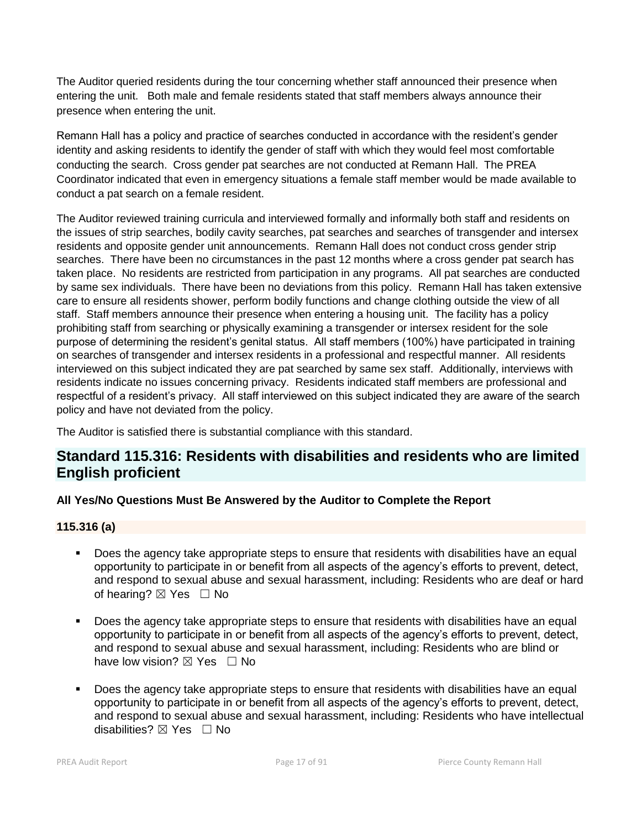The Auditor queried residents during the tour concerning whether staff announced their presence when entering the unit. Both male and female residents stated that staff members always announce their presence when entering the unit.

Remann Hall has a policy and practice of searches conducted in accordance with the resident's gender identity and asking residents to identify the gender of staff with which they would feel most comfortable conducting the search. Cross gender pat searches are not conducted at Remann Hall. The PREA Coordinator indicated that even in emergency situations a female staff member would be made available to conduct a pat search on a female resident.

The Auditor reviewed training curricula and interviewed formally and informally both staff and residents on the issues of strip searches, bodily cavity searches, pat searches and searches of transgender and intersex residents and opposite gender unit announcements. Remann Hall does not conduct cross gender strip searches. There have been no circumstances in the past 12 months where a cross gender pat search has taken place. No residents are restricted from participation in any programs. All pat searches are conducted by same sex individuals. There have been no deviations from this policy. Remann Hall has taken extensive care to ensure all residents shower, perform bodily functions and change clothing outside the view of all staff. Staff members announce their presence when entering a housing unit. The facility has a policy prohibiting staff from searching or physically examining a transgender or intersex resident for the sole purpose of determining the resident's genital status. All staff members (100%) have participated in training on searches of transgender and intersex residents in a professional and respectful manner. All residents interviewed on this subject indicated they are pat searched by same sex staff. Additionally, interviews with residents indicate no issues concerning privacy. Residents indicated staff members are professional and respectful of a resident's privacy. All staff interviewed on this subject indicated they are aware of the search policy and have not deviated from the policy.

The Auditor is satisfied there is substantial compliance with this standard.

# **Standard 115.316: Residents with disabilities and residents who are limited English proficient**

## **All Yes/No Questions Must Be Answered by the Auditor to Complete the Report**

## **115.316 (a)**

- Does the agency take appropriate steps to ensure that residents with disabilities have an equal opportunity to participate in or benefit from all aspects of the agency's efforts to prevent, detect, and respond to sexual abuse and sexual harassment, including: Residents who are deaf or hard of hearing?  $\boxtimes$  Yes  $\Box$  No
- Does the agency take appropriate steps to ensure that residents with disabilities have an equal opportunity to participate in or benefit from all aspects of the agency's efforts to prevent, detect, and respond to sexual abuse and sexual harassment, including: Residents who are blind or have low vision?  $\boxtimes$  Yes  $\Box$  No
- Does the agency take appropriate steps to ensure that residents with disabilities have an equal opportunity to participate in or benefit from all aspects of the agency's efforts to prevent, detect, and respond to sexual abuse and sexual harassment, including: Residents who have intellectual disabilities?  $\boxtimes$  Yes  $\Box$  No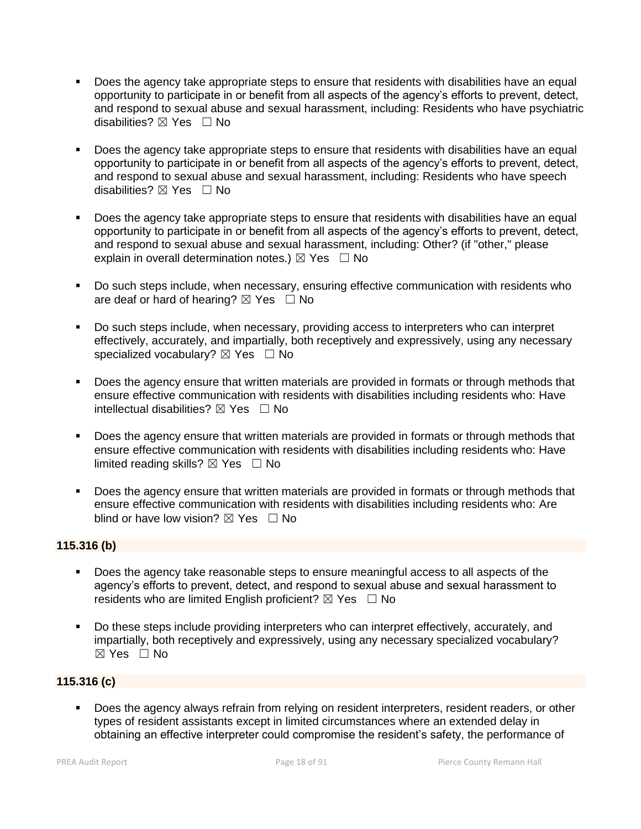- Does the agency take appropriate steps to ensure that residents with disabilities have an equal opportunity to participate in or benefit from all aspects of the agency's efforts to prevent, detect, and respond to sexual abuse and sexual harassment, including: Residents who have psychiatric disabilities? ⊠ Yes □ No
- Does the agency take appropriate steps to ensure that residents with disabilities have an equal opportunity to participate in or benefit from all aspects of the agency's efforts to prevent, detect, and respond to sexual abuse and sexual harassment, including: Residents who have speech disabilities? ⊠ Yes □ No
- Does the agency take appropriate steps to ensure that residents with disabilities have an equal opportunity to participate in or benefit from all aspects of the agency's efforts to prevent, detect, and respond to sexual abuse and sexual harassment, including: Other? (if "other," please explain in overall determination notes.)  $\boxtimes$  Yes  $\Box$  No
- **Do such steps include, when necessary, ensuring effective communication with residents who** are deaf or hard of hearing?  $\boxtimes$  Yes  $\Box$  No
- Do such steps include, when necessary, providing access to interpreters who can interpret effectively, accurately, and impartially, both receptively and expressively, using any necessary specialized vocabulary?  $\boxtimes$  Yes  $\Box$  No
- Does the agency ensure that written materials are provided in formats or through methods that ensure effective communication with residents with disabilities including residents who: Have intellectual disabilities?  $\boxtimes$  Yes  $\Box$  No
- Does the agency ensure that written materials are provided in formats or through methods that ensure effective communication with residents with disabilities including residents who: Have limited reading skills?  $\boxtimes$  Yes  $\Box$  No
- Does the agency ensure that written materials are provided in formats or through methods that ensure effective communication with residents with disabilities including residents who: Are blind or have low vision?  $\boxtimes$  Yes  $\Box$  No

## **115.316 (b)**

- Does the agency take reasonable steps to ensure meaningful access to all aspects of the agency's efforts to prevent, detect, and respond to sexual abuse and sexual harassment to residents who are limited English proficient?  $\boxtimes$  Yes  $\Box$  No
- Do these steps include providing interpreters who can interpret effectively, accurately, and impartially, both receptively and expressively, using any necessary specialized vocabulary? ☒ Yes ☐ No

## **115.316 (c)**

**Does the agency always refrain from relying on resident interpreters, resident readers, or other** types of resident assistants except in limited circumstances where an extended delay in obtaining an effective interpreter could compromise the resident's safety, the performance of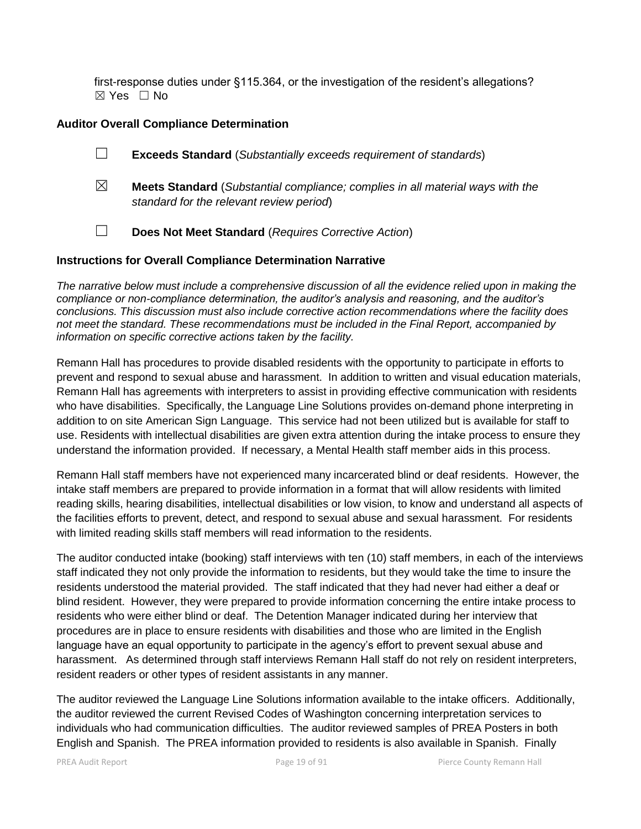first-response duties under §115.364, or the investigation of the resident's allegations? ☒ Yes ☐ No

#### **Auditor Overall Compliance Determination**

- ☐ **Exceeds Standard** (*Substantially exceeds requirement of standards*)
- ☒ **Meets Standard** (*Substantial compliance; complies in all material ways with the standard for the relevant review period*)
- ☐ **Does Not Meet Standard** (*Requires Corrective Action*)

#### **Instructions for Overall Compliance Determination Narrative**

*The narrative below must include a comprehensive discussion of all the evidence relied upon in making the compliance or non-compliance determination, the auditor's analysis and reasoning, and the auditor's conclusions. This discussion must also include corrective action recommendations where the facility does not meet the standard. These recommendations must be included in the Final Report, accompanied by information on specific corrective actions taken by the facility.*

Remann Hall has procedures to provide disabled residents with the opportunity to participate in efforts to prevent and respond to sexual abuse and harassment. In addition to written and visual education materials, Remann Hall has agreements with interpreters to assist in providing effective communication with residents who have disabilities. Specifically, the Language Line Solutions provides on-demand phone interpreting in addition to on site American Sign Language. This service had not been utilized but is available for staff to use. Residents with intellectual disabilities are given extra attention during the intake process to ensure they understand the information provided. If necessary, a Mental Health staff member aids in this process.

Remann Hall staff members have not experienced many incarcerated blind or deaf residents. However, the intake staff members are prepared to provide information in a format that will allow residents with limited reading skills, hearing disabilities, intellectual disabilities or low vision, to know and understand all aspects of the facilities efforts to prevent, detect, and respond to sexual abuse and sexual harassment. For residents with limited reading skills staff members will read information to the residents.

The auditor conducted intake (booking) staff interviews with ten (10) staff members, in each of the interviews staff indicated they not only provide the information to residents, but they would take the time to insure the residents understood the material provided. The staff indicated that they had never had either a deaf or blind resident. However, they were prepared to provide information concerning the entire intake process to residents who were either blind or deaf. The Detention Manager indicated during her interview that procedures are in place to ensure residents with disabilities and those who are limited in the English language have an equal opportunity to participate in the agency's effort to prevent sexual abuse and harassment. As determined through staff interviews Remann Hall staff do not rely on resident interpreters, resident readers or other types of resident assistants in any manner.

The auditor reviewed the Language Line Solutions information available to the intake officers. Additionally, the auditor reviewed the current Revised Codes of Washington concerning interpretation services to individuals who had communication difficulties. The auditor reviewed samples of PREA Posters in both English and Spanish. The PREA information provided to residents is also available in Spanish. Finally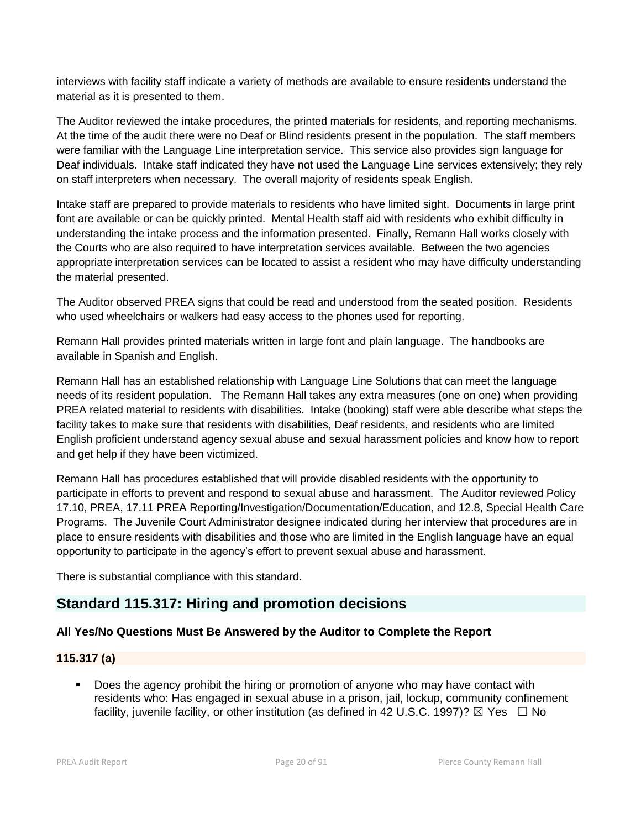interviews with facility staff indicate a variety of methods are available to ensure residents understand the material as it is presented to them.

The Auditor reviewed the intake procedures, the printed materials for residents, and reporting mechanisms. At the time of the audit there were no Deaf or Blind residents present in the population. The staff members were familiar with the Language Line interpretation service. This service also provides sign language for Deaf individuals. Intake staff indicated they have not used the Language Line services extensively; they rely on staff interpreters when necessary. The overall majority of residents speak English.

Intake staff are prepared to provide materials to residents who have limited sight. Documents in large print font are available or can be quickly printed. Mental Health staff aid with residents who exhibit difficulty in understanding the intake process and the information presented. Finally, Remann Hall works closely with the Courts who are also required to have interpretation services available. Between the two agencies appropriate interpretation services can be located to assist a resident who may have difficulty understanding the material presented.

The Auditor observed PREA signs that could be read and understood from the seated position. Residents who used wheelchairs or walkers had easy access to the phones used for reporting.

Remann Hall provides printed materials written in large font and plain language. The handbooks are available in Spanish and English.

Remann Hall has an established relationship with Language Line Solutions that can meet the language needs of its resident population. The Remann Hall takes any extra measures (one on one) when providing PREA related material to residents with disabilities. Intake (booking) staff were able describe what steps the facility takes to make sure that residents with disabilities, Deaf residents, and residents who are limited English proficient understand agency sexual abuse and sexual harassment policies and know how to report and get help if they have been victimized.

Remann Hall has procedures established that will provide disabled residents with the opportunity to participate in efforts to prevent and respond to sexual abuse and harassment. The Auditor reviewed Policy 17.10, PREA, 17.11 PREA Reporting/Investigation/Documentation/Education, and 12.8, Special Health Care Programs. The Juvenile Court Administrator designee indicated during her interview that procedures are in place to ensure residents with disabilities and those who are limited in the English language have an equal opportunity to participate in the agency's effort to prevent sexual abuse and harassment.

There is substantial compliance with this standard.

# **Standard 115.317: Hiring and promotion decisions**

## **All Yes/No Questions Must Be Answered by the Auditor to Complete the Report**

## **115.317 (a)**

 Does the agency prohibit the hiring or promotion of anyone who may have contact with residents who: Has engaged in sexual abuse in a prison, jail, lockup, community confinement facility, juvenile facility, or other institution (as defined in 42 U.S.C. 1997)?  $\boxtimes$  Yes  $\Box$  No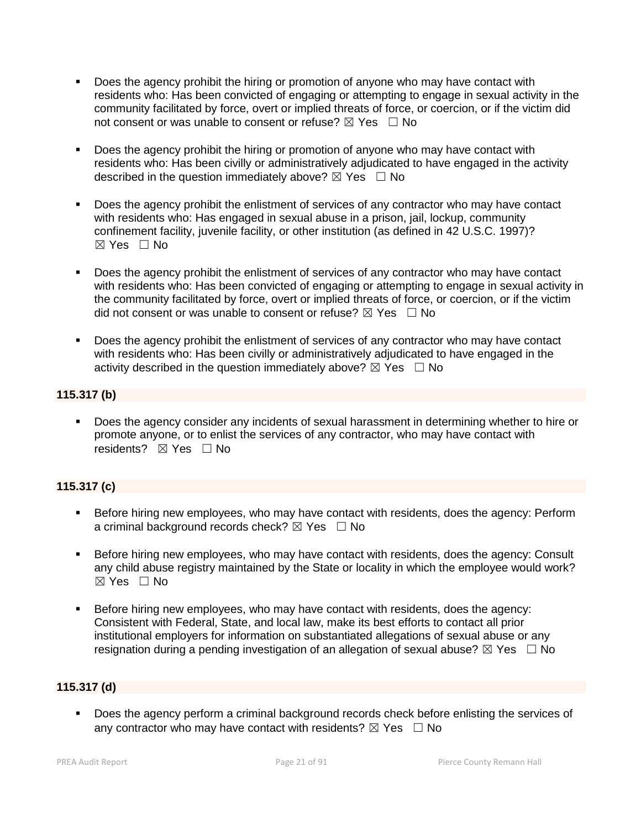- Does the agency prohibit the hiring or promotion of anyone who may have contact with residents who: Has been convicted of engaging or attempting to engage in sexual activity in the community facilitated by force, overt or implied threats of force, or coercion, or if the victim did not consent or was unable to consent or refuse?  $\boxtimes$  Yes  $\Box$  No
- Does the agency prohibit the hiring or promotion of anyone who may have contact with residents who: Has been civilly or administratively adjudicated to have engaged in the activity described in the question immediately above?  $\boxtimes$  Yes  $\Box$  No
- Does the agency prohibit the enlistment of services of any contractor who may have contact with residents who: Has engaged in sexual abuse in a prison, jail, lockup, community confinement facility, juvenile facility, or other institution (as defined in 42 U.S.C. 1997)?  $\boxtimes$  Yes  $\Box$  No
- Does the agency prohibit the enlistment of services of any contractor who may have contact with residents who: Has been convicted of engaging or attempting to engage in sexual activity in the community facilitated by force, overt or implied threats of force, or coercion, or if the victim did not consent or was unable to consent or refuse?  $\boxtimes$  Yes  $\Box$  No
- Does the agency prohibit the enlistment of services of any contractor who may have contact with residents who: Has been civilly or administratively adjudicated to have engaged in the activity described in the question immediately above?  $\boxtimes$  Yes  $\Box$  No

## **115.317 (b)**

 Does the agency consider any incidents of sexual harassment in determining whether to hire or promote anyone, or to enlist the services of any contractor, who may have contact with residents? ⊠ Yes □ No

## **115.317 (c)**

- **Before hiring new employees, who may have contact with residents, does the agency: Perform** a criminal background records check?  $\boxtimes$  Yes  $\Box$  No
- Before hiring new employees, who may have contact with residents, does the agency: Consult any child abuse registry maintained by the State or locality in which the employee would work?  $\boxtimes$  Yes  $\Box$  No
- Before hiring new employees, who may have contact with residents, does the agency: Consistent with Federal, State, and local law, make its best efforts to contact all prior institutional employers for information on substantiated allegations of sexual abuse or any resignation during a pending investigation of an allegation of sexual abuse?  $\boxtimes$  Yes  $\Box$  No

## **115.317 (d)**

Does the agency perform a criminal background records check before enlisting the services of any contractor who may have contact with residents?  $\boxtimes$  Yes  $\Box$  No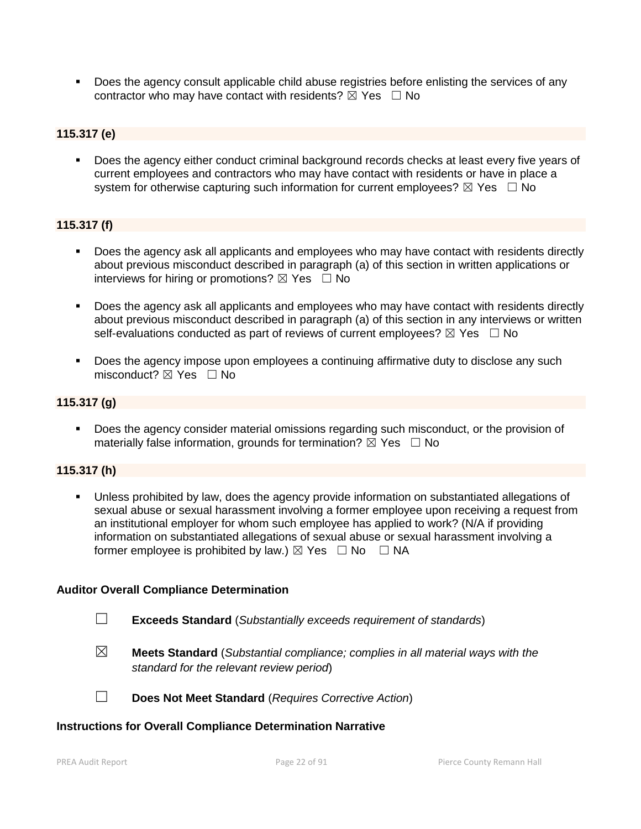**Does the agency consult applicable child abuse registries before enlisting the services of any** contractor who may have contact with residents?  $\boxtimes$  Yes  $\Box$  No

#### **115.317 (e)**

Does the agency either conduct criminal background records checks at least every five years of current employees and contractors who may have contact with residents or have in place a system for otherwise capturing such information for current employees?  $\boxtimes$  Yes  $\Box$  No

## **115.317 (f)**

- Does the agency ask all applicants and employees who may have contact with residents directly about previous misconduct described in paragraph (a) of this section in written applications or interviews for hiring or promotions?  $\boxtimes$  Yes  $\Box$  No
- Does the agency ask all applicants and employees who may have contact with residents directly about previous misconduct described in paragraph (a) of this section in any interviews or written self-evaluations conducted as part of reviews of current employees?  $\boxtimes$  Yes  $\Box$  No
- Does the agency impose upon employees a continuing affirmative duty to disclose any such misconduct? ⊠ Yes □ No

#### **115.317 (g)**

 Does the agency consider material omissions regarding such misconduct, or the provision of materially false information, grounds for termination?  $\boxtimes$  Yes  $\Box$  No

#### **115.317 (h)**

 Unless prohibited by law, does the agency provide information on substantiated allegations of sexual abuse or sexual harassment involving a former employee upon receiving a request from an institutional employer for whom such employee has applied to work? (N/A if providing information on substantiated allegations of sexual abuse or sexual harassment involving a former employee is prohibited by law.)  $\boxtimes$  Yes  $\Box$  No  $\Box$  NA

#### **Auditor Overall Compliance Determination**

- ☐ **Exceeds Standard** (*Substantially exceeds requirement of standards*)
- ☒ **Meets Standard** (*Substantial compliance; complies in all material ways with the standard for the relevant review period*)

☐ **Does Not Meet Standard** (*Requires Corrective Action*)

#### **Instructions for Overall Compliance Determination Narrative**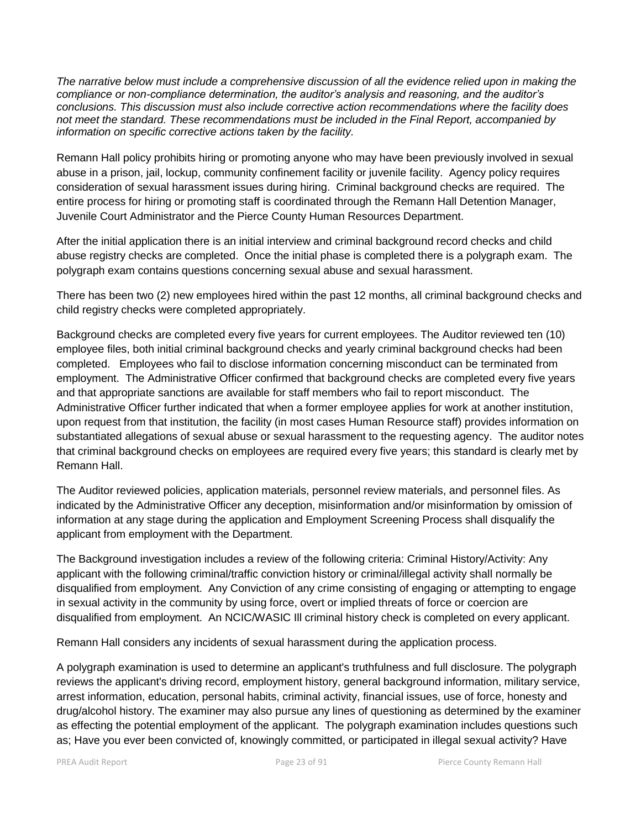*The narrative below must include a comprehensive discussion of all the evidence relied upon in making the compliance or non-compliance determination, the auditor's analysis and reasoning, and the auditor's conclusions. This discussion must also include corrective action recommendations where the facility does not meet the standard. These recommendations must be included in the Final Report, accompanied by information on specific corrective actions taken by the facility.*

Remann Hall policy prohibits hiring or promoting anyone who may have been previously involved in sexual abuse in a prison, jail, lockup, community confinement facility or juvenile facility. Agency policy requires consideration of sexual harassment issues during hiring. Criminal background checks are required. The entire process for hiring or promoting staff is coordinated through the Remann Hall Detention Manager, Juvenile Court Administrator and the Pierce County Human Resources Department.

After the initial application there is an initial interview and criminal background record checks and child abuse registry checks are completed. Once the initial phase is completed there is a polygraph exam. The polygraph exam contains questions concerning sexual abuse and sexual harassment.

There has been two (2) new employees hired within the past 12 months, all criminal background checks and child registry checks were completed appropriately.

Background checks are completed every five years for current employees. The Auditor reviewed ten (10) employee files, both initial criminal background checks and yearly criminal background checks had been completed. Employees who fail to disclose information concerning misconduct can be terminated from employment. The Administrative Officer confirmed that background checks are completed every five years and that appropriate sanctions are available for staff members who fail to report misconduct. The Administrative Officer further indicated that when a former employee applies for work at another institution, upon request from that institution, the facility (in most cases Human Resource staff) provides information on substantiated allegations of sexual abuse or sexual harassment to the requesting agency. The auditor notes that criminal background checks on employees are required every five years; this standard is clearly met by Remann Hall.

The Auditor reviewed policies, application materials, personnel review materials, and personnel files. As indicated by the Administrative Officer any deception, misinformation and/or misinformation by omission of information at any stage during the application and Employment Screening Process shall disqualify the applicant from employment with the Department.

The Background investigation includes a review of the following criteria: Criminal History/Activity: Any applicant with the following criminal/traffic conviction history or criminal/illegal activity shall normally be disqualified from employment. Any Conviction of any crime consisting of engaging or attempting to engage in sexual activity in the community by using force, overt or implied threats of force or coercion are disqualified from employment. An NCIC/WASIC Ill criminal history check is completed on every applicant.

Remann Hall considers any incidents of sexual harassment during the application process.

A polygraph examination is used to determine an applicant's truthfulness and full disclosure. The polygraph reviews the applicant's driving record, employment history, general background information, military service, arrest information, education, personal habits, criminal activity, financial issues, use of force, honesty and drug/alcohol history. The examiner may also pursue any lines of questioning as determined by the examiner as effecting the potential employment of the applicant. The polygraph examination includes questions such as; Have you ever been convicted of, knowingly committed, or participated in illegal sexual activity? Have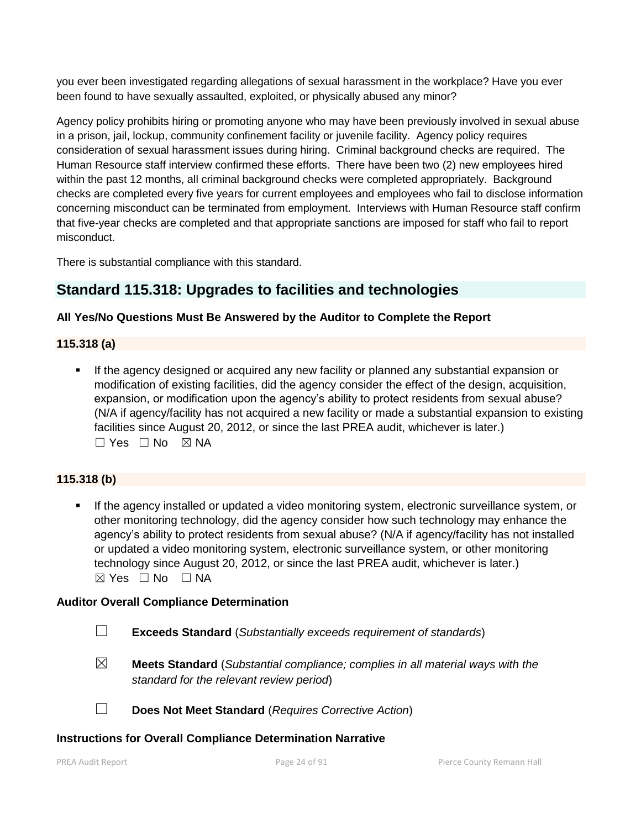you ever been investigated regarding allegations of sexual harassment in the workplace? Have you ever been found to have sexually assaulted, exploited, or physically abused any minor?

Agency policy prohibits hiring or promoting anyone who may have been previously involved in sexual abuse in a prison, jail, lockup, community confinement facility or juvenile facility. Agency policy requires consideration of sexual harassment issues during hiring. Criminal background checks are required. The Human Resource staff interview confirmed these efforts. There have been two (2) new employees hired within the past 12 months, all criminal background checks were completed appropriately. Background checks are completed every five years for current employees and employees who fail to disclose information concerning misconduct can be terminated from employment. Interviews with Human Resource staff confirm that five-year checks are completed and that appropriate sanctions are imposed for staff who fail to report misconduct.

There is substantial compliance with this standard.

# **Standard 115.318: Upgrades to facilities and technologies**

## **All Yes/No Questions Must Be Answered by the Auditor to Complete the Report**

## **115.318 (a)**

 If the agency designed or acquired any new facility or planned any substantial expansion or modification of existing facilities, did the agency consider the effect of the design, acquisition, expansion, or modification upon the agency's ability to protect residents from sexual abuse? (N/A if agency/facility has not acquired a new facility or made a substantial expansion to existing facilities since August 20, 2012, or since the last PREA audit, whichever is later.)  $\Box$  Yes  $\Box$  No  $\boxtimes$  NA

## **115.318 (b)**

 If the agency installed or updated a video monitoring system, electronic surveillance system, or other monitoring technology, did the agency consider how such technology may enhance the agency's ability to protect residents from sexual abuse? (N/A if agency/facility has not installed or updated a video monitoring system, electronic surveillance system, or other monitoring technology since August 20, 2012, or since the last PREA audit, whichever is later.)  $⊠ Yes ⊡ No ⊡ NA$ 

## **Auditor Overall Compliance Determination**

- ☐ **Exceeds Standard** (*Substantially exceeds requirement of standards*)
- ☒ **Meets Standard** (*Substantial compliance; complies in all material ways with the standard for the relevant review period*)

☐ **Does Not Meet Standard** (*Requires Corrective Action*)

## **Instructions for Overall Compliance Determination Narrative**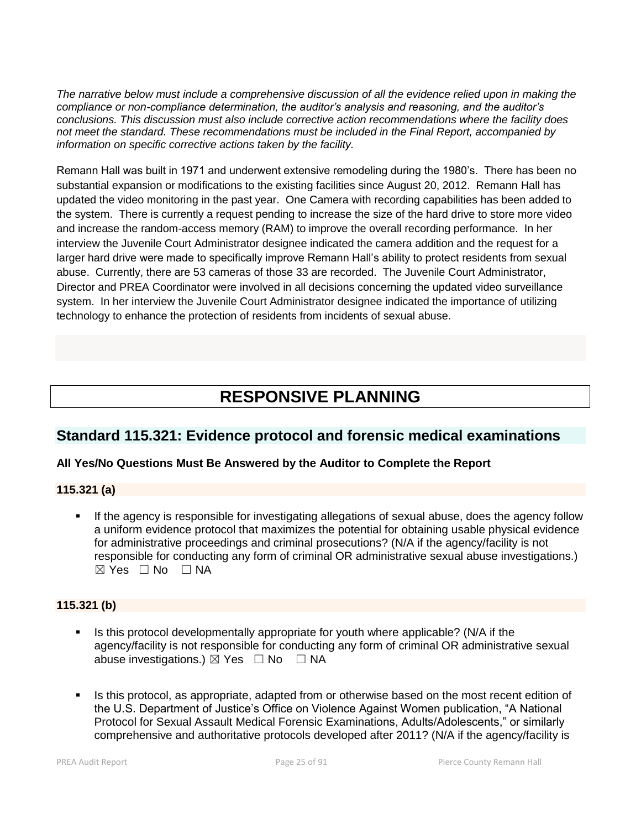*The narrative below must include a comprehensive discussion of all the evidence relied upon in making the compliance or non-compliance determination, the auditor's analysis and reasoning, and the auditor's conclusions. This discussion must also include corrective action recommendations where the facility does not meet the standard. These recommendations must be included in the Final Report, accompanied by information on specific corrective actions taken by the facility.*

Remann Hall was built in 1971 and underwent extensive remodeling during the 1980's. There has been no substantial expansion or modifications to the existing facilities since August 20, 2012. Remann Hall has updated the video monitoring in the past year. One Camera with recording capabilities has been added to the system. There is currently a request pending to increase the size of the hard drive to store more video and increase the random-access memory (RAM) to improve the overall recording performance. In her interview the Juvenile Court Administrator designee indicated the camera addition and the request for a larger hard drive were made to specifically improve Remann Hall's ability to protect residents from sexual abuse. Currently, there are 53 cameras of those 33 are recorded. The Juvenile Court Administrator, Director and PREA Coordinator were involved in all decisions concerning the updated video surveillance system. In her interview the Juvenile Court Administrator designee indicated the importance of utilizing technology to enhance the protection of residents from incidents of sexual abuse.

# **RESPONSIVE PLANNING**

# **Standard 115.321: Evidence protocol and forensic medical examinations**

## **All Yes/No Questions Must Be Answered by the Auditor to Complete the Report**

## **115.321 (a)**

 If the agency is responsible for investigating allegations of sexual abuse, does the agency follow a uniform evidence protocol that maximizes the potential for obtaining usable physical evidence for administrative proceedings and criminal prosecutions? (N/A if the agency/facility is not responsible for conducting any form of criminal OR administrative sexual abuse investigations.)  $\boxtimes$  Yes  $\Box$  No  $\Box$  NA

## **115.321 (b)**

- Is this protocol developmentally appropriate for youth where applicable? ( $N/A$  if the agency/facility is not responsible for conducting any form of criminal OR administrative sexual abuse investigations.)  $\boxtimes$  Yes  $\Box$  No  $\Box$  NA
- Is this protocol, as appropriate, adapted from or otherwise based on the most recent edition of the U.S. Department of Justice's Office on Violence Against Women publication, "A National Protocol for Sexual Assault Medical Forensic Examinations, Adults/Adolescents," or similarly comprehensive and authoritative protocols developed after 2011? (N/A if the agency/facility is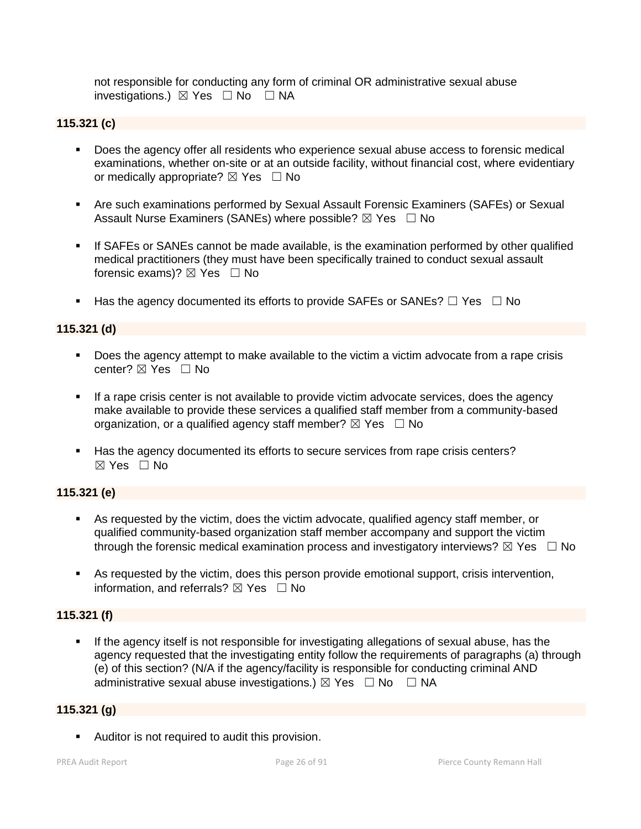not responsible for conducting any form of criminal OR administrative sexual abuse investigations.)  $\boxtimes$  Yes  $\Box$  No  $\Box$  NA

## **115.321 (c)**

- **Does the agency offer all residents who experience sexual abuse access to forensic medical** examinations, whether on-site or at an outside facility, without financial cost, where evidentiary or medically appropriate?  $\boxtimes$  Yes  $\Box$  No
- Are such examinations performed by Sexual Assault Forensic Examiners (SAFEs) or Sexual Assault Nurse Examiners (SANEs) where possible?  $\boxtimes$  Yes  $\Box$  No
- If SAFEs or SANEs cannot be made available, is the examination performed by other qualified medical practitioners (they must have been specifically trained to conduct sexual assault forensic exams)?  $\boxtimes$  Yes  $\Box$  No
- Has the agency documented its efforts to provide SAFEs or SANEs?  $\Box$  Yes  $\Box$  No

## **115.321 (d)**

- Does the agency attempt to make available to the victim a victim advocate from a rape crisis center? ⊠ Yes □ No
- If a rape crisis center is not available to provide victim advocate services, does the agency make available to provide these services a qualified staff member from a community-based organization, or a qualified agency staff member?  $\boxtimes$  Yes  $\Box$  No
- Has the agency documented its efforts to secure services from rape crisis centers?  $\boxtimes$  Yes  $\Box$  No

#### **115.321 (e)**

- As requested by the victim, does the victim advocate, qualified agency staff member, or qualified community-based organization staff member accompany and support the victim through the forensic medical examination process and investigatory interviews?  $\boxtimes$  Yes  $\Box$  No
- As requested by the victim, does this person provide emotional support, crisis intervention, information, and referrals?  $\boxtimes$  Yes  $\Box$  No

## **115.321 (f)**

 If the agency itself is not responsible for investigating allegations of sexual abuse, has the agency requested that the investigating entity follow the requirements of paragraphs (a) through (e) of this section? (N/A if the agency/facility is responsible for conducting criminal AND administrative sexual abuse investigations.)  $\boxtimes$  Yes  $\Box$  No  $\Box$  NA

#### **115.321 (g)**

**Auditor is not required to audit this provision.**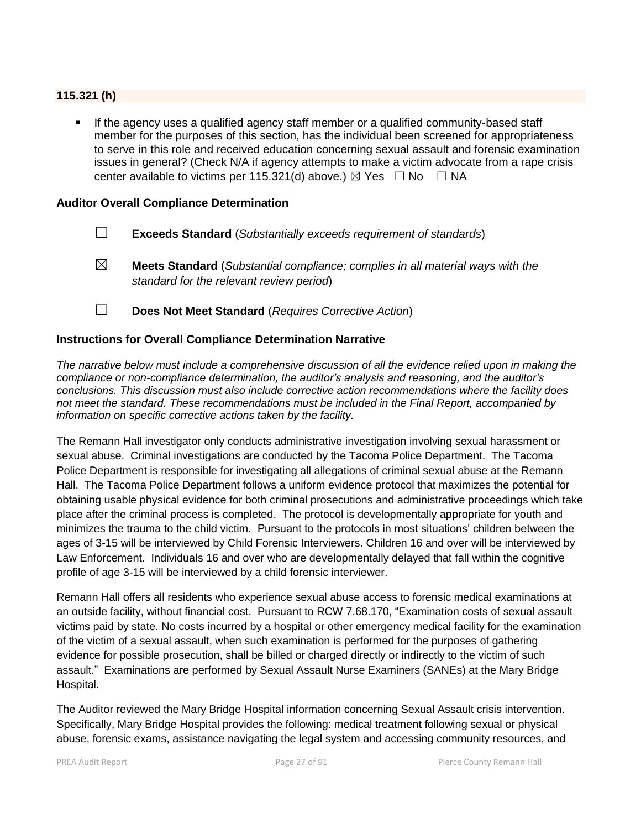#### **115.321 (h)**

 If the agency uses a qualified agency staff member or a qualified community-based staff member for the purposes of this section, has the individual been screened for appropriateness to serve in this role and received education concerning sexual assault and forensic examination issues in general? (Check N/A if agency attempts to make a victim advocate from a rape crisis center available to victims per 115.321(d) above.)  $\boxtimes$  Yes  $\Box$  No  $\Box$  NA

#### **Auditor Overall Compliance Determination**

- ☐ **Exceeds Standard** (*Substantially exceeds requirement of standards*)
- ☒ **Meets Standard** (*Substantial compliance; complies in all material ways with the standard for the relevant review period*)
- ☐ **Does Not Meet Standard** (*Requires Corrective Action*)

#### **Instructions for Overall Compliance Determination Narrative**

*The narrative below must include a comprehensive discussion of all the evidence relied upon in making the compliance or non-compliance determination, the auditor's analysis and reasoning, and the auditor's conclusions. This discussion must also include corrective action recommendations where the facility does not meet the standard. These recommendations must be included in the Final Report, accompanied by information on specific corrective actions taken by the facility.*

The Remann Hall investigator only conducts administrative investigation involving sexual harassment or sexual abuse. Criminal investigations are conducted by the Tacoma Police Department. The Tacoma Police Department is responsible for investigating all allegations of criminal sexual abuse at the Remann Hall. The Tacoma Police Department follows a uniform evidence protocol that maximizes the potential for obtaining usable physical evidence for both criminal prosecutions and administrative proceedings which take place after the criminal process is completed. The protocol is developmentally appropriate for youth and minimizes the trauma to the child victim. Pursuant to the protocols in most situations' children between the ages of 3-15 will be interviewed by Child Forensic Interviewers. Children 16 and over will be interviewed by Law Enforcement. Individuals 16 and over who are developmentally delayed that fall within the cognitive profile of age 3-15 will be interviewed by a child forensic interviewer.

Remann Hall offers all residents who experience sexual abuse access to forensic medical examinations at an outside facility, without financial cost. Pursuant to RCW 7.68.170, "Examination costs of sexual assault victims paid by state. No costs incurred by a hospital or other emergency medical facility for the examination of the victim of a sexual assault, when such examination is performed for the purposes of gathering evidence for possible prosecution, shall be billed or charged directly or indirectly to the victim of such assault." Examinations are performed by Sexual Assault Nurse Examiners (SANEs) at the Mary Bridge Hospital.

The Auditor reviewed the Mary Bridge Hospital information concerning Sexual Assault crisis intervention. Specifically, Mary Bridge Hospital provides the following: medical treatment following sexual or physical abuse, forensic exams, assistance navigating the legal system and accessing community resources, and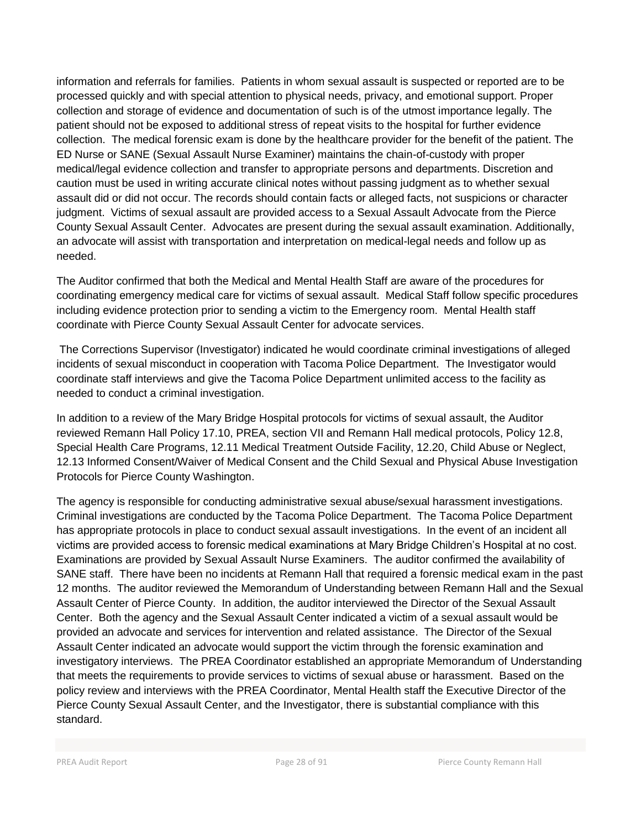information and referrals for families. Patients in whom sexual assault is suspected or reported are to be processed quickly and with special attention to physical needs, privacy, and emotional support. Proper collection and storage of evidence and documentation of such is of the utmost importance legally. The patient should not be exposed to additional stress of repeat visits to the hospital for further evidence collection. The medical forensic exam is done by the healthcare provider for the benefit of the patient. The ED Nurse or SANE (Sexual Assault Nurse Examiner) maintains the chain-of-custody with proper medical/legal evidence collection and transfer to appropriate persons and departments. Discretion and caution must be used in writing accurate clinical notes without passing judgment as to whether sexual assault did or did not occur. The records should contain facts or alleged facts, not suspicions or character judgment. Victims of sexual assault are provided access to a Sexual Assault Advocate from the Pierce County Sexual Assault Center. Advocates are present during the sexual assault examination. Additionally, an advocate will assist with transportation and interpretation on medical-legal needs and follow up as needed.

The Auditor confirmed that both the Medical and Mental Health Staff are aware of the procedures for coordinating emergency medical care for victims of sexual assault. Medical Staff follow specific procedures including evidence protection prior to sending a victim to the Emergency room. Mental Health staff coordinate with Pierce County Sexual Assault Center for advocate services.

The Corrections Supervisor (Investigator) indicated he would coordinate criminal investigations of alleged incidents of sexual misconduct in cooperation with Tacoma Police Department. The Investigator would coordinate staff interviews and give the Tacoma Police Department unlimited access to the facility as needed to conduct a criminal investigation.

In addition to a review of the Mary Bridge Hospital protocols for victims of sexual assault, the Auditor reviewed Remann Hall Policy 17.10, PREA, section VII and Remann Hall medical protocols, Policy 12.8, Special Health Care Programs, 12.11 Medical Treatment Outside Facility, 12.20, Child Abuse or Neglect, 12.13 Informed Consent/Waiver of Medical Consent and the Child Sexual and Physical Abuse Investigation Protocols for Pierce County Washington.

The agency is responsible for conducting administrative sexual abuse/sexual harassment investigations. Criminal investigations are conducted by the Tacoma Police Department. The Tacoma Police Department has appropriate protocols in place to conduct sexual assault investigations. In the event of an incident all victims are provided access to forensic medical examinations at Mary Bridge Children's Hospital at no cost. Examinations are provided by Sexual Assault Nurse Examiners. The auditor confirmed the availability of SANE staff. There have been no incidents at Remann Hall that required a forensic medical exam in the past 12 months. The auditor reviewed the Memorandum of Understanding between Remann Hall and the Sexual Assault Center of Pierce County. In addition, the auditor interviewed the Director of the Sexual Assault Center. Both the agency and the Sexual Assault Center indicated a victim of a sexual assault would be provided an advocate and services for intervention and related assistance. The Director of the Sexual Assault Center indicated an advocate would support the victim through the forensic examination and investigatory interviews. The PREA Coordinator established an appropriate Memorandum of Understanding that meets the requirements to provide services to victims of sexual abuse or harassment. Based on the policy review and interviews with the PREA Coordinator, Mental Health staff the Executive Director of the Pierce County Sexual Assault Center, and the Investigator, there is substantial compliance with this standard.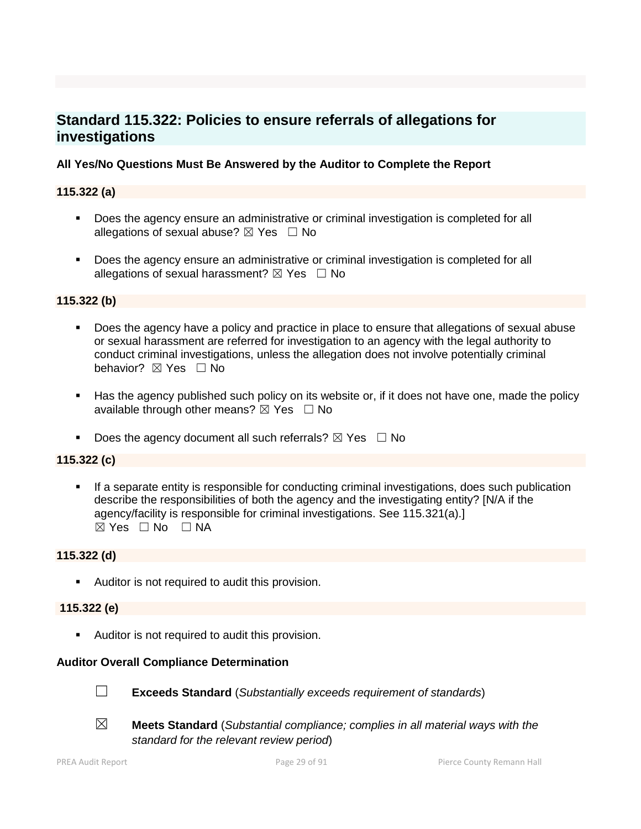# **Standard 115.322: Policies to ensure referrals of allegations for investigations**

## **All Yes/No Questions Must Be Answered by the Auditor to Complete the Report**

## **115.322 (a)**

- **Does the agency ensure an administrative or criminal investigation is completed for all** allegations of sexual abuse?  $\boxtimes$  Yes  $\Box$  No
- **Does the agency ensure an administrative or criminal investigation is completed for all** allegations of sexual harassment?  $\boxtimes$  Yes  $\Box$  No

## **115.322 (b)**

- Does the agency have a policy and practice in place to ensure that allegations of sexual abuse or sexual harassment are referred for investigation to an agency with the legal authority to conduct criminal investigations, unless the allegation does not involve potentially criminal behavior? **⊠** Yes □ No
- Has the agency published such policy on its website or, if it does not have one, made the policy available through other means?  $\boxtimes$  Yes  $\Box$  No
- Does the agency document all such referrals?  $\boxtimes$  Yes  $\Box$  No

## **115.322 (c)**

 If a separate entity is responsible for conducting criminal investigations, does such publication describe the responsibilities of both the agency and the investigating entity? [N/A if the agency/facility is responsible for criminal investigations. See 115.321(a).]  $\boxtimes$  Yes  $\Box$  No  $\Box$  NA

## **115.322 (d)**

**Auditor is not required to audit this provision.** 

#### **115.322 (e)**

**Auditor is not required to audit this provision.** 

## **Auditor Overall Compliance Determination**



- ☐ **Exceeds Standard** (*Substantially exceeds requirement of standards*)
- ☒ **Meets Standard** (*Substantial compliance; complies in all material ways with the standard for the relevant review period*)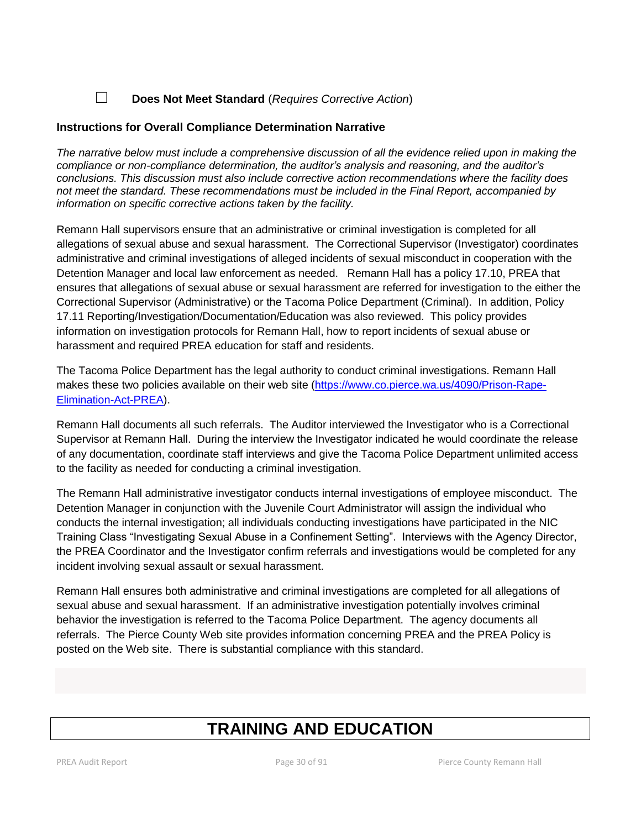## ☐ **Does Not Meet Standard** (*Requires Corrective Action*)

## **Instructions for Overall Compliance Determination Narrative**

*The narrative below must include a comprehensive discussion of all the evidence relied upon in making the compliance or non-compliance determination, the auditor's analysis and reasoning, and the auditor's conclusions. This discussion must also include corrective action recommendations where the facility does not meet the standard. These recommendations must be included in the Final Report, accompanied by information on specific corrective actions taken by the facility.*

Remann Hall supervisors ensure that an administrative or criminal investigation is completed for all allegations of sexual abuse and sexual harassment. The Correctional Supervisor (Investigator) coordinates administrative and criminal investigations of alleged incidents of sexual misconduct in cooperation with the Detention Manager and local law enforcement as needed. Remann Hall has a policy 17.10, PREA that ensures that allegations of sexual abuse or sexual harassment are referred for investigation to the either the Correctional Supervisor (Administrative) or the Tacoma Police Department (Criminal). In addition, Policy 17.11 Reporting/Investigation/Documentation/Education was also reviewed. This policy provides information on investigation protocols for Remann Hall, how to report incidents of sexual abuse or harassment and required PREA education for staff and residents.

The Tacoma Police Department has the legal authority to conduct criminal investigations. Remann Hall makes these two policies available on their web site [\(https://www.co.pierce.wa.us/4090/Prison-Rape-](https://www.co.pierce.wa.us/4090/Prison-Rape-Elimination-Act-PREA)[Elimination-Act-PREA\)](https://www.co.pierce.wa.us/4090/Prison-Rape-Elimination-Act-PREA).

Remann Hall documents all such referrals. The Auditor interviewed the Investigator who is a Correctional Supervisor at Remann Hall. During the interview the Investigator indicated he would coordinate the release of any documentation, coordinate staff interviews and give the Tacoma Police Department unlimited access to the facility as needed for conducting a criminal investigation.

The Remann Hall administrative investigator conducts internal investigations of employee misconduct. The Detention Manager in conjunction with the Juvenile Court Administrator will assign the individual who conducts the internal investigation; all individuals conducting investigations have participated in the NIC Training Class "Investigating Sexual Abuse in a Confinement Setting". Interviews with the Agency Director, the PREA Coordinator and the Investigator confirm referrals and investigations would be completed for any incident involving sexual assault or sexual harassment.

Remann Hall ensures both administrative and criminal investigations are completed for all allegations of sexual abuse and sexual harassment. If an administrative investigation potentially involves criminal behavior the investigation is referred to the Tacoma Police Department. The agency documents all referrals. The Pierce County Web site provides information concerning PREA and the PREA Policy is posted on the Web site. There is substantial compliance with this standard.

# **TRAINING AND EDUCATION**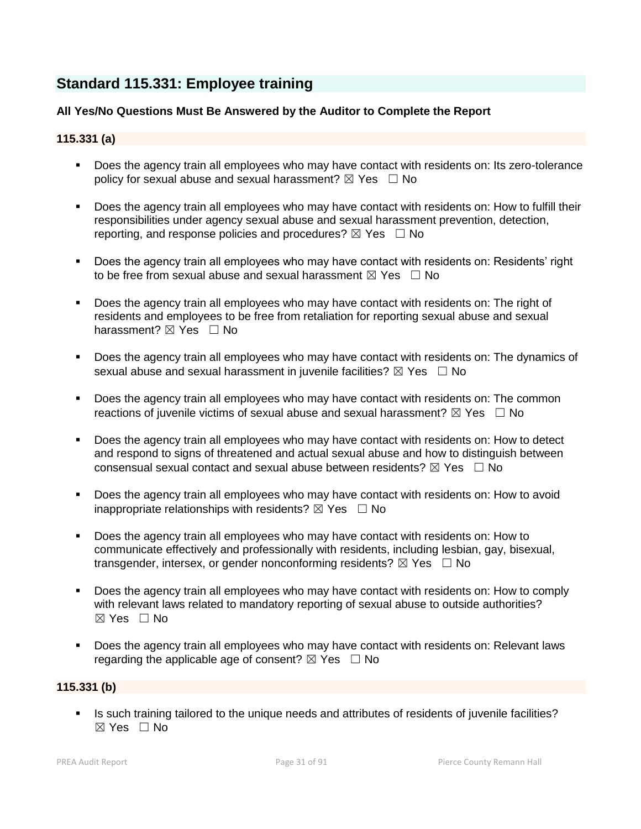# **Standard 115.331: Employee training**

## **All Yes/No Questions Must Be Answered by the Auditor to Complete the Report**

## **115.331 (a)**

- Does the agency train all employees who may have contact with residents on: Its zero-tolerance policy for sexual abuse and sexual harassment?  $\boxtimes$  Yes  $\Box$  No
- Does the agency train all employees who may have contact with residents on: How to fulfill their responsibilities under agency sexual abuse and sexual harassment prevention, detection, reporting, and response policies and procedures?  $\boxtimes$  Yes  $\Box$  No
- Does the agency train all employees who may have contact with residents on: Residents' right to be free from sexual abuse and sexual harassment  $\boxtimes$  Yes  $\Box$  No
- Does the agency train all employees who may have contact with residents on: The right of residents and employees to be free from retaliation for reporting sexual abuse and sexual harassment? **⊠** Yes □ No
- Does the agency train all employees who may have contact with residents on: The dynamics of sexual abuse and sexual harassment in juvenile facilities?  $\boxtimes$  Yes  $\Box$  No
- Does the agency train all employees who may have contact with residents on: The common reactions of juvenile victims of sexual abuse and sexual harassment?  $\boxtimes$  Yes  $\Box$  No
- Does the agency train all employees who may have contact with residents on: How to detect and respond to signs of threatened and actual sexual abuse and how to distinguish between consensual sexual contact and sexual abuse between residents?  $\boxtimes$  Yes  $\Box$  No
- **Does the agency train all employees who may have contact with residents on: How to avoid** inappropriate relationships with residents?  $\boxtimes$  Yes  $\Box$  No
- Does the agency train all employees who may have contact with residents on: How to communicate effectively and professionally with residents, including lesbian, gay, bisexual, transgender, intersex, or gender nonconforming residents?  $\boxtimes$  Yes  $\Box$  No
- Does the agency train all employees who may have contact with residents on: How to comply with relevant laws related to mandatory reporting of sexual abuse to outside authorities? ☒ Yes ☐ No
- Does the agency train all employees who may have contact with residents on: Relevant laws regarding the applicable age of consent?  $\boxtimes$  Yes  $\Box$  No

#### **115.331 (b)**

Is such training tailored to the unique needs and attributes of residents of juvenile facilities?  $\boxtimes$  Yes  $\Box$  No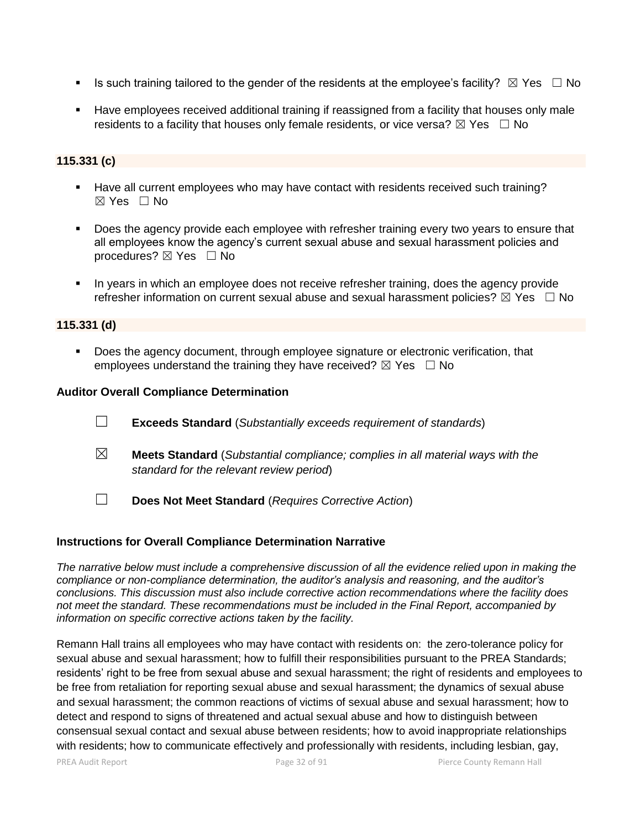- Is such training tailored to the gender of the residents at the employee's facility?  $\boxtimes$  Yes  $\Box$  No
- Have employees received additional training if reassigned from a facility that houses only male residents to a facility that houses only female residents, or vice versa?  $\boxtimes$  Yes  $\Box$  No

## **115.331 (c)**

- Have all current employees who may have contact with residents received such training?  $\boxtimes$  Yes  $\Box$  No
- Does the agency provide each employee with refresher training every two years to ensure that all employees know the agency's current sexual abuse and sexual harassment policies and procedures? ⊠ Yes □ No
- In years in which an employee does not receive refresher training, does the agency provide refresher information on current sexual abuse and sexual harassment policies?  $\boxtimes$  Yes  $\Box$  No

#### **115.331 (d)**

 Does the agency document, through employee signature or electronic verification, that employees understand the training they have received?  $\boxtimes$  Yes  $\Box$  No

#### **Auditor Overall Compliance Determination**

- ☐ **Exceeds Standard** (*Substantially exceeds requirement of standards*)
- ☒ **Meets Standard** (*Substantial compliance; complies in all material ways with the standard for the relevant review period*)
- ☐ **Does Not Meet Standard** (*Requires Corrective Action*)

## **Instructions for Overall Compliance Determination Narrative**

*The narrative below must include a comprehensive discussion of all the evidence relied upon in making the compliance or non-compliance determination, the auditor's analysis and reasoning, and the auditor's conclusions. This discussion must also include corrective action recommendations where the facility does not meet the standard. These recommendations must be included in the Final Report, accompanied by information on specific corrective actions taken by the facility.*

Remann Hall trains all employees who may have contact with residents on: the zero-tolerance policy for sexual abuse and sexual harassment; how to fulfill their responsibilities pursuant to the PREA Standards; residents' right to be free from sexual abuse and sexual harassment; the right of residents and employees to be free from retaliation for reporting sexual abuse and sexual harassment; the dynamics of sexual abuse and sexual harassment; the common reactions of victims of sexual abuse and sexual harassment; how to detect and respond to signs of threatened and actual sexual abuse and how to distinguish between consensual sexual contact and sexual abuse between residents; how to avoid inappropriate relationships with residents; how to communicate effectively and professionally with residents, including lesbian, gay,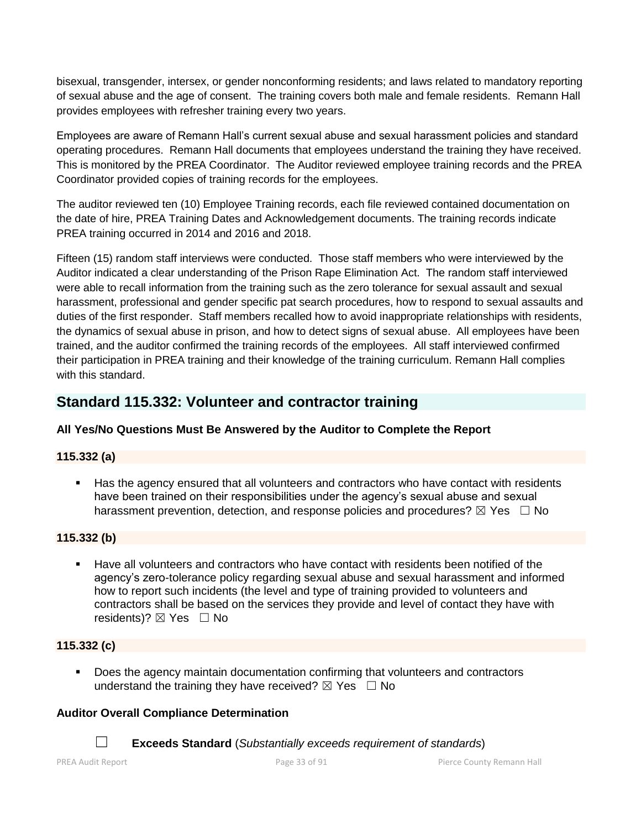bisexual, transgender, intersex, or gender nonconforming residents; and laws related to mandatory reporting of sexual abuse and the age of consent. The training covers both male and female residents. Remann Hall provides employees with refresher training every two years.

Employees are aware of Remann Hall's current sexual abuse and sexual harassment policies and standard operating procedures. Remann Hall documents that employees understand the training they have received. This is monitored by the PREA Coordinator. The Auditor reviewed employee training records and the PREA Coordinator provided copies of training records for the employees.

The auditor reviewed ten (10) Employee Training records, each file reviewed contained documentation on the date of hire, PREA Training Dates and Acknowledgement documents. The training records indicate PREA training occurred in 2014 and 2016 and 2018.

Fifteen (15) random staff interviews were conducted. Those staff members who were interviewed by the Auditor indicated a clear understanding of the Prison Rape Elimination Act. The random staff interviewed were able to recall information from the training such as the zero tolerance for sexual assault and sexual harassment, professional and gender specific pat search procedures, how to respond to sexual assaults and duties of the first responder. Staff members recalled how to avoid inappropriate relationships with residents, the dynamics of sexual abuse in prison, and how to detect signs of sexual abuse. All employees have been trained, and the auditor confirmed the training records of the employees. All staff interviewed confirmed their participation in PREA training and their knowledge of the training curriculum. Remann Hall complies with this standard.

# **Standard 115.332: Volunteer and contractor training**

## **All Yes/No Questions Must Be Answered by the Auditor to Complete the Report**

## **115.332 (a)**

 Has the agency ensured that all volunteers and contractors who have contact with residents have been trained on their responsibilities under the agency's sexual abuse and sexual harassment prevention, detection, and response policies and procedures?  $\boxtimes$  Yes  $\Box$  No

## **115.332 (b)**

 Have all volunteers and contractors who have contact with residents been notified of the agency's zero-tolerance policy regarding sexual abuse and sexual harassment and informed how to report such incidents (the level and type of training provided to volunteers and contractors shall be based on the services they provide and level of contact they have with residents)?  $\boxtimes$  Yes  $\Box$  No

## **115.332 (c)**

 Does the agency maintain documentation confirming that volunteers and contractors understand the training they have received?  $\boxtimes$  Yes  $\Box$  No

## **Auditor Overall Compliance Determination**

☐ **Exceeds Standard** (*Substantially exceeds requirement of standards*)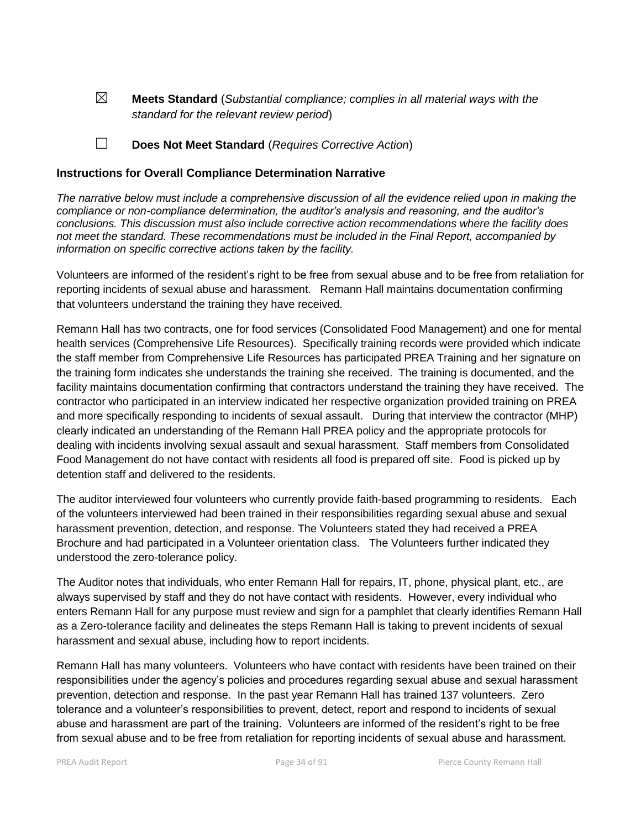☒ **Meets Standard** (*Substantial compliance; complies in all material ways with the standard for the relevant review period*)

☐ **Does Not Meet Standard** (*Requires Corrective Action*)

#### **Instructions for Overall Compliance Determination Narrative**

*The narrative below must include a comprehensive discussion of all the evidence relied upon in making the compliance or non-compliance determination, the auditor's analysis and reasoning, and the auditor's conclusions. This discussion must also include corrective action recommendations where the facility does not meet the standard. These recommendations must be included in the Final Report, accompanied by information on specific corrective actions taken by the facility.*

Volunteers are informed of the resident's right to be free from sexual abuse and to be free from retaliation for reporting incidents of sexual abuse and harassment. Remann Hall maintains documentation confirming that volunteers understand the training they have received.

Remann Hall has two contracts, one for food services (Consolidated Food Management) and one for mental health services (Comprehensive Life Resources). Specifically training records were provided which indicate the staff member from Comprehensive Life Resources has participated PREA Training and her signature on the training form indicates she understands the training she received. The training is documented, and the facility maintains documentation confirming that contractors understand the training they have received. The contractor who participated in an interview indicated her respective organization provided training on PREA and more specifically responding to incidents of sexual assault. During that interview the contractor (MHP) clearly indicated an understanding of the Remann Hall PREA policy and the appropriate protocols for dealing with incidents involving sexual assault and sexual harassment. Staff members from Consolidated Food Management do not have contact with residents all food is prepared off site. Food is picked up by detention staff and delivered to the residents.

The auditor interviewed four volunteers who currently provide faith-based programming to residents. Each of the volunteers interviewed had been trained in their responsibilities regarding sexual abuse and sexual harassment prevention, detection, and response. The Volunteers stated they had received a PREA Brochure and had participated in a Volunteer orientation class. The Volunteers further indicated they understood the zero-tolerance policy.

The Auditor notes that individuals, who enter Remann Hall for repairs, IT, phone, physical plant, etc., are always supervised by staff and they do not have contact with residents. However, every individual who enters Remann Hall for any purpose must review and sign for a pamphlet that clearly identifies Remann Hall as a Zero-tolerance facility and delineates the steps Remann Hall is taking to prevent incidents of sexual harassment and sexual abuse, including how to report incidents.

Remann Hall has many volunteers. Volunteers who have contact with residents have been trained on their responsibilities under the agency's policies and procedures regarding sexual abuse and sexual harassment prevention, detection and response. In the past year Remann Hall has trained 137 volunteers. Zero tolerance and a volunteer's responsibilities to prevent, detect, report and respond to incidents of sexual abuse and harassment are part of the training. Volunteers are informed of the resident's right to be free from sexual abuse and to be free from retaliation for reporting incidents of sexual abuse and harassment.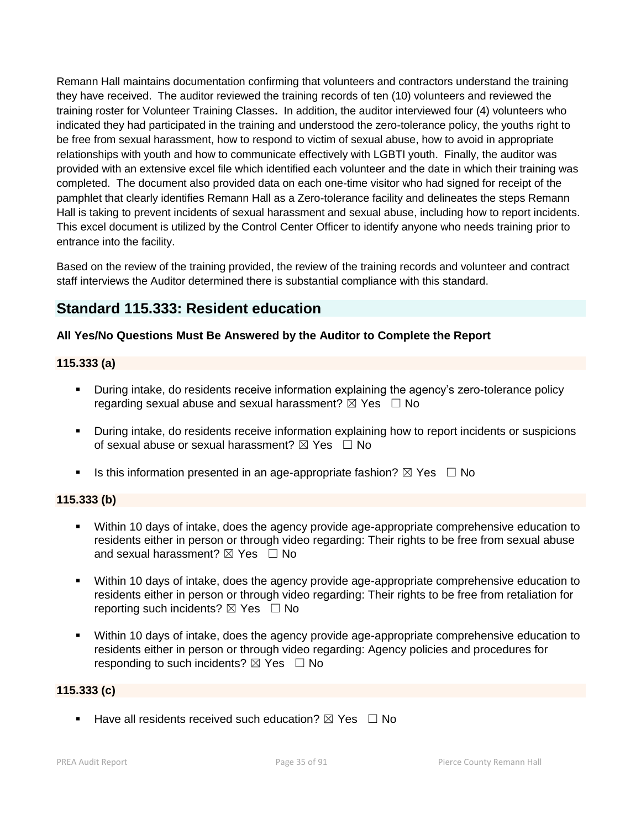Remann Hall maintains documentation confirming that volunteers and contractors understand the training they have received. The auditor reviewed the training records of ten (10) volunteers and reviewed the training roster for Volunteer Training Classes**.** In addition, the auditor interviewed four (4) volunteers who indicated they had participated in the training and understood the zero-tolerance policy, the youths right to be free from sexual harassment, how to respond to victim of sexual abuse, how to avoid in appropriate relationships with youth and how to communicate effectively with LGBTI youth. Finally, the auditor was provided with an extensive excel file which identified each volunteer and the date in which their training was completed. The document also provided data on each one-time visitor who had signed for receipt of the pamphlet that clearly identifies Remann Hall as a Zero-tolerance facility and delineates the steps Remann Hall is taking to prevent incidents of sexual harassment and sexual abuse, including how to report incidents. This excel document is utilized by the Control Center Officer to identify anyone who needs training prior to entrance into the facility.

Based on the review of the training provided, the review of the training records and volunteer and contract staff interviews the Auditor determined there is substantial compliance with this standard.

## **Standard 115.333: Resident education**

## **All Yes/No Questions Must Be Answered by the Auditor to Complete the Report**

## **115.333 (a)**

- During intake, do residents receive information explaining the agency's zero-tolerance policy regarding sexual abuse and sexual harassment?  $\boxtimes$  Yes  $\Box$  No
- During intake, do residents receive information explaining how to report incidents or suspicions of sexual abuse or sexual harassment?  $\boxtimes$  Yes  $\Box$  No
- Is this information presented in an age-appropriate fashion?  $\boxtimes$  Yes  $\Box$  No

## **115.333 (b)**

- Within 10 days of intake, does the agency provide age-appropriate comprehensive education to residents either in person or through video regarding: Their rights to be free from sexual abuse and sexual harassment?  $\boxtimes$  Yes  $\Box$  No
- Within 10 days of intake, does the agency provide age-appropriate comprehensive education to residents either in person or through video regarding: Their rights to be free from retaliation for reporting such incidents?  $\boxtimes$  Yes  $\Box$  No
- Within 10 days of intake, does the agency provide age-appropriate comprehensive education to residents either in person or through video regarding: Agency policies and procedures for responding to such incidents?  $\boxtimes$  Yes  $\Box$  No

## **115.333 (c)**

**Have all residents received such education?**  $\boxtimes$  Yes  $\Box$  No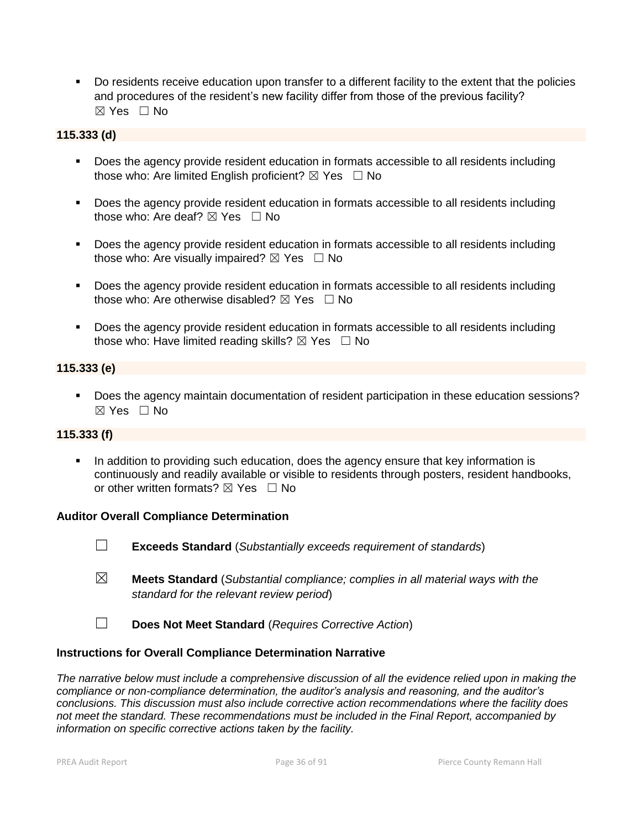Do residents receive education upon transfer to a different facility to the extent that the policies and procedures of the resident's new facility differ from those of the previous facility?  $\boxtimes$  Yes  $\Box$  No

## **115.333 (d)**

- Does the agency provide resident education in formats accessible to all residents including those who: Are limited English proficient?  $\boxtimes$  Yes  $\Box$  No
- **Does the agency provide resident education in formats accessible to all residents including** those who: Are deaf?  $\boxtimes$  Yes  $\Box$  No
- Does the agency provide resident education in formats accessible to all residents including those who: Are visually impaired?  $\boxtimes$  Yes  $\Box$  No
- **Does the agency provide resident education in formats accessible to all residents including** those who: Are otherwise disabled?  $\boxtimes$  Yes  $\Box$  No
- **Does the agency provide resident education in formats accessible to all residents including** those who: Have limited reading skills?  $\boxtimes$  Yes  $\Box$  No

## **115.333 (e)**

Does the agency maintain documentation of resident participation in these education sessions?  $\boxtimes$  Yes  $\Box$  No

#### **115.333 (f)**

 In addition to providing such education, does the agency ensure that key information is continuously and readily available or visible to residents through posters, resident handbooks, or other written formats?  $\boxtimes$  Yes  $\Box$  No

#### **Auditor Overall Compliance Determination**

- ☐ **Exceeds Standard** (*Substantially exceeds requirement of standards*)
- ☒ **Meets Standard** (*Substantial compliance; complies in all material ways with the standard for the relevant review period*)
- ☐ **Does Not Meet Standard** (*Requires Corrective Action*)

#### **Instructions for Overall Compliance Determination Narrative**

*The narrative below must include a comprehensive discussion of all the evidence relied upon in making the compliance or non-compliance determination, the auditor's analysis and reasoning, and the auditor's conclusions. This discussion must also include corrective action recommendations where the facility does not meet the standard. These recommendations must be included in the Final Report, accompanied by information on specific corrective actions taken by the facility.*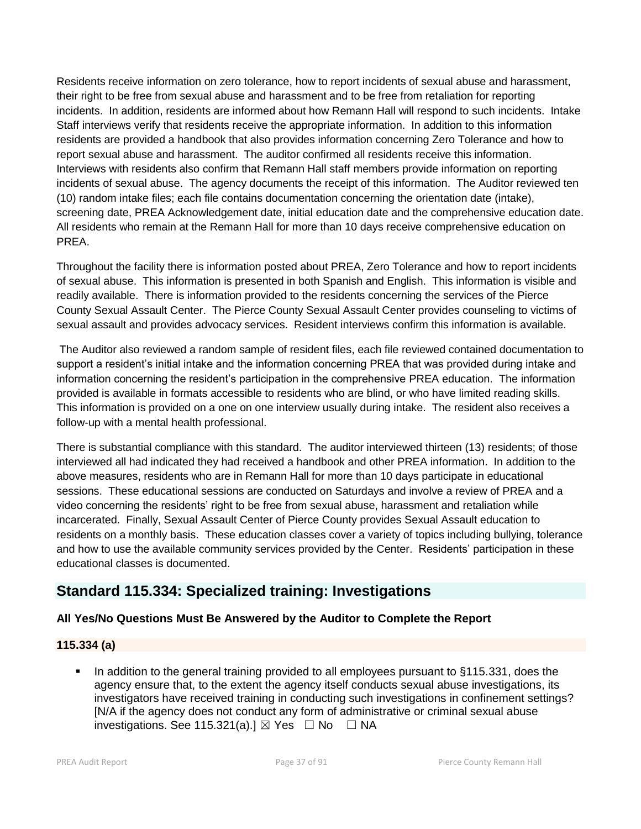Residents receive information on zero tolerance, how to report incidents of sexual abuse and harassment, their right to be free from sexual abuse and harassment and to be free from retaliation for reporting incidents. In addition, residents are informed about how Remann Hall will respond to such incidents. Intake Staff interviews verify that residents receive the appropriate information. In addition to this information residents are provided a handbook that also provides information concerning Zero Tolerance and how to report sexual abuse and harassment. The auditor confirmed all residents receive this information. Interviews with residents also confirm that Remann Hall staff members provide information on reporting incidents of sexual abuse. The agency documents the receipt of this information. The Auditor reviewed ten (10) random intake files; each file contains documentation concerning the orientation date (intake), screening date, PREA Acknowledgement date, initial education date and the comprehensive education date. All residents who remain at the Remann Hall for more than 10 days receive comprehensive education on PREA.

Throughout the facility there is information posted about PREA, Zero Tolerance and how to report incidents of sexual abuse. This information is presented in both Spanish and English. This information is visible and readily available. There is information provided to the residents concerning the services of the Pierce County Sexual Assault Center. The Pierce County Sexual Assault Center provides counseling to victims of sexual assault and provides advocacy services. Resident interviews confirm this information is available.

The Auditor also reviewed a random sample of resident files, each file reviewed contained documentation to support a resident's initial intake and the information concerning PREA that was provided during intake and information concerning the resident's participation in the comprehensive PREA education. The information provided is available in formats accessible to residents who are blind, or who have limited reading skills. This information is provided on a one on one interview usually during intake. The resident also receives a follow-up with a mental health professional.

There is substantial compliance with this standard. The auditor interviewed thirteen (13) residents; of those interviewed all had indicated they had received a handbook and other PREA information. In addition to the above measures, residents who are in Remann Hall for more than 10 days participate in educational sessions. These educational sessions are conducted on Saturdays and involve a review of PREA and a video concerning the residents' right to be free from sexual abuse, harassment and retaliation while incarcerated. Finally, Sexual Assault Center of Pierce County provides Sexual Assault education to residents on a monthly basis. These education classes cover a variety of topics including bullying, tolerance and how to use the available community services provided by the Center. Residents' participation in these educational classes is documented.

## **Standard 115.334: Specialized training: Investigations**

## **All Yes/No Questions Must Be Answered by the Auditor to Complete the Report**

## **115.334 (a)**

 In addition to the general training provided to all employees pursuant to §115.331, does the agency ensure that, to the extent the agency itself conducts sexual abuse investigations, its investigators have received training in conducting such investigations in confinement settings? [N/A if the agency does not conduct any form of administrative or criminal sexual abuse investigations. See 115.321(a).]  $\boxtimes$  Yes  $\Box$  No  $\Box$  NA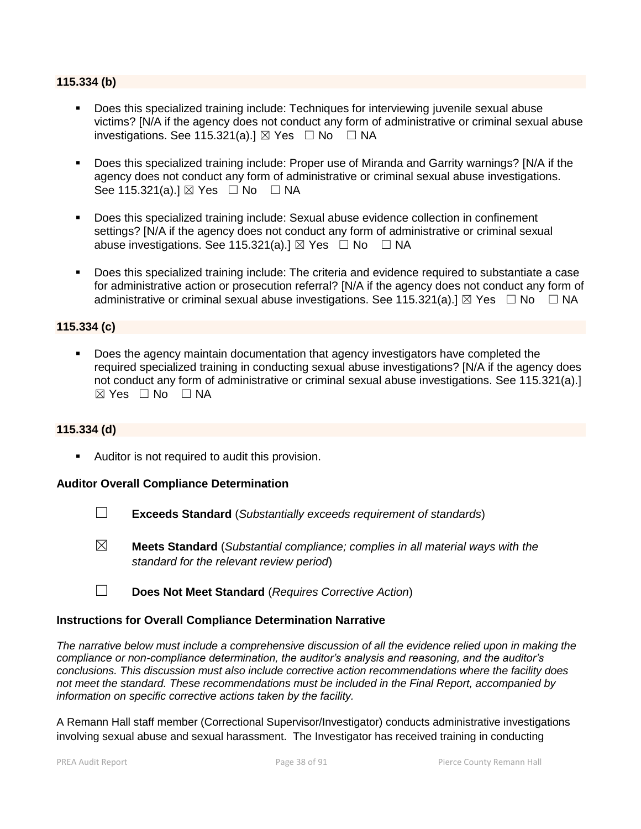#### **115.334 (b)**

- Does this specialized training include: Techniques for interviewing juvenile sexual abuse victims? [N/A if the agency does not conduct any form of administrative or criminal sexual abuse investigations. See 115.321(a). $\exists$  Yes  $\Box$  No  $\Box$  NA
- Does this specialized training include: Proper use of Miranda and Garrity warnings? [N/A if the agency does not conduct any form of administrative or criminal sexual abuse investigations. See 115.321(a).] ⊠ Yes □ No □ NA
- Does this specialized training include: Sexual abuse evidence collection in confinement settings? [N/A if the agency does not conduct any form of administrative or criminal sexual abuse investigations. See 115.321(a).]  $\boxtimes$  Yes  $\Box$  No  $\Box$  NA
- Does this specialized training include: The criteria and evidence required to substantiate a case for administrative action or prosecution referral? [N/A if the agency does not conduct any form of administrative or criminal sexual abuse investigations. See 115.321(a).]  $\boxtimes$  Yes  $\Box$  No  $\Box$  NA

## **115.334 (c)**

 Does the agency maintain documentation that agency investigators have completed the required specialized training in conducting sexual abuse investigations? [N/A if the agency does not conduct any form of administrative or criminal sexual abuse investigations. See 115.321(a).]  $\boxtimes$  Yes  $\Box$  No  $\Box$  NA

#### **115.334 (d)**

**Auditor is not required to audit this provision.** 

#### **Auditor Overall Compliance Determination**

- ☐ **Exceeds Standard** (*Substantially exceeds requirement of standards*)
- ☒ **Meets Standard** (*Substantial compliance; complies in all material ways with the standard for the relevant review period*)
- ☐ **Does Not Meet Standard** (*Requires Corrective Action*)

#### **Instructions for Overall Compliance Determination Narrative**

*The narrative below must include a comprehensive discussion of all the evidence relied upon in making the compliance or non-compliance determination, the auditor's analysis and reasoning, and the auditor's conclusions. This discussion must also include corrective action recommendations where the facility does not meet the standard. These recommendations must be included in the Final Report, accompanied by information on specific corrective actions taken by the facility.*

A Remann Hall staff member (Correctional Supervisor/Investigator) conducts administrative investigations involving sexual abuse and sexual harassment. The Investigator has received training in conducting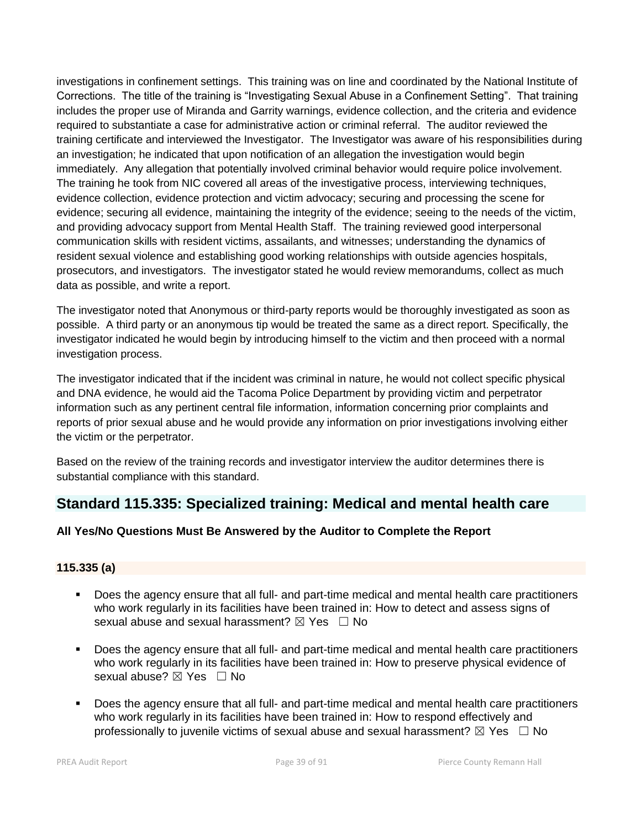investigations in confinement settings. This training was on line and coordinated by the National Institute of Corrections. The title of the training is "Investigating Sexual Abuse in a Confinement Setting". That training includes the proper use of Miranda and Garrity warnings, evidence collection, and the criteria and evidence required to substantiate a case for administrative action or criminal referral. The auditor reviewed the training certificate and interviewed the Investigator. The Investigator was aware of his responsibilities during an investigation; he indicated that upon notification of an allegation the investigation would begin immediately. Any allegation that potentially involved criminal behavior would require police involvement. The training he took from NIC covered all areas of the investigative process, interviewing techniques, evidence collection, evidence protection and victim advocacy; securing and processing the scene for evidence; securing all evidence, maintaining the integrity of the evidence; seeing to the needs of the victim, and providing advocacy support from Mental Health Staff. The training reviewed good interpersonal communication skills with resident victims, assailants, and witnesses; understanding the dynamics of resident sexual violence and establishing good working relationships with outside agencies hospitals, prosecutors, and investigators. The investigator stated he would review memorandums, collect as much data as possible, and write a report.

The investigator noted that Anonymous or third-party reports would be thoroughly investigated as soon as possible. A third party or an anonymous tip would be treated the same as a direct report. Specifically, the investigator indicated he would begin by introducing himself to the victim and then proceed with a normal investigation process.

The investigator indicated that if the incident was criminal in nature, he would not collect specific physical and DNA evidence, he would aid the Tacoma Police Department by providing victim and perpetrator information such as any pertinent central file information, information concerning prior complaints and reports of prior sexual abuse and he would provide any information on prior investigations involving either the victim or the perpetrator.

Based on the review of the training records and investigator interview the auditor determines there is substantial compliance with this standard.

## **Standard 115.335: Specialized training: Medical and mental health care**

## **All Yes/No Questions Must Be Answered by the Auditor to Complete the Report**

## **115.335 (a)**

- Does the agency ensure that all full- and part-time medical and mental health care practitioners who work regularly in its facilities have been trained in: How to detect and assess signs of sexual abuse and sexual harassment?  $\boxtimes$  Yes  $\Box$  No
- Does the agency ensure that all full- and part-time medical and mental health care practitioners who work regularly in its facilities have been trained in: How to preserve physical evidence of sexual abuse? ⊠ Yes □ No
- Does the agency ensure that all full- and part-time medical and mental health care practitioners who work regularly in its facilities have been trained in: How to respond effectively and professionally to juvenile victims of sexual abuse and sexual harassment?  $\boxtimes$  Yes  $\Box$  No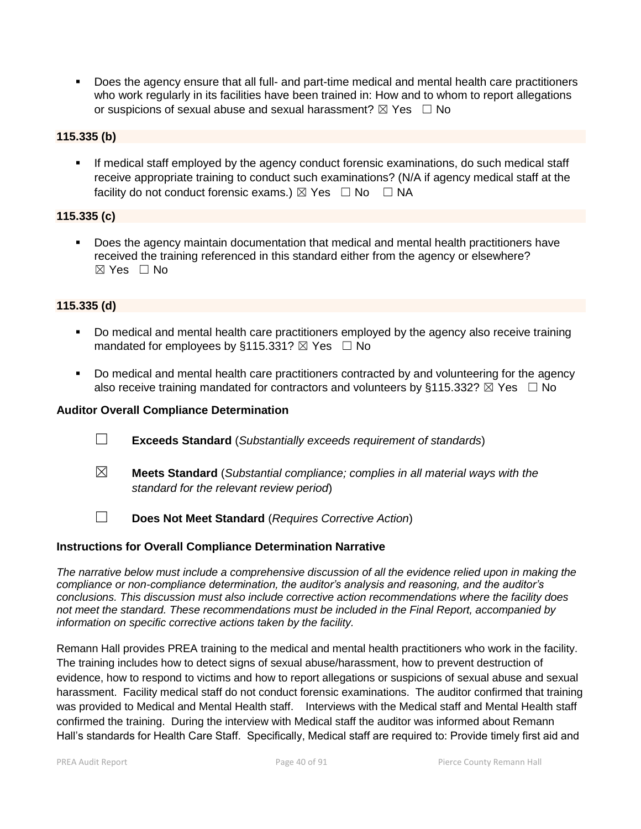Does the agency ensure that all full- and part-time medical and mental health care practitioners who work regularly in its facilities have been trained in: How and to whom to report allegations or suspicions of sexual abuse and sexual harassment?  $\boxtimes$  Yes  $\Box$  No

## **115.335 (b)**

 If medical staff employed by the agency conduct forensic examinations, do such medical staff receive appropriate training to conduct such examinations? (N/A if agency medical staff at the facility do not conduct forensic exams.)  $\boxtimes$  Yes  $\Box$  No  $\Box$  NA

## **115.335 (c)**

 Does the agency maintain documentation that medical and mental health practitioners have received the training referenced in this standard either from the agency or elsewhere? ☒ Yes ☐ No

## **115.335 (d)**

- Do medical and mental health care practitioners employed by the agency also receive training mandated for employees by §115.331?  $\boxtimes$  Yes  $\Box$  No
- Do medical and mental health care practitioners contracted by and volunteering for the agency also receive training mandated for contractors and volunteers by §115.332?  $\boxtimes$  Yes  $\Box$  No

#### **Auditor Overall Compliance Determination**

- ☐ **Exceeds Standard** (*Substantially exceeds requirement of standards*)
- ☒ **Meets Standard** (*Substantial compliance; complies in all material ways with the standard for the relevant review period*)
- ☐ **Does Not Meet Standard** (*Requires Corrective Action*)

## **Instructions for Overall Compliance Determination Narrative**

*The narrative below must include a comprehensive discussion of all the evidence relied upon in making the compliance or non-compliance determination, the auditor's analysis and reasoning, and the auditor's conclusions. This discussion must also include corrective action recommendations where the facility does not meet the standard. These recommendations must be included in the Final Report, accompanied by information on specific corrective actions taken by the facility.*

Remann Hall provides PREA training to the medical and mental health practitioners who work in the facility. The training includes how to detect signs of sexual abuse/harassment, how to prevent destruction of evidence, how to respond to victims and how to report allegations or suspicions of sexual abuse and sexual harassment. Facility medical staff do not conduct forensic examinations. The auditor confirmed that training was provided to Medical and Mental Health staff. Interviews with the Medical staff and Mental Health staff confirmed the training. During the interview with Medical staff the auditor was informed about Remann Hall's standards for Health Care Staff. Specifically, Medical staff are required to: Provide timely first aid and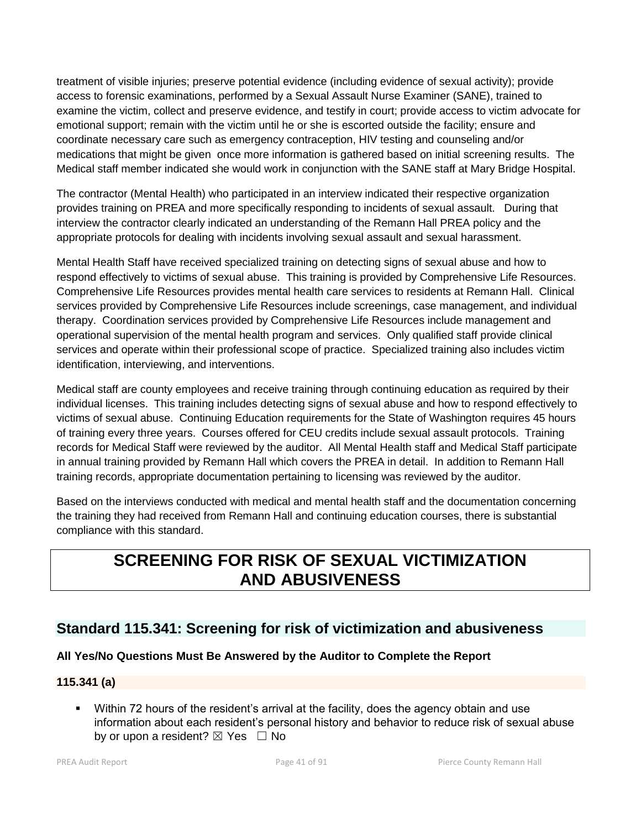treatment of visible injuries; preserve potential evidence (including evidence of sexual activity); provide access to forensic examinations, performed by a Sexual Assault Nurse Examiner (SANE), trained to examine the victim, collect and preserve evidence, and testify in court; provide access to victim advocate for emotional support; remain with the victim until he or she is escorted outside the facility; ensure and coordinate necessary care such as emergency contraception, HIV testing and counseling and/or medications that might be given once more information is gathered based on initial screening results. The Medical staff member indicated she would work in conjunction with the SANE staff at Mary Bridge Hospital.

The contractor (Mental Health) who participated in an interview indicated their respective organization provides training on PREA and more specifically responding to incidents of sexual assault. During that interview the contractor clearly indicated an understanding of the Remann Hall PREA policy and the appropriate protocols for dealing with incidents involving sexual assault and sexual harassment.

Mental Health Staff have received specialized training on detecting signs of sexual abuse and how to respond effectively to victims of sexual abuse. This training is provided by Comprehensive Life Resources. Comprehensive Life Resources provides mental health care services to residents at Remann Hall. Clinical services provided by Comprehensive Life Resources include screenings, case management, and individual therapy. Coordination services provided by Comprehensive Life Resources include management and operational supervision of the mental health program and services. Only qualified staff provide clinical services and operate within their professional scope of practice. Specialized training also includes victim identification, interviewing, and interventions.

Medical staff are county employees and receive training through continuing education as required by their individual licenses. This training includes detecting signs of sexual abuse and how to respond effectively to victims of sexual abuse. Continuing Education requirements for the State of Washington requires 45 hours of training every three years. Courses offered for CEU credits include sexual assault protocols. Training records for Medical Staff were reviewed by the auditor. All Mental Health staff and Medical Staff participate in annual training provided by Remann Hall which covers the PREA in detail. In addition to Remann Hall training records, appropriate documentation pertaining to licensing was reviewed by the auditor.

Based on the interviews conducted with medical and mental health staff and the documentation concerning the training they had received from Remann Hall and continuing education courses, there is substantial compliance with this standard.

# **SCREENING FOR RISK OF SEXUAL VICTIMIZATION AND ABUSIVENESS**

## **Standard 115.341: Screening for risk of victimization and abusiveness**

## **All Yes/No Questions Must Be Answered by the Auditor to Complete the Report**

## **115.341 (a)**

 Within 72 hours of the resident's arrival at the facility, does the agency obtain and use information about each resident's personal history and behavior to reduce risk of sexual abuse by or upon a resident?  $\boxtimes$  Yes  $\Box$  No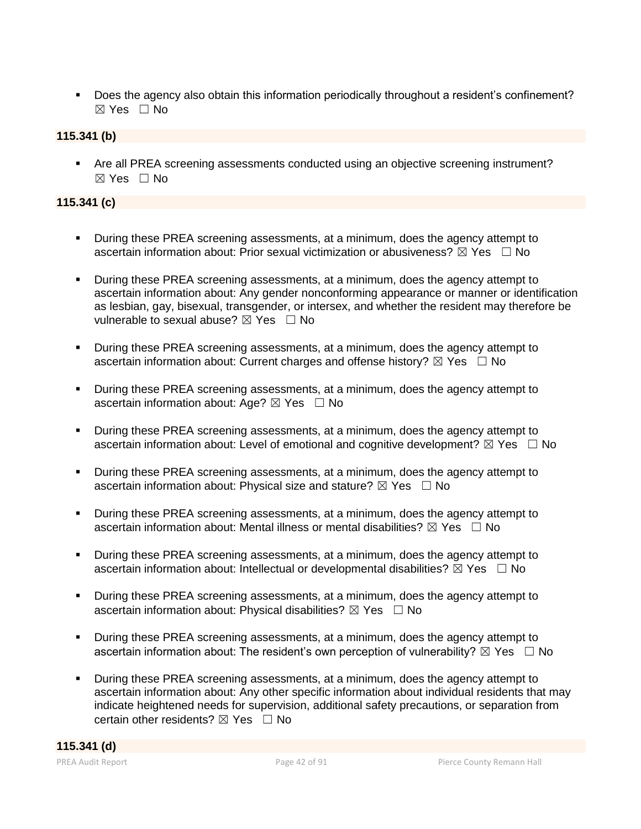Does the agency also obtain this information periodically throughout a resident's confinement?  $\boxtimes$  Yes  $\Box$  No

## **115.341 (b)**

 Are all PREA screening assessments conducted using an objective screening instrument? ☒ Yes ☐ No

## **115.341 (c)**

- During these PREA screening assessments, at a minimum, does the agency attempt to ascertain information about: Prior sexual victimization or abusiveness?  $\boxtimes$  Yes  $\Box$  No
- During these PREA screening assessments, at a minimum, does the agency attempt to ascertain information about: Any gender nonconforming appearance or manner or identification as lesbian, gay, bisexual, transgender, or intersex, and whether the resident may therefore be vulnerable to sexual abuse?  $\boxtimes$  Yes  $\Box$  No
- During these PREA screening assessments, at a minimum, does the agency attempt to ascertain information about: Current charges and offense history?  $\boxtimes$  Yes  $\Box$  No
- During these PREA screening assessments, at a minimum, does the agency attempt to ascertain information about: Age?  $\boxtimes$  Yes  $\Box$  No
- During these PREA screening assessments, at a minimum, does the agency attempt to ascertain information about: Level of emotional and cognitive development?  $\boxtimes$  Yes  $\Box$  No
- During these PREA screening assessments, at a minimum, does the agency attempt to ascertain information about: Physical size and stature?  $\boxtimes$  Yes  $\Box$  No
- During these PREA screening assessments, at a minimum, does the agency attempt to ascertain information about: Mental illness or mental disabilities?  $\boxtimes$  Yes  $\Box$  No
- During these PREA screening assessments, at a minimum, does the agency attempt to ascertain information about: Intellectual or developmental disabilities?  $\boxtimes$  Yes  $\Box$  No
- During these PREA screening assessments, at a minimum, does the agency attempt to ascertain information about: Physical disabilities?  $\boxtimes$  Yes  $\Box$  No
- During these PREA screening assessments, at a minimum, does the agency attempt to ascertain information about: The resident's own perception of vulnerability?  $\boxtimes$  Yes  $\Box$  No
- During these PREA screening assessments, at a minimum, does the agency attempt to ascertain information about: Any other specific information about individual residents that may indicate heightened needs for supervision, additional safety precautions, or separation from certain other residents?  $\boxtimes$  Yes  $\Box$  No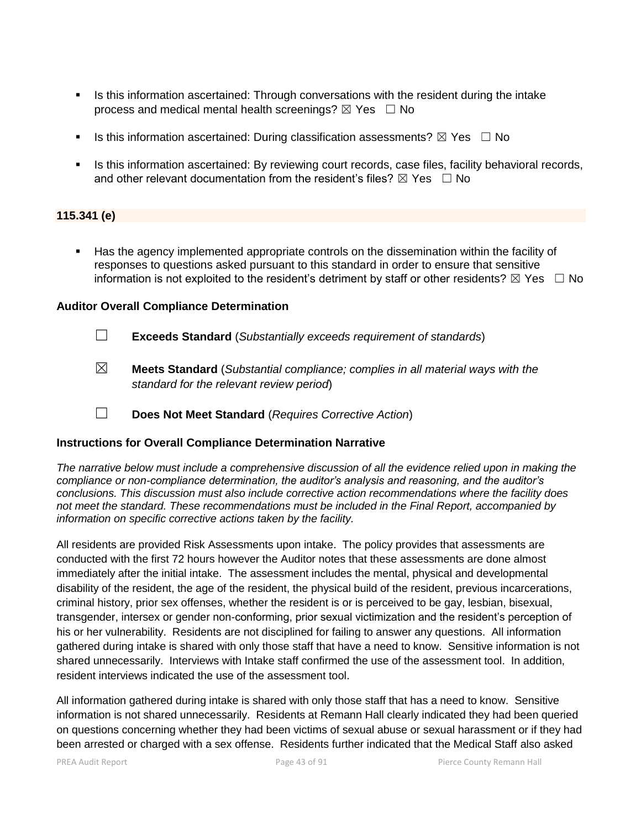- Is this information ascertained: Through conversations with the resident during the intake process and medical mental health screenings?  $\boxtimes$  Yes  $\Box$  No
- Is this information ascertained: During classification assessments?  $\boxtimes$  Yes  $\Box$  No
- **In Stephanish is information ascertained: By reviewing court records, case files, facility behavioral records,** and other relevant documentation from the resident's files?  $\boxtimes$  Yes  $\Box$  No

## **115.341 (e)**

 Has the agency implemented appropriate controls on the dissemination within the facility of responses to questions asked pursuant to this standard in order to ensure that sensitive information is not exploited to the resident's detriment by staff or other residents?  $\boxtimes$  Yes  $\Box$  No

#### **Auditor Overall Compliance Determination**

- ☐ **Exceeds Standard** (*Substantially exceeds requirement of standards*)
- ☒ **Meets Standard** (*Substantial compliance; complies in all material ways with the standard for the relevant review period*)
- ☐ **Does Not Meet Standard** (*Requires Corrective Action*)

## **Instructions for Overall Compliance Determination Narrative**

*The narrative below must include a comprehensive discussion of all the evidence relied upon in making the compliance or non-compliance determination, the auditor's analysis and reasoning, and the auditor's conclusions. This discussion must also include corrective action recommendations where the facility does not meet the standard. These recommendations must be included in the Final Report, accompanied by information on specific corrective actions taken by the facility.*

All residents are provided Risk Assessments upon intake. The policy provides that assessments are conducted with the first 72 hours however the Auditor notes that these assessments are done almost immediately after the initial intake. The assessment includes the mental, physical and developmental disability of the resident, the age of the resident, the physical build of the resident, previous incarcerations, criminal history, prior sex offenses, whether the resident is or is perceived to be gay, lesbian, bisexual, transgender, intersex or gender non-conforming, prior sexual victimization and the resident's perception of his or her vulnerability. Residents are not disciplined for failing to answer any questions. All information gathered during intake is shared with only those staff that have a need to know. Sensitive information is not shared unnecessarily. Interviews with Intake staff confirmed the use of the assessment tool. In addition, resident interviews indicated the use of the assessment tool.

All information gathered during intake is shared with only those staff that has a need to know. Sensitive information is not shared unnecessarily. Residents at Remann Hall clearly indicated they had been queried on questions concerning whether they had been victims of sexual abuse or sexual harassment or if they had been arrested or charged with a sex offense. Residents further indicated that the Medical Staff also asked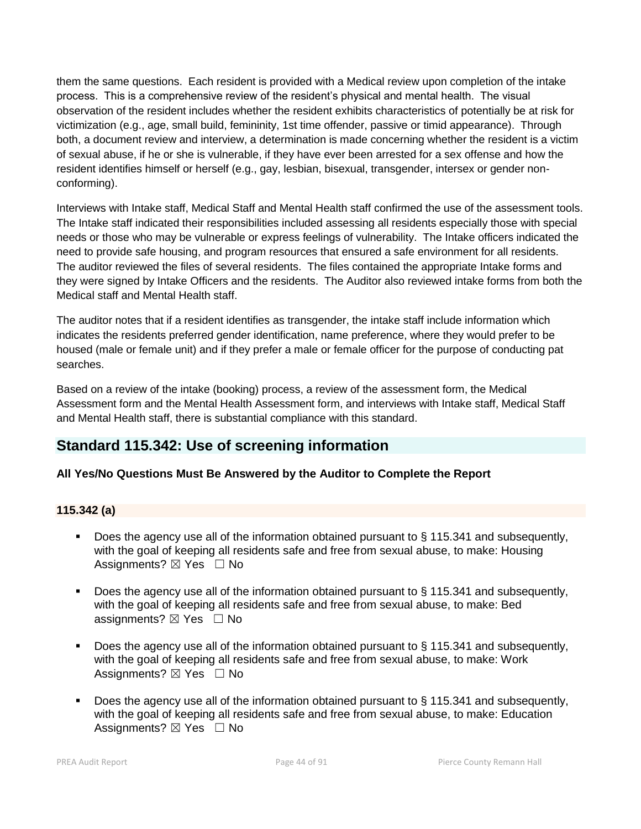them the same questions. Each resident is provided with a Medical review upon completion of the intake process. This is a comprehensive review of the resident's physical and mental health. The visual observation of the resident includes whether the resident exhibits characteristics of potentially be at risk for victimization (e.g., age, small build, femininity, 1st time offender, passive or timid appearance). Through both, a document review and interview, a determination is made concerning whether the resident is a victim of sexual abuse, if he or she is vulnerable, if they have ever been arrested for a sex offense and how the resident identifies himself or herself (e.g., gay, lesbian, bisexual, transgender, intersex or gender nonconforming).

Interviews with Intake staff, Medical Staff and Mental Health staff confirmed the use of the assessment tools. The Intake staff indicated their responsibilities included assessing all residents especially those with special needs or those who may be vulnerable or express feelings of vulnerability. The Intake officers indicated the need to provide safe housing, and program resources that ensured a safe environment for all residents. The auditor reviewed the files of several residents. The files contained the appropriate Intake forms and they were signed by Intake Officers and the residents. The Auditor also reviewed intake forms from both the Medical staff and Mental Health staff.

The auditor notes that if a resident identifies as transgender, the intake staff include information which indicates the residents preferred gender identification, name preference, where they would prefer to be housed (male or female unit) and if they prefer a male or female officer for the purpose of conducting pat searches.

Based on a review of the intake (booking) process, a review of the assessment form, the Medical Assessment form and the Mental Health Assessment form, and interviews with Intake staff, Medical Staff and Mental Health staff, there is substantial compliance with this standard.

## **Standard 115.342: Use of screening information**

## **All Yes/No Questions Must Be Answered by the Auditor to Complete the Report**

## **115.342 (a)**

- Does the agency use all of the information obtained pursuant to § 115.341 and subsequently, with the goal of keeping all residents safe and free from sexual abuse, to make: Housing Assignments?  $\boxtimes$  Yes  $\Box$  No
- Does the agency use all of the information obtained pursuant to § 115.341 and subsequently, with the goal of keeping all residents safe and free from sexual abuse, to make: Bed assignments?  $\boxtimes$  Yes  $\Box$  No
- Does the agency use all of the information obtained pursuant to § 115.341 and subsequently, with the goal of keeping all residents safe and free from sexual abuse, to make: Work Assignments?  $\boxtimes$  Yes  $\Box$  No
- Does the agency use all of the information obtained pursuant to § 115.341 and subsequently, with the goal of keeping all residents safe and free from sexual abuse, to make: Education Assignments?  $\boxtimes$  Yes  $\Box$  No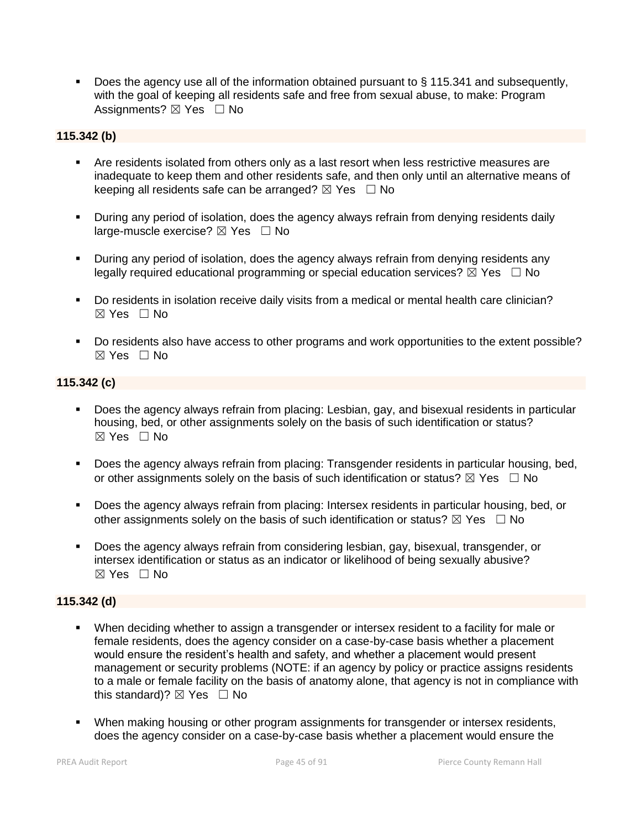Does the agency use all of the information obtained pursuant to § 115.341 and subsequently, with the goal of keeping all residents safe and free from sexual abuse, to make: Program Assignments? ⊠ Yes □ No

## **115.342 (b)**

- Are residents isolated from others only as a last resort when less restrictive measures are inadequate to keep them and other residents safe, and then only until an alternative means of keeping all residents safe can be arranged?  $\boxtimes$  Yes  $\Box$  No
- During any period of isolation, does the agency always refrain from denying residents daily large-muscle exercise?  $\boxtimes$  Yes  $\Box$  No
- During any period of isolation, does the agency always refrain from denying residents any legally required educational programming or special education services?  $\boxtimes$  Yes  $\Box$  No
- Do residents in isolation receive daily visits from a medical or mental health care clinician?  $\boxtimes$  Yes  $\Box$  No
- Do residents also have access to other programs and work opportunities to the extent possible?  $\boxtimes$  Yes  $\Box$  No

## **115.342 (c)**

- Does the agency always refrain from placing: Lesbian, gay, and bisexual residents in particular housing, bed, or other assignments solely on the basis of such identification or status?  $\boxtimes$  Yes  $\Box$  No
- Does the agency always refrain from placing: Transgender residents in particular housing, bed, or other assignments solely on the basis of such identification or status?  $\boxtimes$  Yes  $\Box$  No
- Does the agency always refrain from placing: Intersex residents in particular housing, bed, or other assignments solely on the basis of such identification or status?  $\boxtimes$  Yes  $\Box$  No
- Does the agency always refrain from considering lesbian, gay, bisexual, transgender, or intersex identification or status as an indicator or likelihood of being sexually abusive?  $\boxtimes$  Yes  $\Box$  No

## **115.342 (d)**

- When deciding whether to assign a transgender or intersex resident to a facility for male or female residents, does the agency consider on a case-by-case basis whether a placement would ensure the resident's health and safety, and whether a placement would present management or security problems (NOTE: if an agency by policy or practice assigns residents to a male or female facility on the basis of anatomy alone, that agency is not in compliance with this standard)?  $\boxtimes$  Yes  $\Box$  No
- When making housing or other program assignments for transgender or intersex residents, does the agency consider on a case-by-case basis whether a placement would ensure the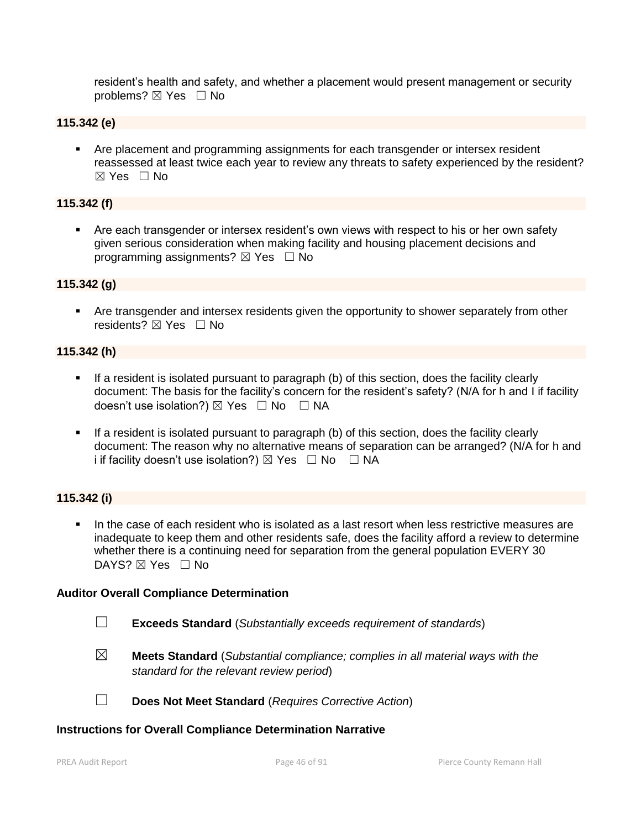resident's health and safety, and whether a placement would present management or security problems? ⊠ Yes □ No

## **115.342 (e)**

**• Are placement and programming assignments for each transgender or intersex resident** reassessed at least twice each year to review any threats to safety experienced by the resident?  $\boxtimes$  Yes  $\Box$  No

#### **115.342 (f)**

 Are each transgender or intersex resident's own views with respect to his or her own safety given serious consideration when making facility and housing placement decisions and programming assignments?  $\boxtimes$  Yes  $\Box$  No

#### **115.342 (g)**

 Are transgender and intersex residents given the opportunity to shower separately from other residents? ⊠ Yes □ No

#### **115.342 (h)**

- If a resident is isolated pursuant to paragraph (b) of this section, does the facility clearly document: The basis for the facility's concern for the resident's safety? (N/A for h and I if facility doesn't use isolation?)  $\boxtimes$  Yes  $\Box$  No  $\Box$  NA
- If a resident is isolated pursuant to paragraph (b) of this section, does the facility clearly document: The reason why no alternative means of separation can be arranged? (N/A for h and i if facility doesn't use isolation?)  $\boxtimes$  Yes  $\Box$  No  $\Box$  NA

## **115.342 (i)**

 In the case of each resident who is isolated as a last resort when less restrictive measures are inadequate to keep them and other residents safe, does the facility afford a review to determine whether there is a continuing need for separation from the general population EVERY 30 DAYS? ⊠ Yes □ No

#### **Auditor Overall Compliance Determination**

- ☐ **Exceeds Standard** (*Substantially exceeds requirement of standards*)
- ☒ **Meets Standard** (*Substantial compliance; complies in all material ways with the standard for the relevant review period*)

☐ **Does Not Meet Standard** (*Requires Corrective Action*)

#### **Instructions for Overall Compliance Determination Narrative**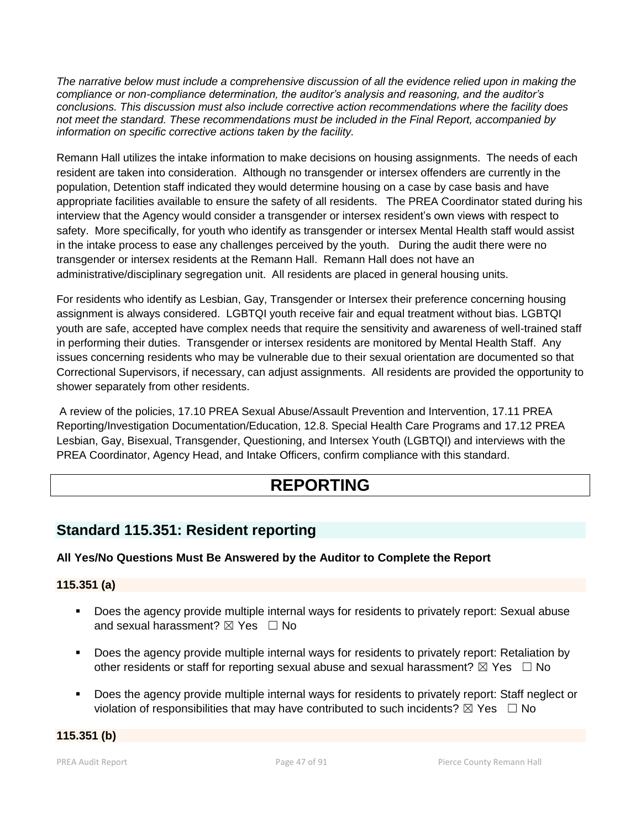*The narrative below must include a comprehensive discussion of all the evidence relied upon in making the compliance or non-compliance determination, the auditor's analysis and reasoning, and the auditor's conclusions. This discussion must also include corrective action recommendations where the facility does not meet the standard. These recommendations must be included in the Final Report, accompanied by information on specific corrective actions taken by the facility.*

Remann Hall utilizes the intake information to make decisions on housing assignments. The needs of each resident are taken into consideration. Although no transgender or intersex offenders are currently in the population, Detention staff indicated they would determine housing on a case by case basis and have appropriate facilities available to ensure the safety of all residents. The PREA Coordinator stated during his interview that the Agency would consider a transgender or intersex resident's own views with respect to safety. More specifically, for youth who identify as transgender or intersex Mental Health staff would assist in the intake process to ease any challenges perceived by the youth. During the audit there were no transgender or intersex residents at the Remann Hall. Remann Hall does not have an administrative/disciplinary segregation unit. All residents are placed in general housing units.

For residents who identify as Lesbian, Gay, Transgender or Intersex their preference concerning housing assignment is always considered. LGBTQI youth receive fair and equal treatment without bias. LGBTQI youth are safe, accepted have complex needs that require the sensitivity and awareness of well-trained staff in performing their duties. Transgender or intersex residents are monitored by Mental Health Staff. Any issues concerning residents who may be vulnerable due to their sexual orientation are documented so that Correctional Supervisors, if necessary, can adjust assignments. All residents are provided the opportunity to shower separately from other residents.

A review of the policies, 17.10 PREA Sexual Abuse/Assault Prevention and Intervention, 17.11 PREA Reporting/Investigation Documentation/Education, 12.8. Special Health Care Programs and 17.12 PREA Lesbian, Gay, Bisexual, Transgender, Questioning, and Intersex Youth (LGBTQI) and interviews with the PREA Coordinator, Agency Head, and Intake Officers, confirm compliance with this standard.

# **REPORTING**

## **Standard 115.351: Resident reporting**

## **All Yes/No Questions Must Be Answered by the Auditor to Complete the Report**

## **115.351 (a)**

- Does the agency provide multiple internal ways for residents to privately report: Sexual abuse and sexual harassment?  $\boxtimes$  Yes  $\Box$  No
- Does the agency provide multiple internal ways for residents to privately report: Retaliation by other residents or staff for reporting sexual abuse and sexual harassment?  $\boxtimes$  Yes  $\Box$  No
- Does the agency provide multiple internal ways for residents to privately report: Staff neglect or violation of responsibilities that may have contributed to such incidents?  $\boxtimes$  Yes  $\Box$  No

## **115.351 (b)**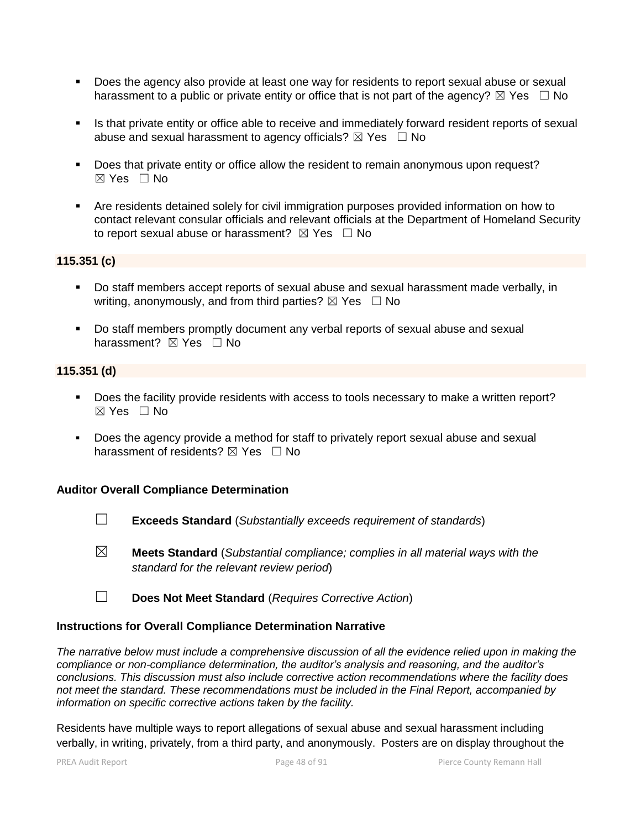- **Does the agency also provide at least one way for residents to report sexual abuse or sexual** harassment to a public or private entity or office that is not part of the agency?  $\boxtimes$  Yes  $\Box$  No
- Is that private entity or office able to receive and immediately forward resident reports of sexual abuse and sexual harassment to agency officials?  $\boxtimes$  Yes  $\Box$  No
- Does that private entity or office allow the resident to remain anonymous upon request? ☒ Yes ☐ No
- Are residents detained solely for civil immigration purposes provided information on how to contact relevant consular officials and relevant officials at the Department of Homeland Security to report sexual abuse or harassment?  $\boxtimes$  Yes  $\Box$  No

## **115.351 (c)**

- Do staff members accept reports of sexual abuse and sexual harassment made verbally, in writing, anonymously, and from third parties?  $\boxtimes$  Yes  $\Box$  No
- Do staff members promptly document any verbal reports of sexual abuse and sexual harassment? **⊠** Yes □ No

## **115.351 (d)**

- Does the facility provide residents with access to tools necessary to make a written report?  $\boxtimes$  Yes  $\Box$  No
- Does the agency provide a method for staff to privately report sexual abuse and sexual harassment of residents?  $\boxtimes$  Yes  $\Box$  No

## **Auditor Overall Compliance Determination**

- ☐ **Exceeds Standard** (*Substantially exceeds requirement of standards*)
- ☒ **Meets Standard** (*Substantial compliance; complies in all material ways with the standard for the relevant review period*)
- ☐ **Does Not Meet Standard** (*Requires Corrective Action*)

## **Instructions for Overall Compliance Determination Narrative**

*The narrative below must include a comprehensive discussion of all the evidence relied upon in making the compliance or non-compliance determination, the auditor's analysis and reasoning, and the auditor's conclusions. This discussion must also include corrective action recommendations where the facility does not meet the standard. These recommendations must be included in the Final Report, accompanied by information on specific corrective actions taken by the facility.*

Residents have multiple ways to report allegations of sexual abuse and sexual harassment including verbally, in writing, privately, from a third party, and anonymously. Posters are on display throughout the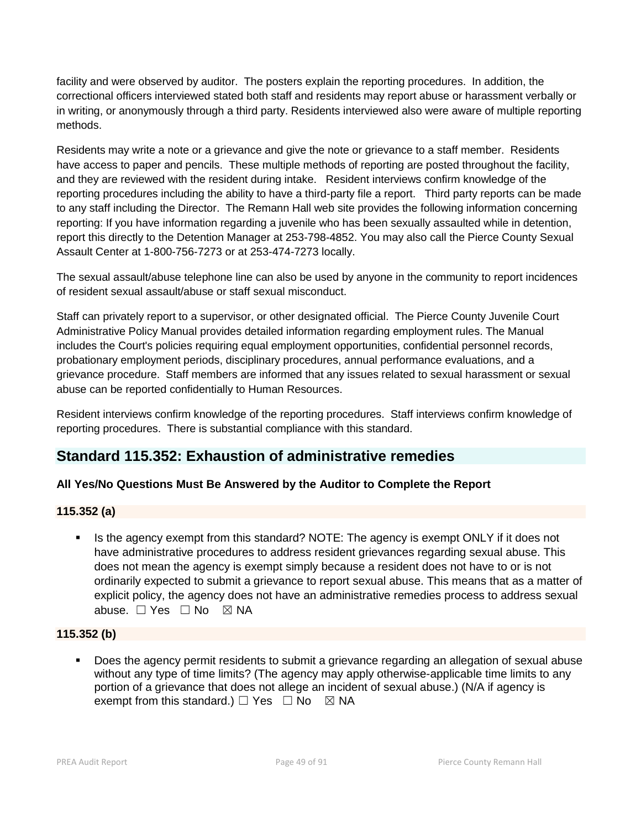facility and were observed by auditor. The posters explain the reporting procedures. In addition, the correctional officers interviewed stated both staff and residents may report abuse or harassment verbally or in writing, or anonymously through a third party. Residents interviewed also were aware of multiple reporting methods.

Residents may write a note or a grievance and give the note or grievance to a staff member. Residents have access to paper and pencils. These multiple methods of reporting are posted throughout the facility, and they are reviewed with the resident during intake. Resident interviews confirm knowledge of the reporting procedures including the ability to have a third-party file a report. Third party reports can be made to any staff including the Director. The Remann Hall web site provides the following information concerning reporting: If you have information regarding a juvenile who has been sexually assaulted while in detention, report this directly to the Detention Manager at 253-798-4852. You may also call the Pierce County Sexual Assault Center at 1-800-756-7273 or at 253-474-7273 locally.

The sexual assault/abuse telephone line can also be used by anyone in the community to report incidences of resident sexual assault/abuse or staff sexual misconduct.

Staff can privately report to a supervisor, or other designated official. The Pierce County Juvenile Court Administrative Policy Manual provides detailed information regarding employment rules. The Manual includes the Court's policies requiring equal employment opportunities, confidential personnel records, probationary employment periods, disciplinary procedures, annual performance evaluations, and a grievance procedure. Staff members are informed that any issues related to sexual harassment or sexual abuse can be reported confidentially to Human Resources.

Resident interviews confirm knowledge of the reporting procedures. Staff interviews confirm knowledge of reporting procedures. There is substantial compliance with this standard.

## **Standard 115.352: Exhaustion of administrative remedies**

## **All Yes/No Questions Must Be Answered by the Auditor to Complete the Report**

## **115.352 (a)**

 Is the agency exempt from this standard? NOTE: The agency is exempt ONLY if it does not have administrative procedures to address resident grievances regarding sexual abuse. This does not mean the agency is exempt simply because a resident does not have to or is not ordinarily expected to submit a grievance to report sexual abuse. This means that as a matter of explicit policy, the agency does not have an administrative remedies process to address sexual abuse. □ Yes □ No ⊠ NA

#### **115.352 (b)**

 Does the agency permit residents to submit a grievance regarding an allegation of sexual abuse without any type of time limits? (The agency may apply otherwise-applicable time limits to any portion of a grievance that does not allege an incident of sexual abuse.) (N/A if agency is exempt from this standard.)  $\Box$  Yes  $\Box$  No  $\boxtimes$  NA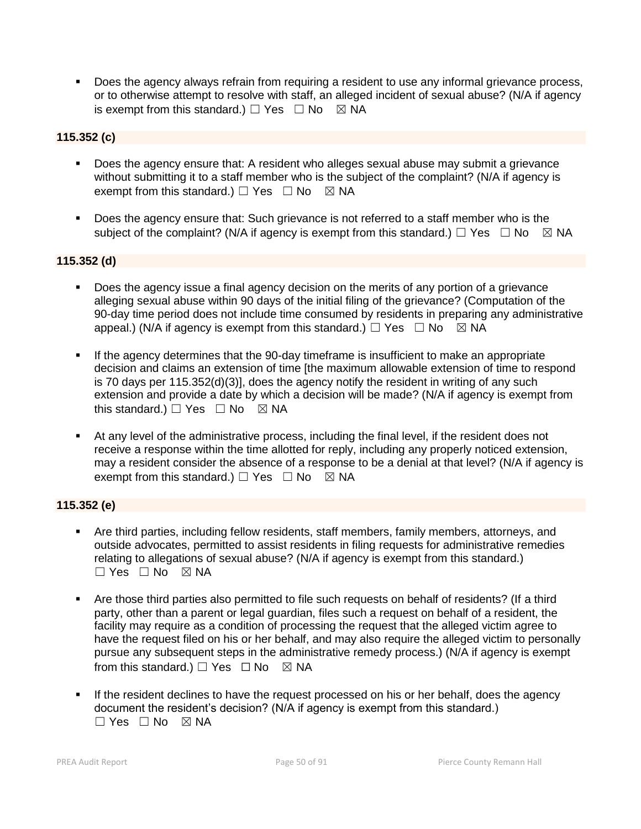Does the agency always refrain from requiring a resident to use any informal grievance process, or to otherwise attempt to resolve with staff, an alleged incident of sexual abuse? (N/A if agency is exempt from this standard.)  $\Box$  Yes  $\Box$  No  $\boxtimes$  NA

## **115.352 (c)**

- Does the agency ensure that: A resident who alleges sexual abuse may submit a grievance without submitting it to a staff member who is the subject of the complaint? (N/A if agency is exempt from this standard.)  $\Box$  Yes  $\Box$  No  $\boxtimes$  NA
- Does the agency ensure that: Such grievance is not referred to a staff member who is the subject of the complaint? (N/A if agency is exempt from this standard.)  $\Box$  Yes  $\Box$  No  $\boxtimes$  NA

## **115.352 (d)**

- Does the agency issue a final agency decision on the merits of any portion of a grievance alleging sexual abuse within 90 days of the initial filing of the grievance? (Computation of the 90-day time period does not include time consumed by residents in preparing any administrative appeal.) (N/A if agency is exempt from this standard.)  $\Box$  Yes  $\Box$  No  $\boxtimes$  NA
- If the agency determines that the 90-day timeframe is insufficient to make an appropriate decision and claims an extension of time [the maximum allowable extension of time to respond is 70 days per 115.352(d)(3)], does the agency notify the resident in writing of any such extension and provide a date by which a decision will be made? (N/A if agency is exempt from this standard.)  $\Box$  Yes  $\Box$  No  $\boxtimes$  NA
- At any level of the administrative process, including the final level, if the resident does not receive a response within the time allotted for reply, including any properly noticed extension, may a resident consider the absence of a response to be a denial at that level? (N/A if agency is exempt from this standard.)  $\Box$  Yes  $\Box$  No  $\boxtimes$  NA

## **115.352 (e)**

- Are third parties, including fellow residents, staff members, family members, attorneys, and outside advocates, permitted to assist residents in filing requests for administrative remedies relating to allegations of sexual abuse? (N/A if agency is exempt from this standard.)  $\Box$  Yes  $\Box$  No  $\boxtimes$  NA
- Are those third parties also permitted to file such requests on behalf of residents? (If a third party, other than a parent or legal guardian, files such a request on behalf of a resident, the facility may require as a condition of processing the request that the alleged victim agree to have the request filed on his or her behalf, and may also require the alleged victim to personally pursue any subsequent steps in the administrative remedy process.) (N/A if agency is exempt from this standard.)  $\Box$  Yes  $\Box$  No  $\boxtimes$  NA
- If the resident declines to have the request processed on his or her behalf, does the agency document the resident's decision? (N/A if agency is exempt from this standard.)  $\Box$  Yes  $\Box$  No  $\boxtimes$  NA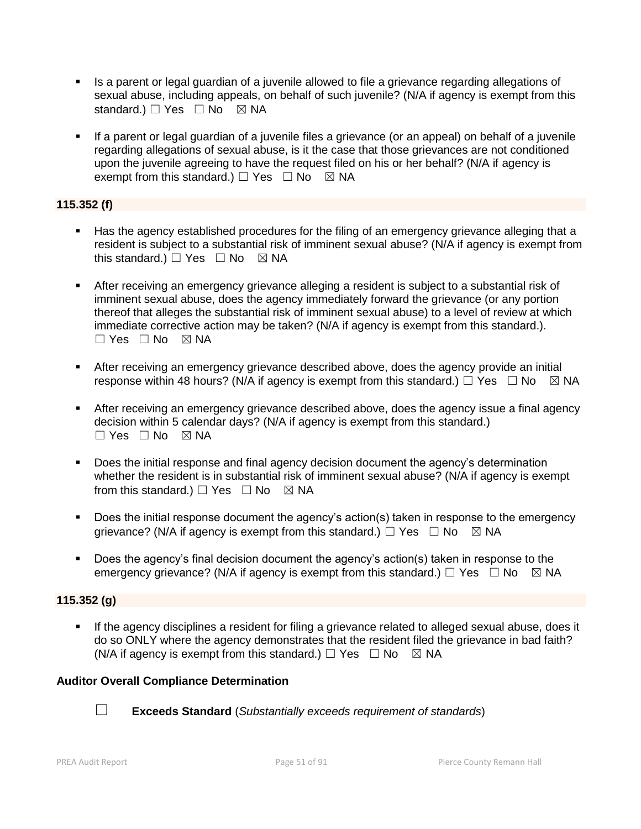- Is a parent or legal guardian of a juvenile allowed to file a grievance regarding allegations of sexual abuse, including appeals, on behalf of such juvenile? (N/A if agency is exempt from this standard.) □ Yes □ No ⊠ NA
- If a parent or legal guardian of a juvenile files a grievance (or an appeal) on behalf of a juvenile regarding allegations of sexual abuse, is it the case that those grievances are not conditioned upon the juvenile agreeing to have the request filed on his or her behalf? (N/A if agency is exempt from this standard.)  $\Box$  Yes  $\Box$  No  $\boxtimes$  NA

## **115.352 (f)**

- Has the agency established procedures for the filing of an emergency grievance alleging that a resident is subject to a substantial risk of imminent sexual abuse? (N/A if agency is exempt from this standard.)  $\Box$  Yes  $\Box$  No  $\boxtimes$  NA
- After receiving an emergency grievance alleging a resident is subject to a substantial risk of imminent sexual abuse, does the agency immediately forward the grievance (or any portion thereof that alleges the substantial risk of imminent sexual abuse) to a level of review at which immediate corrective action may be taken? (N/A if agency is exempt from this standard.). ☐ Yes ☐ No ☒ NA
- After receiving an emergency grievance described above, does the agency provide an initial response within 48 hours? (N/A if agency is exempt from this standard.)  $\Box$  Yes  $\Box$  No  $\boxtimes$  NA
- After receiving an emergency grievance described above, does the agency issue a final agency decision within 5 calendar days? (N/A if agency is exempt from this standard.)  $\Box$  Yes  $\Box$  No  $\boxtimes$  NA
- Does the initial response and final agency decision document the agency's determination whether the resident is in substantial risk of imminent sexual abuse? (N/A if agency is exempt from this standard.)  $\Box$  Yes  $\Box$  No  $\boxtimes$  NA
- Does the initial response document the agency's action(s) taken in response to the emergency grievance? (N/A if agency is exempt from this standard.)  $\Box$  Yes  $\Box$  No  $\boxtimes$  NA
- Does the agency's final decision document the agency's action(s) taken in response to the emergency grievance? (N/A if agency is exempt from this standard.)  $\Box$  Yes  $\Box$  No  $\boxtimes$  NA

#### **115.352 (g)**

 If the agency disciplines a resident for filing a grievance related to alleged sexual abuse, does it do so ONLY where the agency demonstrates that the resident filed the grievance in bad faith? (N/A if agency is exempt from this standard.)  $\Box$  Yes  $\Box$  No  $\boxtimes$  NA

## **Auditor Overall Compliance Determination**

- 
- ☐ **Exceeds Standard** (*Substantially exceeds requirement of standards*)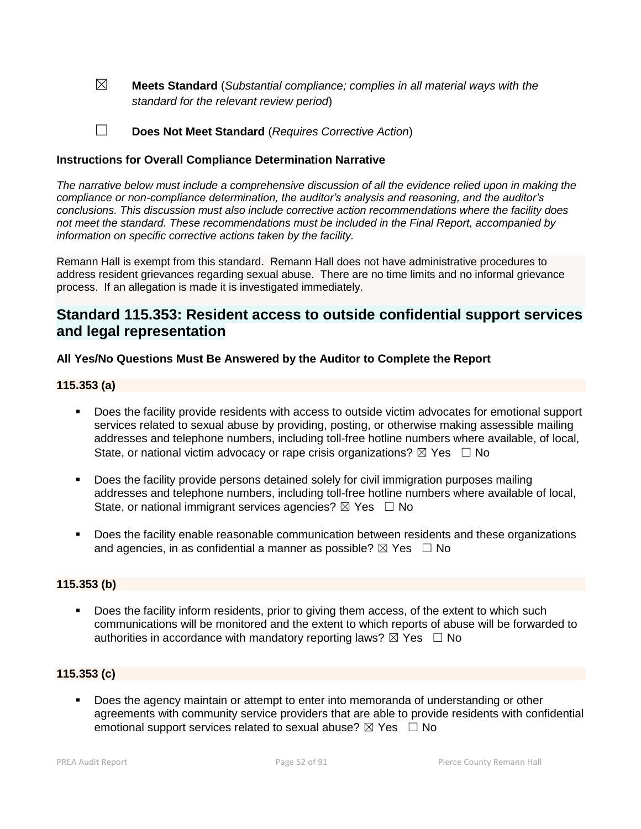☒ **Meets Standard** (*Substantial compliance; complies in all material ways with the standard for the relevant review period*)

☐ **Does Not Meet Standard** (*Requires Corrective Action*)

#### **Instructions for Overall Compliance Determination Narrative**

*The narrative below must include a comprehensive discussion of all the evidence relied upon in making the compliance or non-compliance determination, the auditor's analysis and reasoning, and the auditor's conclusions. This discussion must also include corrective action recommendations where the facility does not meet the standard. These recommendations must be included in the Final Report, accompanied by information on specific corrective actions taken by the facility.*

Remann Hall is exempt from this standard. Remann Hall does not have administrative procedures to address resident grievances regarding sexual abuse. There are no time limits and no informal grievance process. If an allegation is made it is investigated immediately.

## **Standard 115.353: Resident access to outside confidential support services and legal representation**

## **All Yes/No Questions Must Be Answered by the Auditor to Complete the Report**

#### **115.353 (a)**

- Does the facility provide residents with access to outside victim advocates for emotional support services related to sexual abuse by providing, posting, or otherwise making assessible mailing addresses and telephone numbers, including toll-free hotline numbers where available, of local, State, or national victim advocacy or rape crisis organizations?  $\boxtimes$  Yes  $\Box$  No
- Does the facility provide persons detained solely for civil immigration purposes mailing addresses and telephone numbers, including toll-free hotline numbers where available of local, State, or national immigrant services agencies?  $\boxtimes$  Yes  $\Box$  No
- **Does the facility enable reasonable communication between residents and these organizations** and agencies, in as confidential a manner as possible?  $\boxtimes$  Yes  $\Box$  No

#### **115.353 (b)**

Does the facility inform residents, prior to giving them access, of the extent to which such communications will be monitored and the extent to which reports of abuse will be forwarded to authorities in accordance with mandatory reporting laws?  $\boxtimes$  Yes  $\Box$  No

#### **115.353 (c)**

**Does the agency maintain or attempt to enter into memoranda of understanding or other** agreements with community service providers that are able to provide residents with confidential emotional support services related to sexual abuse?  $\boxtimes$  Yes  $\Box$  No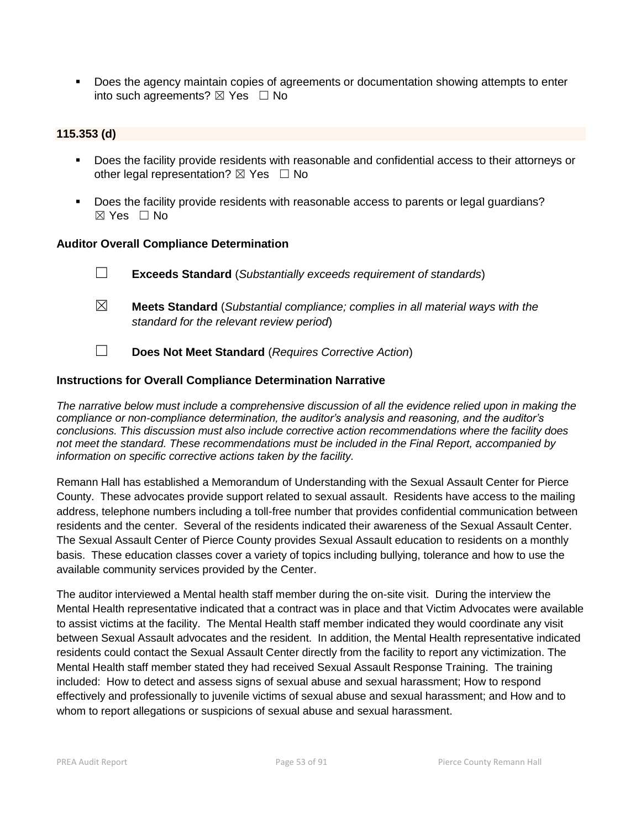**Does the agency maintain copies of agreements or documentation showing attempts to enter** into such agreements?  $\boxtimes$  Yes  $\Box$  No

#### **115.353 (d)**

- Does the facility provide residents with reasonable and confidential access to their attorneys or other legal representation?  $\boxtimes$  Yes  $\Box$  No
- Does the facility provide residents with reasonable access to parents or legal guardians?  $\boxtimes$  Yes  $\Box$  No

#### **Auditor Overall Compliance Determination**

- ☐ **Exceeds Standard** (*Substantially exceeds requirement of standards*)
- ☒ **Meets Standard** (*Substantial compliance; complies in all material ways with the standard for the relevant review period*)
- ☐ **Does Not Meet Standard** (*Requires Corrective Action*)

## **Instructions for Overall Compliance Determination Narrative**

*The narrative below must include a comprehensive discussion of all the evidence relied upon in making the compliance or non-compliance determination, the auditor's analysis and reasoning, and the auditor's conclusions. This discussion must also include corrective action recommendations where the facility does not meet the standard. These recommendations must be included in the Final Report, accompanied by information on specific corrective actions taken by the facility.*

Remann Hall has established a Memorandum of Understanding with the Sexual Assault Center for Pierce County. These advocates provide support related to sexual assault. Residents have access to the mailing address, telephone numbers including a toll-free number that provides confidential communication between residents and the center. Several of the residents indicated their awareness of the Sexual Assault Center. The Sexual Assault Center of Pierce County provides Sexual Assault education to residents on a monthly basis. These education classes cover a variety of topics including bullying, tolerance and how to use the available community services provided by the Center.

The auditor interviewed a Mental health staff member during the on-site visit. During the interview the Mental Health representative indicated that a contract was in place and that Victim Advocates were available to assist victims at the facility. The Mental Health staff member indicated they would coordinate any visit between Sexual Assault advocates and the resident. In addition, the Mental Health representative indicated residents could contact the Sexual Assault Center directly from the facility to report any victimization. The Mental Health staff member stated they had received Sexual Assault Response Training. The training included: How to detect and assess signs of sexual abuse and sexual harassment; How to respond effectively and professionally to juvenile victims of sexual abuse and sexual harassment; and How and to whom to report allegations or suspicions of sexual abuse and sexual harassment.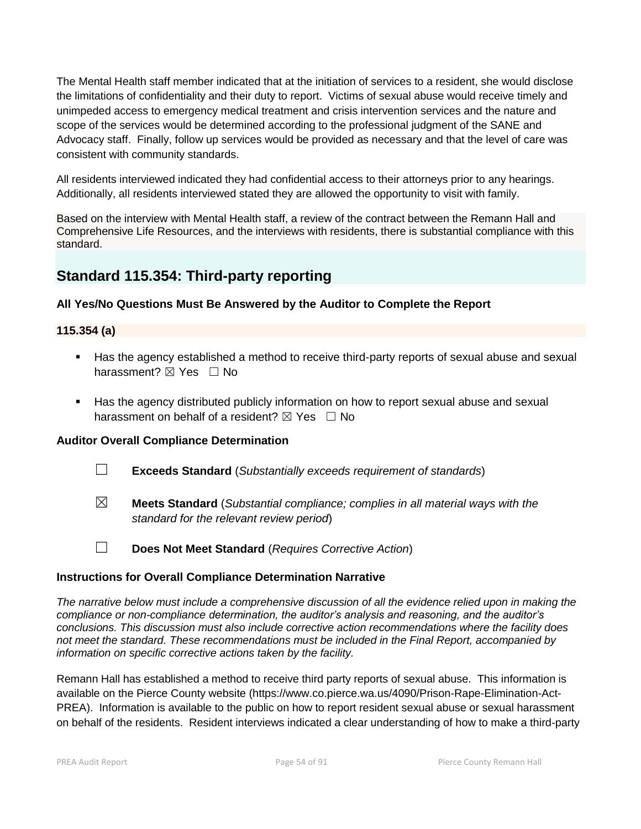The Mental Health staff member indicated that at the initiation of services to a resident, she would disclose the limitations of confidentiality and their duty to report. Victims of sexual abuse would receive timely and unimpeded access to emergency medical treatment and crisis intervention services and the nature and scope of the services would be determined according to the professional judgment of the SANE and Advocacy staff. Finally, follow up services would be provided as necessary and that the level of care was consistent with community standards.

All residents interviewed indicated they had confidential access to their attorneys prior to any hearings. Additionally, all residents interviewed stated they are allowed the opportunity to visit with family.

Based on the interview with Mental Health staff, a review of the contract between the Remann Hall and Comprehensive Life Resources, and the interviews with residents, there is substantial compliance with this standard.

## **Standard 115.354: Third-party reporting**

## **All Yes/No Questions Must Be Answered by the Auditor to Complete the Report**

#### **115.354 (a)**

- Has the agency established a method to receive third-party reports of sexual abuse and sexual harassment? **⊠** Yes □ No
- Has the agency distributed publicly information on how to report sexual abuse and sexual harassment on behalf of a resident?  $\boxtimes$  Yes  $\Box$  No

#### **Auditor Overall Compliance Determination**

- ☐ **Exceeds Standard** (*Substantially exceeds requirement of standards*)
- ☒ **Meets Standard** (*Substantial compliance; complies in all material ways with the standard for the relevant review period*)
- ☐ **Does Not Meet Standard** (*Requires Corrective Action*)

#### **Instructions for Overall Compliance Determination Narrative**

*The narrative below must include a comprehensive discussion of all the evidence relied upon in making the compliance or non-compliance determination, the auditor's analysis and reasoning, and the auditor's conclusions. This discussion must also include corrective action recommendations where the facility does not meet the standard. These recommendations must be included in the Final Report, accompanied by information on specific corrective actions taken by the facility.*

Remann Hall has established a method to receive third party reports of sexual abuse. This information is available on the Pierce County website (https://www.co.pierce.wa.us/4090/Prison-Rape-Elimination-Act-PREA). Information is available to the public on how to report resident sexual abuse or sexual harassment on behalf of the residents. Resident interviews indicated a clear understanding of how to make a third-party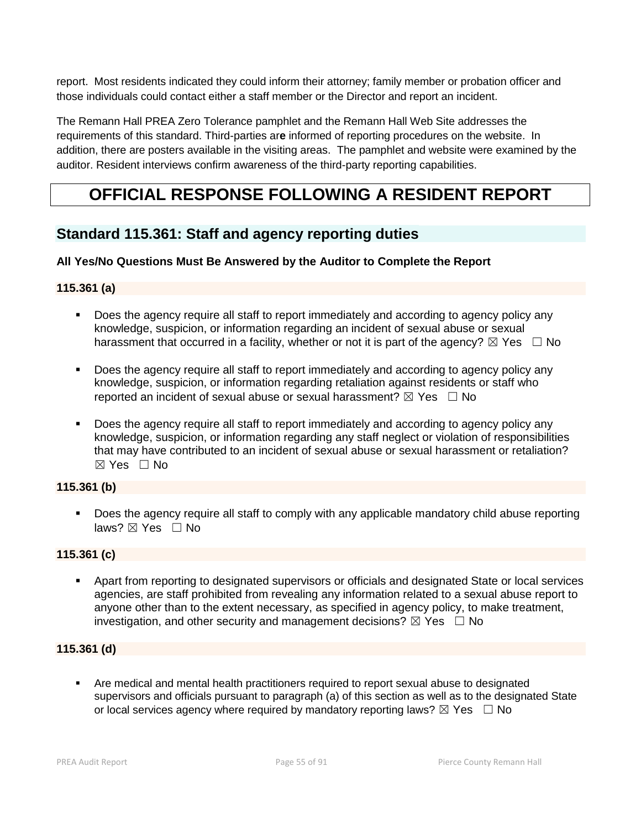report. Most residents indicated they could inform their attorney; family member or probation officer and those individuals could contact either a staff member or the Director and report an incident.

The Remann Hall PREA Zero Tolerance pamphlet and the Remann Hall Web Site addresses the requirements of this standard. Third-parties ar**e** informed of reporting procedures on the website. In addition, there are posters available in the visiting areas.The pamphlet and website were examined by the auditor. Resident interviews confirm awareness of the third-party reporting capabilities.

# **OFFICIAL RESPONSE FOLLOWING A RESIDENT REPORT**

## **Standard 115.361: Staff and agency reporting duties**

## **All Yes/No Questions Must Be Answered by the Auditor to Complete the Report**

## **115.361 (a)**

- Does the agency require all staff to report immediately and according to agency policy any knowledge, suspicion, or information regarding an incident of sexual abuse or sexual harassment that occurred in a facility, whether or not it is part of the agency?  $\boxtimes$  Yes  $\Box$  No
- Does the agency require all staff to report immediately and according to agency policy any knowledge, suspicion, or information regarding retaliation against residents or staff who reported an incident of sexual abuse or sexual harassment?  $\boxtimes$  Yes  $\Box$  No
- Does the agency require all staff to report immediately and according to agency policy any knowledge, suspicion, or information regarding any staff neglect or violation of responsibilities that may have contributed to an incident of sexual abuse or sexual harassment or retaliation?  $\boxtimes$  Yes  $\Box$  No

## **115.361 (b)**

**Does the agency require all staff to comply with any applicable mandatory child abuse reporting** laws?  $\boxtimes$  Yes  $\Box$  No

## **115.361 (c)**

 Apart from reporting to designated supervisors or officials and designated State or local services agencies, are staff prohibited from revealing any information related to a sexual abuse report to anyone other than to the extent necessary, as specified in agency policy, to make treatment, investigation, and other security and management decisions?  $\boxtimes$  Yes  $\Box$  No

## **115.361 (d)**

 Are medical and mental health practitioners required to report sexual abuse to designated supervisors and officials pursuant to paragraph (a) of this section as well as to the designated State or local services agency where required by mandatory reporting laws?  $\boxtimes$  Yes  $\Box$  No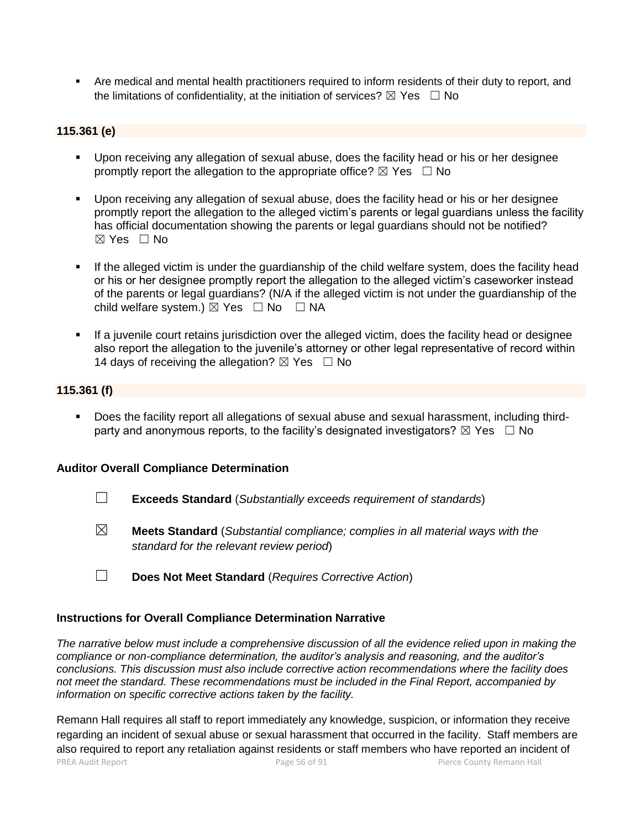Are medical and mental health practitioners required to inform residents of their duty to report, and the limitations of confidentiality, at the initiation of services?  $\boxtimes$  Yes  $\Box$  No

## **115.361 (e)**

- Upon receiving any allegation of sexual abuse, does the facility head or his or her designee promptly report the allegation to the appropriate office?  $\boxtimes$  Yes  $\Box$  No
- Upon receiving any allegation of sexual abuse, does the facility head or his or her designee promptly report the allegation to the alleged victim's parents or legal guardians unless the facility has official documentation showing the parents or legal guardians should not be notified?  $\boxtimes$  Yes  $\Box$  No
- If the alleged victim is under the guardianship of the child welfare system, does the facility head or his or her designee promptly report the allegation to the alleged victim's caseworker instead of the parents or legal guardians? (N/A if the alleged victim is not under the guardianship of the child welfare system.)  $\boxtimes$  Yes  $\Box$  No  $\Box$  NA
- If a juvenile court retains jurisdiction over the alleged victim, does the facility head or designee also report the allegation to the juvenile's attorney or other legal representative of record within 14 days of receiving the allegation?  $\boxtimes$  Yes  $\Box$  No

#### **115.361 (f)**

 Does the facility report all allegations of sexual abuse and sexual harassment, including thirdparty and anonymous reports, to the facility's designated investigators?  $\boxtimes$  Yes  $\Box$  No

#### **Auditor Overall Compliance Determination**

- ☐ **Exceeds Standard** (*Substantially exceeds requirement of standards*)
- ☒ **Meets Standard** (*Substantial compliance; complies in all material ways with the standard for the relevant review period*)
- ☐ **Does Not Meet Standard** (*Requires Corrective Action*)

#### **Instructions for Overall Compliance Determination Narrative**

*The narrative below must include a comprehensive discussion of all the evidence relied upon in making the compliance or non-compliance determination, the auditor's analysis and reasoning, and the auditor's conclusions. This discussion must also include corrective action recommendations where the facility does not meet the standard. These recommendations must be included in the Final Report, accompanied by information on specific corrective actions taken by the facility.*

PREA Audit Report **Page 56 of 91** Page 56 of 91 Pierce County Remann Hall Remann Hall requires all staff to report immediately any knowledge, suspicion, or information they receive regarding an incident of sexual abuse or sexual harassment that occurred in the facility. Staff members are also required to report any retaliation against residents or staff members who have reported an incident of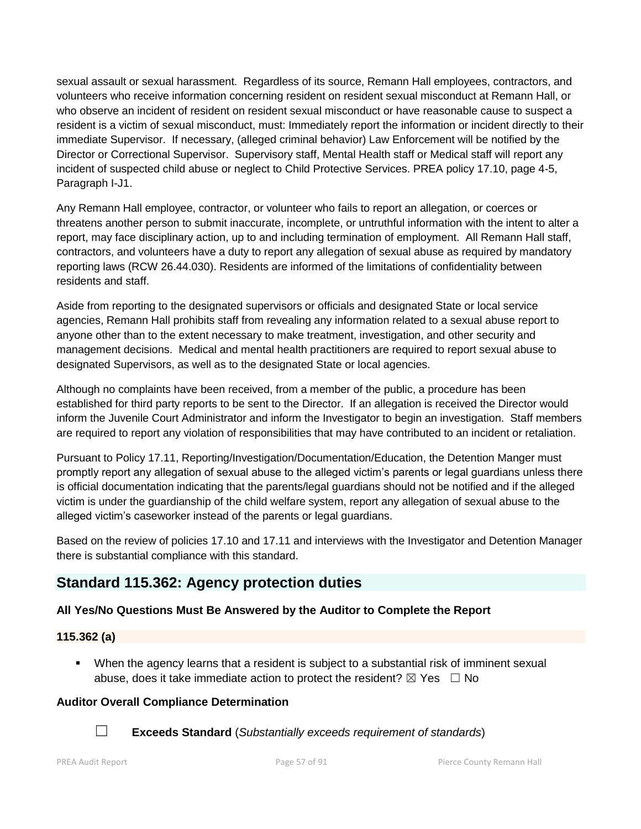sexual assault or sexual harassment. Regardless of its source, Remann Hall employees, contractors, and volunteers who receive information concerning resident on resident sexual misconduct at Remann Hall, or who observe an incident of resident on resident sexual misconduct or have reasonable cause to suspect a resident is a victim of sexual misconduct, must: Immediately report the information or incident directly to their immediate Supervisor. If necessary, (alleged criminal behavior) Law Enforcement will be notified by the Director or Correctional Supervisor. Supervisory staff, Mental Health staff or Medical staff will report any incident of suspected child abuse or neglect to Child Protective Services. PREA policy 17.10, page 4-5, Paragraph I-J1.

Any Remann Hall employee, contractor, or volunteer who fails to report an allegation, or coerces or threatens another person to submit inaccurate, incomplete, or untruthful information with the intent to alter a report, may face disciplinary action, up to and including termination of employment. All Remann Hall staff, contractors, and volunteers have a duty to report any allegation of sexual abuse as required by mandatory reporting laws (RCW 26.44.030). Residents are informed of the limitations of confidentiality between residents and staff.

Aside from reporting to the designated supervisors or officials and designated State or local service agencies, Remann Hall prohibits staff from revealing any information related to a sexual abuse report to anyone other than to the extent necessary to make treatment, investigation, and other security and management decisions. Medical and mental health practitioners are required to report sexual abuse to designated Supervisors, as well as to the designated State or local agencies.

Although no complaints have been received, from a member of the public, a procedure has been established for third party reports to be sent to the Director. If an allegation is received the Director would inform the Juvenile Court Administrator and inform the Investigator to begin an investigation. Staff members are required to report any violation of responsibilities that may have contributed to an incident or retaliation.

Pursuant to Policy 17.11, Reporting/Investigation/Documentation/Education, the Detention Manger must promptly report any allegation of sexual abuse to the alleged victim's parents or legal guardians unless there is official documentation indicating that the parents/legal guardians should not be notified and if the alleged victim is under the guardianship of the child welfare system, report any allegation of sexual abuse to the alleged victim's caseworker instead of the parents or legal guardians.

Based on the review of policies 17.10 and 17.11 and interviews with the Investigator and Detention Manager there is substantial compliance with this standard.

## **Standard 115.362: Agency protection duties**

## **All Yes/No Questions Must Be Answered by the Auditor to Complete the Report**

## **115.362 (a)**

 When the agency learns that a resident is subject to a substantial risk of imminent sexual abuse, does it take immediate action to protect the resident?  $\boxtimes$  Yes  $\Box$  No

## **Auditor Overall Compliance Determination**



☐ **Exceeds Standard** (*Substantially exceeds requirement of standards*)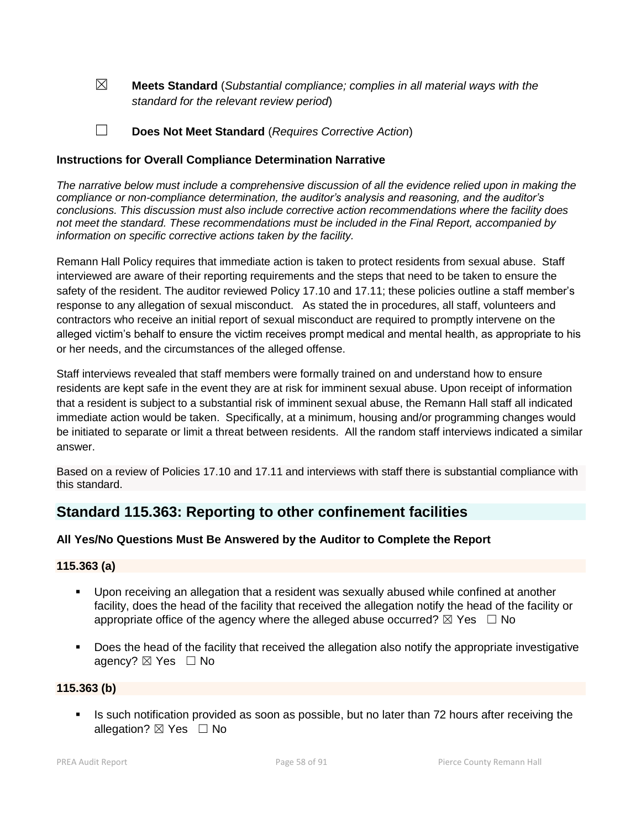☒ **Meets Standard** (*Substantial compliance; complies in all material ways with the standard for the relevant review period*)

☐ **Does Not Meet Standard** (*Requires Corrective Action*)

## **Instructions for Overall Compliance Determination Narrative**

*The narrative below must include a comprehensive discussion of all the evidence relied upon in making the compliance or non-compliance determination, the auditor's analysis and reasoning, and the auditor's conclusions. This discussion must also include corrective action recommendations where the facility does not meet the standard. These recommendations must be included in the Final Report, accompanied by information on specific corrective actions taken by the facility.*

Remann Hall Policy requires that immediate action is taken to protect residents from sexual abuse. Staff interviewed are aware of their reporting requirements and the steps that need to be taken to ensure the safety of the resident. The auditor reviewed Policy 17.10 and 17.11; these policies outline a staff member's response to any allegation of sexual misconduct. As stated the in procedures, all staff, volunteers and contractors who receive an initial report of sexual misconduct are required to promptly intervene on the alleged victim's behalf to ensure the victim receives prompt medical and mental health, as appropriate to his or her needs, and the circumstances of the alleged offense.

Staff interviews revealed that staff members were formally trained on and understand how to ensure residents are kept safe in the event they are at risk for imminent sexual abuse. Upon receipt of information that a resident is subject to a substantial risk of imminent sexual abuse, the Remann Hall staff all indicated immediate action would be taken. Specifically, at a minimum, housing and/or programming changes would be initiated to separate or limit a threat between residents. All the random staff interviews indicated a similar answer.

Based on a review of Policies 17.10 and 17.11 and interviews with staff there is substantial compliance with this standard.

## **Standard 115.363: Reporting to other confinement facilities**

## **All Yes/No Questions Must Be Answered by the Auditor to Complete the Report**

#### **115.363 (a)**

- Upon receiving an allegation that a resident was sexually abused while confined at another facility, does the head of the facility that received the allegation notify the head of the facility or appropriate office of the agency where the alleged abuse occurred?  $\boxtimes$  Yes  $\Box$  No
- Does the head of the facility that received the allegation also notify the appropriate investigative agency?  $\boxtimes$  Yes  $\Box$  No

#### **115.363 (b)**

Is such notification provided as soon as possible, but no later than 72 hours after receiving the allegation?  $\boxtimes$  Yes  $\Box$  No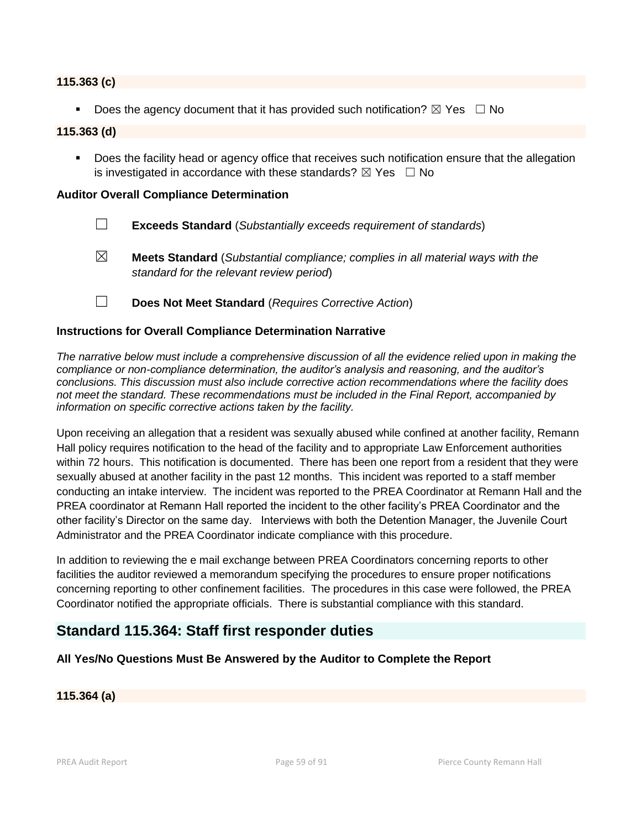#### **115.363 (c)**

Does the agency document that it has provided such notification?  $\boxtimes$  Yes  $\Box$  No

#### **115.363 (d)**

**Does the facility head or agency office that receives such notification ensure that the allegation** is investigated in accordance with these standards?  $\boxtimes$  Yes  $\Box$  No

#### **Auditor Overall Compliance Determination**

- ☐ **Exceeds Standard** (*Substantially exceeds requirement of standards*)
- ☒ **Meets Standard** (*Substantial compliance; complies in all material ways with the standard for the relevant review period*)
- ☐ **Does Not Meet Standard** (*Requires Corrective Action*)

#### **Instructions for Overall Compliance Determination Narrative**

*The narrative below must include a comprehensive discussion of all the evidence relied upon in making the compliance or non-compliance determination, the auditor's analysis and reasoning, and the auditor's conclusions. This discussion must also include corrective action recommendations where the facility does not meet the standard. These recommendations must be included in the Final Report, accompanied by information on specific corrective actions taken by the facility.*

Upon receiving an allegation that a resident was sexually abused while confined at another facility, Remann Hall policy requires notification to the head of the facility and to appropriate Law Enforcement authorities within 72 hours. This notification is documented. There has been one report from a resident that they were sexually abused at another facility in the past 12 months. This incident was reported to a staff member conducting an intake interview. The incident was reported to the PREA Coordinator at Remann Hall and the PREA coordinator at Remann Hall reported the incident to the other facility's PREA Coordinator and the other facility's Director on the same day. Interviews with both the Detention Manager, the Juvenile Court Administrator and the PREA Coordinator indicate compliance with this procedure.

In addition to reviewing the e mail exchange between PREA Coordinators concerning reports to other facilities the auditor reviewed a memorandum specifying the procedures to ensure proper notifications concerning reporting to other confinement facilities. The procedures in this case were followed, the PREA Coordinator notified the appropriate officials. There is substantial compliance with this standard.

## **Standard 115.364: Staff first responder duties**

#### **All Yes/No Questions Must Be Answered by the Auditor to Complete the Report**

## **115.364 (a)**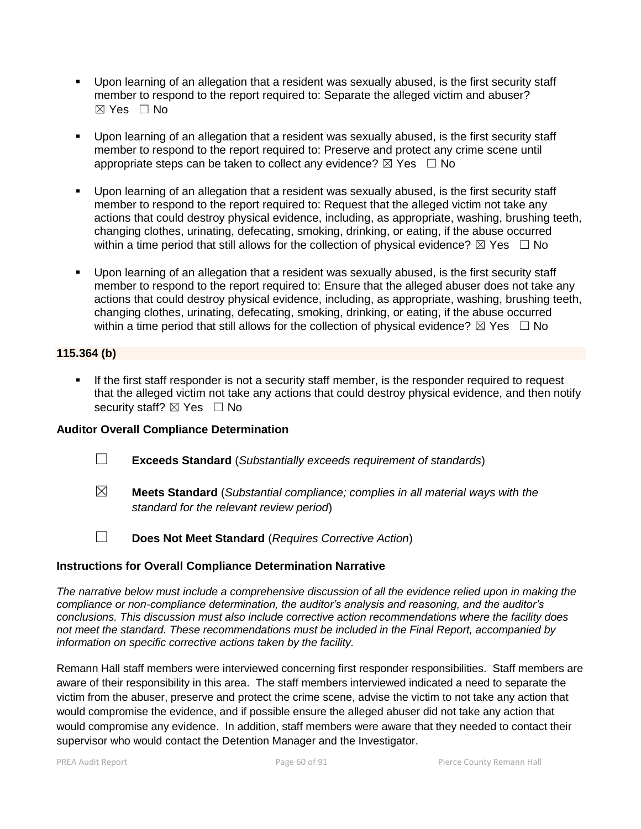- Upon learning of an allegation that a resident was sexually abused, is the first security staff member to respond to the report required to: Separate the alleged victim and abuser? ☒ Yes ☐ No
- Upon learning of an allegation that a resident was sexually abused, is the first security staff member to respond to the report required to: Preserve and protect any crime scene until appropriate steps can be taken to collect any evidence?  $\boxtimes$  Yes  $\Box$  No
- Upon learning of an allegation that a resident was sexually abused, is the first security staff member to respond to the report required to: Request that the alleged victim not take any actions that could destroy physical evidence, including, as appropriate, washing, brushing teeth, changing clothes, urinating, defecating, smoking, drinking, or eating, if the abuse occurred within a time period that still allows for the collection of physical evidence?  $\boxtimes$  Yes  $\Box$  No
- Upon learning of an allegation that a resident was sexually abused, is the first security staff member to respond to the report required to: Ensure that the alleged abuser does not take any actions that could destroy physical evidence, including, as appropriate, washing, brushing teeth, changing clothes, urinating, defecating, smoking, drinking, or eating, if the abuse occurred within a time period that still allows for the collection of physical evidence?  $\boxtimes$  Yes  $\Box$  No

## **115.364 (b)**

**If the first staff responder is not a security staff member, is the responder required to request** that the alleged victim not take any actions that could destroy physical evidence, and then notify security staff?  $\boxtimes$  Yes  $\Box$  No

#### **Auditor Overall Compliance Determination**

- ☐ **Exceeds Standard** (*Substantially exceeds requirement of standards*)
- ☒ **Meets Standard** (*Substantial compliance; complies in all material ways with the standard for the relevant review period*)
- 
- ☐ **Does Not Meet Standard** (*Requires Corrective Action*)

## **Instructions for Overall Compliance Determination Narrative**

*The narrative below must include a comprehensive discussion of all the evidence relied upon in making the compliance or non-compliance determination, the auditor's analysis and reasoning, and the auditor's conclusions. This discussion must also include corrective action recommendations where the facility does not meet the standard. These recommendations must be included in the Final Report, accompanied by information on specific corrective actions taken by the facility.*

Remann Hall staff members were interviewed concerning first responder responsibilities. Staff members are aware of their responsibility in this area. The staff members interviewed indicated a need to separate the victim from the abuser, preserve and protect the crime scene, advise the victim to not take any action that would compromise the evidence, and if possible ensure the alleged abuser did not take any action that would compromise any evidence. In addition, staff members were aware that they needed to contact their supervisor who would contact the Detention Manager and the Investigator.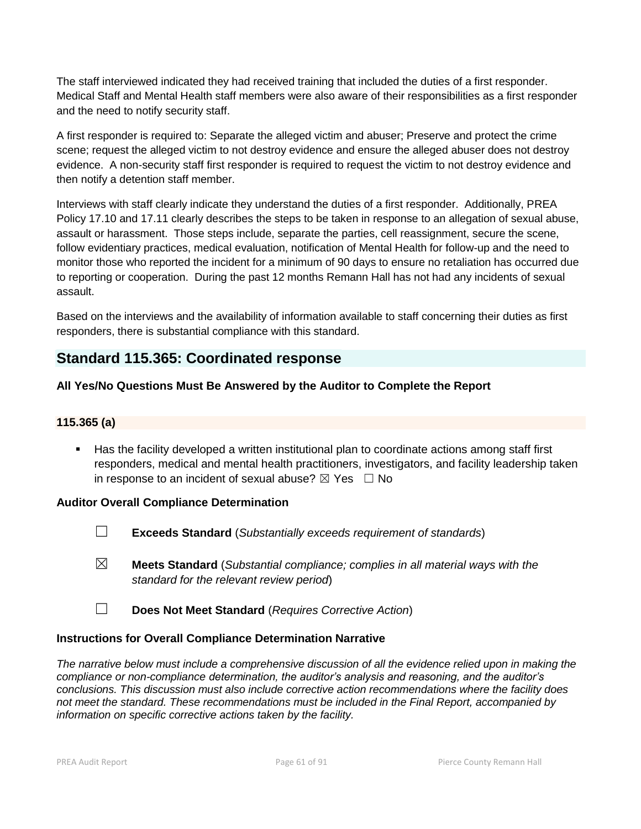The staff interviewed indicated they had received training that included the duties of a first responder. Medical Staff and Mental Health staff members were also aware of their responsibilities as a first responder and the need to notify security staff.

A first responder is required to: Separate the alleged victim and abuser; Preserve and protect the crime scene; request the alleged victim to not destroy evidence and ensure the alleged abuser does not destroy evidence. A non-security staff first responder is required to request the victim to not destroy evidence and then notify a detention staff member.

Interviews with staff clearly indicate they understand the duties of a first responder. Additionally, PREA Policy 17.10 and 17.11 clearly describes the steps to be taken in response to an allegation of sexual abuse, assault or harassment. Those steps include, separate the parties, cell reassignment, secure the scene, follow evidentiary practices, medical evaluation, notification of Mental Health for follow-up and the need to monitor those who reported the incident for a minimum of 90 days to ensure no retaliation has occurred due to reporting or cooperation. During the past 12 months Remann Hall has not had any incidents of sexual assault.

Based on the interviews and the availability of information available to staff concerning their duties as first responders, there is substantial compliance with this standard.

## **Standard 115.365: Coordinated response**

## **All Yes/No Questions Must Be Answered by the Auditor to Complete the Report**

## **115.365 (a)**

 Has the facility developed a written institutional plan to coordinate actions among staff first responders, medical and mental health practitioners, investigators, and facility leadership taken in response to an incident of sexual abuse?  $\boxtimes$  Yes  $\Box$  No

#### **Auditor Overall Compliance Determination**

- ☐ **Exceeds Standard** (*Substantially exceeds requirement of standards*)
- ☒ **Meets Standard** (*Substantial compliance; complies in all material ways with the standard for the relevant review period*)
- ☐ **Does Not Meet Standard** (*Requires Corrective Action*)

## **Instructions for Overall Compliance Determination Narrative**

*The narrative below must include a comprehensive discussion of all the evidence relied upon in making the compliance or non-compliance determination, the auditor's analysis and reasoning, and the auditor's conclusions. This discussion must also include corrective action recommendations where the facility does not meet the standard. These recommendations must be included in the Final Report, accompanied by information on specific corrective actions taken by the facility.*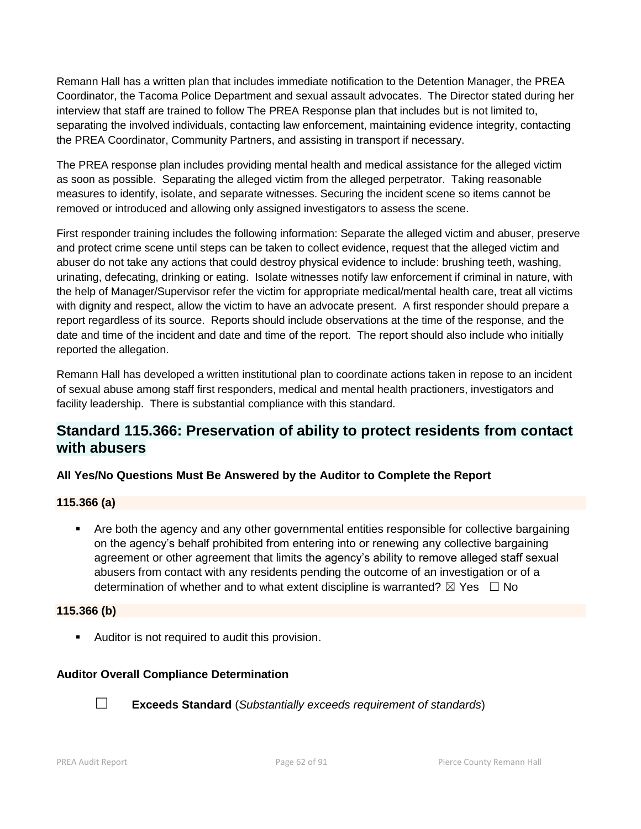Remann Hall has a written plan that includes immediate notification to the Detention Manager, the PREA Coordinator, the Tacoma Police Department and sexual assault advocates. The Director stated during her interview that staff are trained to follow The PREA Response plan that includes but is not limited to, separating the involved individuals, contacting law enforcement, maintaining evidence integrity, contacting the PREA Coordinator, Community Partners, and assisting in transport if necessary.

The PREA response plan includes providing mental health and medical assistance for the alleged victim as soon as possible. Separating the alleged victim from the alleged perpetrator. Taking reasonable measures to identify, isolate, and separate witnesses. Securing the incident scene so items cannot be removed or introduced and allowing only assigned investigators to assess the scene.

First responder training includes the following information: Separate the alleged victim and abuser, preserve and protect crime scene until steps can be taken to collect evidence, request that the alleged victim and abuser do not take any actions that could destroy physical evidence to include: brushing teeth, washing, urinating, defecating, drinking or eating. Isolate witnesses notify law enforcement if criminal in nature, with the help of Manager/Supervisor refer the victim for appropriate medical/mental health care, treat all victims with dignity and respect, allow the victim to have an advocate present. A first responder should prepare a report regardless of its source. Reports should include observations at the time of the response, and the date and time of the incident and date and time of the report. The report should also include who initially reported the allegation.

Remann Hall has developed a written institutional plan to coordinate actions taken in repose to an incident of sexual abuse among staff first responders, medical and mental health practioners, investigators and facility leadership. There is substantial compliance with this standard.

## **Standard 115.366: Preservation of ability to protect residents from contact with abusers**

## **All Yes/No Questions Must Be Answered by the Auditor to Complete the Report**

## **115.366 (a)**

 Are both the agency and any other governmental entities responsible for collective bargaining on the agency's behalf prohibited from entering into or renewing any collective bargaining agreement or other agreement that limits the agency's ability to remove alleged staff sexual abusers from contact with any residents pending the outcome of an investigation or of a determination of whether and to what extent discipline is warranted?  $\boxtimes$  Yes  $\Box$  No

## **115.366 (b)**

**Auditor is not required to audit this provision.** 

## **Auditor Overall Compliance Determination**



☐ **Exceeds Standard** (*Substantially exceeds requirement of standards*)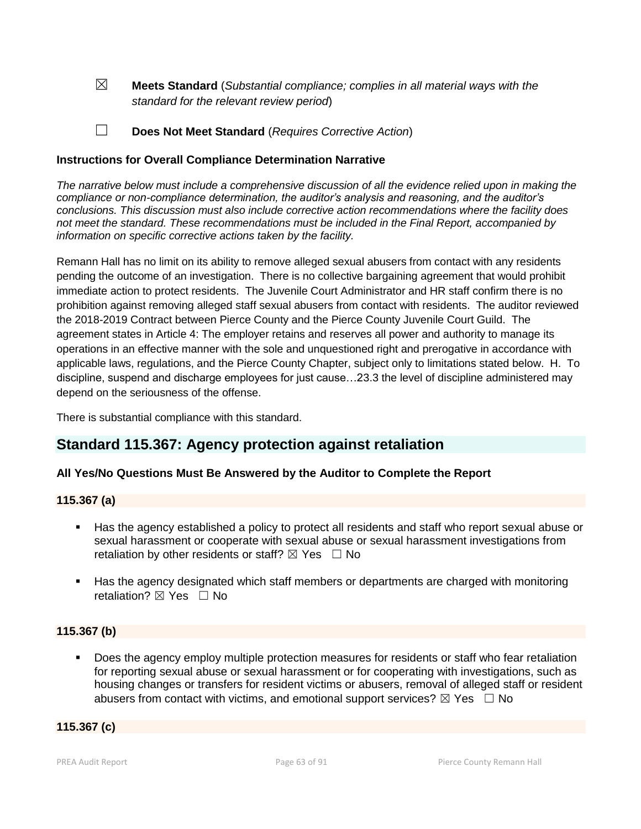☒ **Meets Standard** (*Substantial compliance; complies in all material ways with the standard for the relevant review period*)

☐ **Does Not Meet Standard** (*Requires Corrective Action*)

#### **Instructions for Overall Compliance Determination Narrative**

*The narrative below must include a comprehensive discussion of all the evidence relied upon in making the compliance or non-compliance determination, the auditor's analysis and reasoning, and the auditor's conclusions. This discussion must also include corrective action recommendations where the facility does not meet the standard. These recommendations must be included in the Final Report, accompanied by information on specific corrective actions taken by the facility.*

Remann Hall has no limit on its ability to remove alleged sexual abusers from contact with any residents pending the outcome of an investigation. There is no collective bargaining agreement that would prohibit immediate action to protect residents. The Juvenile Court Administrator and HR staff confirm there is no prohibition against removing alleged staff sexual abusers from contact with residents. The auditor reviewed the 2018-2019 Contract between Pierce County and the Pierce County Juvenile Court Guild. The agreement states in Article 4: The employer retains and reserves all power and authority to manage its operations in an effective manner with the sole and unquestioned right and prerogative in accordance with applicable laws, regulations, and the Pierce County Chapter, subject only to limitations stated below. H. To discipline, suspend and discharge employees for just cause…23.3 the level of discipline administered may depend on the seriousness of the offense.

There is substantial compliance with this standard.

## **Standard 115.367: Agency protection against retaliation**

## **All Yes/No Questions Must Be Answered by the Auditor to Complete the Report**

#### **115.367 (a)**

- Has the agency established a policy to protect all residents and staff who report sexual abuse or sexual harassment or cooperate with sexual abuse or sexual harassment investigations from retaliation by other residents or staff?  $\boxtimes$  Yes  $\Box$  No
- Has the agency designated which staff members or departments are charged with monitoring retaliation?  $\boxtimes$  Yes  $\Box$  No

#### **115.367 (b)**

 Does the agency employ multiple protection measures for residents or staff who fear retaliation for reporting sexual abuse or sexual harassment or for cooperating with investigations, such as housing changes or transfers for resident victims or abusers, removal of alleged staff or resident abusers from contact with victims, and emotional support services?  $\boxtimes$  Yes  $\Box$  No

#### **115.367 (c)**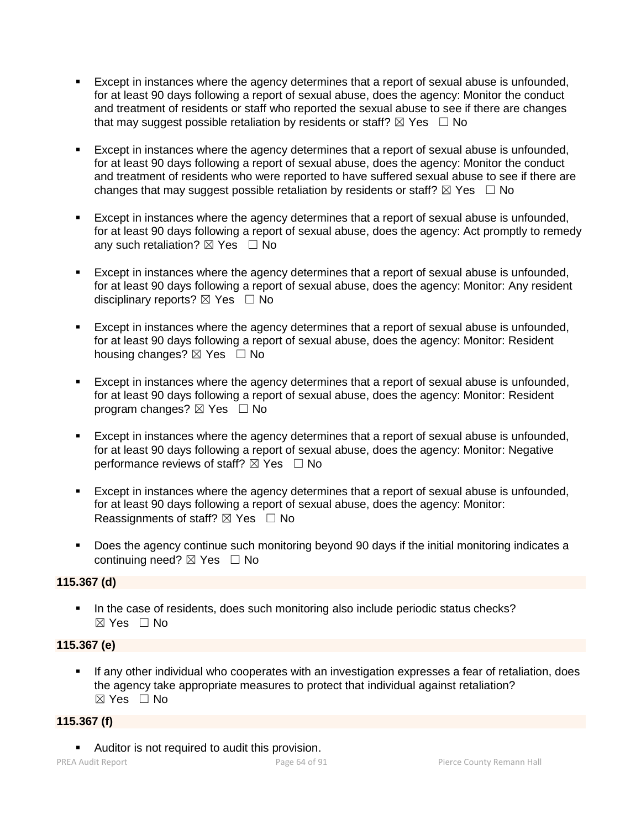- Except in instances where the agency determines that a report of sexual abuse is unfounded, for at least 90 days following a report of sexual abuse, does the agency: Monitor the conduct and treatment of residents or staff who reported the sexual abuse to see if there are changes that may suggest possible retaliation by residents or staff?  $\boxtimes$  Yes  $\Box$  No
- Except in instances where the agency determines that a report of sexual abuse is unfounded, for at least 90 days following a report of sexual abuse, does the agency: Monitor the conduct and treatment of residents who were reported to have suffered sexual abuse to see if there are changes that may suggest possible retaliation by residents or staff?  $\boxtimes$  Yes  $\Box$  No
- Except in instances where the agency determines that a report of sexual abuse is unfounded, for at least 90 days following a report of sexual abuse, does the agency: Act promptly to remedy any such retaliation?  $\boxtimes$  Yes  $\Box$  No
- Except in instances where the agency determines that a report of sexual abuse is unfounded, for at least 90 days following a report of sexual abuse, does the agency: Monitor: Any resident disciplinary reports?  $\boxtimes$  Yes  $\Box$  No
- Except in instances where the agency determines that a report of sexual abuse is unfounded, for at least 90 days following a report of sexual abuse, does the agency: Monitor: Resident housing changes?  $\boxtimes$  Yes  $\Box$  No
- Except in instances where the agency determines that a report of sexual abuse is unfounded, for at least 90 days following a report of sexual abuse, does the agency: Monitor: Resident program changes?  $\boxtimes$  Yes  $\Box$  No
- Except in instances where the agency determines that a report of sexual abuse is unfounded, for at least 90 days following a report of sexual abuse, does the agency: Monitor: Negative performance reviews of staff?  $\boxtimes$  Yes  $\Box$  No
- Except in instances where the agency determines that a report of sexual abuse is unfounded, for at least 90 days following a report of sexual abuse, does the agency: Monitor: Reassignments of staff?  $\boxtimes$  Yes  $\Box$  No
- Does the agency continue such monitoring beyond 90 days if the initial monitoring indicates a continuing need? ☒ Yes ☐ No

## **115.367 (d)**

In the case of residents, does such monitoring also include periodic status checks?  $\boxtimes$  Yes  $\Box$  No

## **115.367 (e)**

 If any other individual who cooperates with an investigation expresses a fear of retaliation, does the agency take appropriate measures to protect that individual against retaliation?  $\boxtimes$  Yes  $\Box$  No

## **115.367 (f)**

Auditor is not required to audit this provision.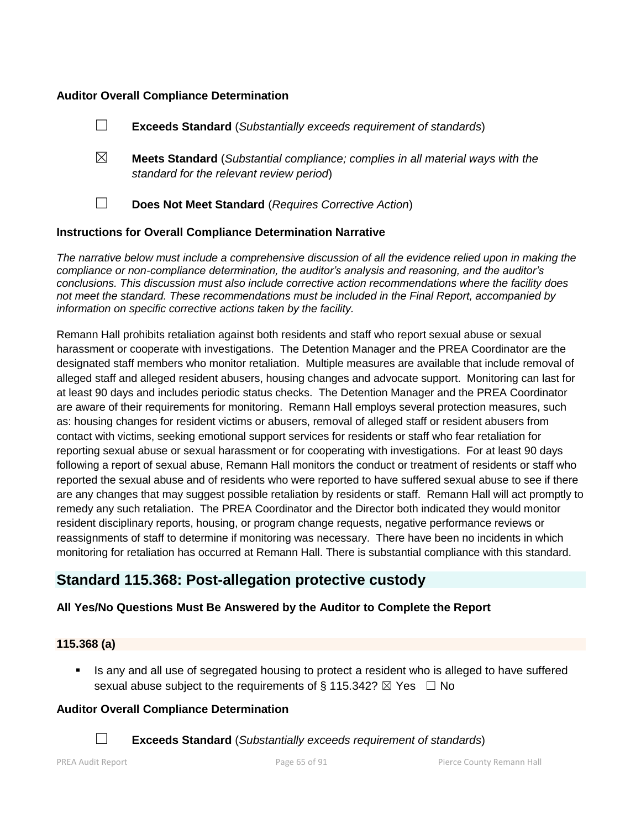#### **Auditor Overall Compliance Determination**

|   | <b>Exceeds Standard</b> (Substantially exceeds requirement of standards)                                                          |
|---|-----------------------------------------------------------------------------------------------------------------------------------|
| ⊠ | <b>Meets Standard</b> (Substantial compliance; complies in all material ways with the<br>standard for the relevant review period) |
|   | Does Not Meet Standard (Requires Corrective Action)                                                                               |
|   |                                                                                                                                   |

#### **Instructions for Overall Compliance Determination Narrative**

*The narrative below must include a comprehensive discussion of all the evidence relied upon in making the compliance or non-compliance determination, the auditor's analysis and reasoning, and the auditor's conclusions. This discussion must also include corrective action recommendations where the facility does not meet the standard. These recommendations must be included in the Final Report, accompanied by information on specific corrective actions taken by the facility.*

Remann Hall prohibits retaliation against both residents and staff who report sexual abuse or sexual harassment or cooperate with investigations. The Detention Manager and the PREA Coordinator are the designated staff members who monitor retaliation. Multiple measures are available that include removal of alleged staff and alleged resident abusers, housing changes and advocate support. Monitoring can last for at least 90 days and includes periodic status checks. The Detention Manager and the PREA Coordinator are aware of their requirements for monitoring. Remann Hall employs several protection measures, such as: housing changes for resident victims or abusers, removal of alleged staff or resident abusers from contact with victims, seeking emotional support services for residents or staff who fear retaliation for reporting sexual abuse or sexual harassment or for cooperating with investigations. For at least 90 days following a report of sexual abuse, Remann Hall monitors the conduct or treatment of residents or staff who reported the sexual abuse and of residents who were reported to have suffered sexual abuse to see if there are any changes that may suggest possible retaliation by residents or staff. Remann Hall will act promptly to remedy any such retaliation. The PREA Coordinator and the Director both indicated they would monitor resident disciplinary reports, housing, or program change requests, negative performance reviews or reassignments of staff to determine if monitoring was necessary. There have been no incidents in which monitoring for retaliation has occurred at Remann Hall. There is substantial compliance with this standard.

## **Standard 115.368: Post-allegation protective custody**

## **All Yes/No Questions Must Be Answered by the Auditor to Complete the Report**

## **115.368 (a)**

Is any and all use of segregated housing to protect a resident who is alleged to have suffered sexual abuse subject to the requirements of § 115.342?  $\boxtimes$  Yes  $\Box$  No

## **Auditor Overall Compliance Determination**

☐ **Exceeds Standard** (*Substantially exceeds requirement of standards*)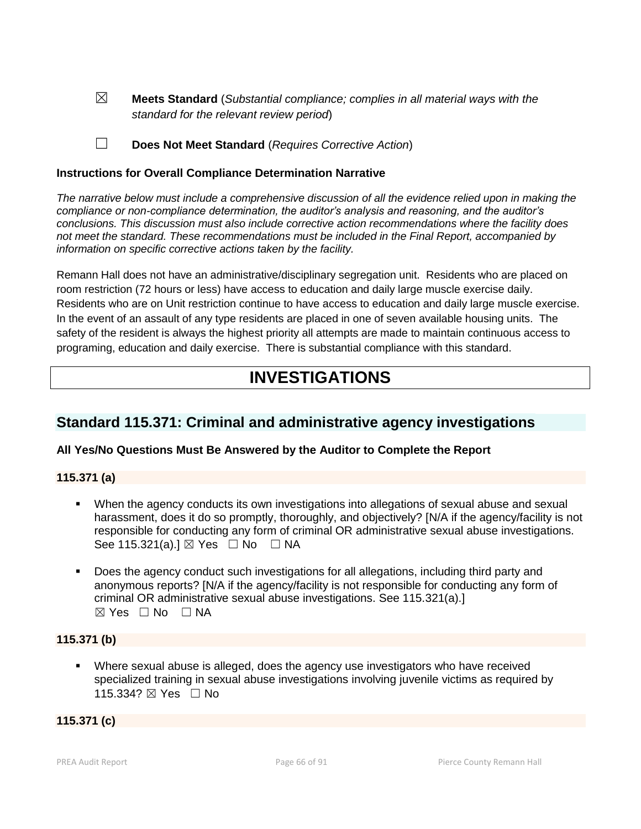☒ **Meets Standard** (*Substantial compliance; complies in all material ways with the standard for the relevant review period*)

☐ **Does Not Meet Standard** (*Requires Corrective Action*)

#### **Instructions for Overall Compliance Determination Narrative**

*The narrative below must include a comprehensive discussion of all the evidence relied upon in making the compliance or non-compliance determination, the auditor's analysis and reasoning, and the auditor's conclusions. This discussion must also include corrective action recommendations where the facility does not meet the standard. These recommendations must be included in the Final Report, accompanied by information on specific corrective actions taken by the facility.*

Remann Hall does not have an administrative/disciplinary segregation unit. Residents who are placed on room restriction (72 hours or less) have access to education and daily large muscle exercise daily. Residents who are on Unit restriction continue to have access to education and daily large muscle exercise. In the event of an assault of any type residents are placed in one of seven available housing units. The safety of the resident is always the highest priority all attempts are made to maintain continuous access to programing, education and daily exercise. There is substantial compliance with this standard.

# **INVESTIGATIONS**

## **Standard 115.371: Criminal and administrative agency investigations**

## **All Yes/No Questions Must Be Answered by the Auditor to Complete the Report**

#### **115.371 (a)**

- When the agency conducts its own investigations into allegations of sexual abuse and sexual harassment, does it do so promptly, thoroughly, and objectively? [N/A if the agency/facility is not responsible for conducting any form of criminal OR administrative sexual abuse investigations. See 115.321(a).]  $\boxtimes$  Yes  $\Box$  No  $\Box$  NA
- Does the agency conduct such investigations for all allegations, including third party and anonymous reports? [N/A if the agency/facility is not responsible for conducting any form of criminal OR administrative sexual abuse investigations. See 115.321(a).]  $\boxtimes$  Yes  $\Box$  No  $\Box$  NA

## **115.371 (b)**

 Where sexual abuse is alleged, does the agency use investigators who have received specialized training in sexual abuse investigations involving juvenile victims as required by 115.334? ⊠ Yes □ No

#### **115.371 (c)**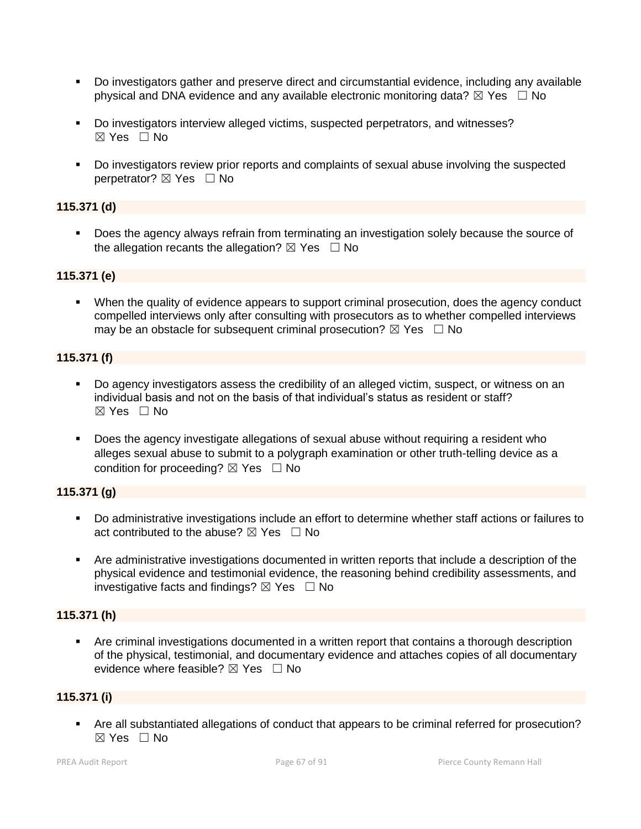- Do investigators gather and preserve direct and circumstantial evidence, including any available physical and DNA evidence and any available electronic monitoring data?  $\boxtimes$  Yes  $\Box$  No
- Do investigators interview alleged victims, suspected perpetrators, and witnesses?  $\boxtimes$  Yes  $\Box$  No
- Do investigators review prior reports and complaints of sexual abuse involving the suspected perpetrator? ⊠ Yes □ No

## **115.371 (d)**

 Does the agency always refrain from terminating an investigation solely because the source of the allegation recants the allegation?  $\boxtimes$  Yes  $\Box$  No

## **115.371 (e)**

 When the quality of evidence appears to support criminal prosecution, does the agency conduct compelled interviews only after consulting with prosecutors as to whether compelled interviews may be an obstacle for subsequent criminal prosecution?  $\boxtimes$  Yes  $\Box$  No

#### **115.371 (f)**

- Do agency investigators assess the credibility of an alleged victim, suspect, or witness on an individual basis and not on the basis of that individual's status as resident or staff?  $\boxtimes$  Yes  $\Box$  No
- Does the agency investigate allegations of sexual abuse without requiring a resident who alleges sexual abuse to submit to a polygraph examination or other truth-telling device as a condition for proceeding?  $\boxtimes$  Yes  $\Box$  No

## **115.371 (g)**

- Do administrative investigations include an effort to determine whether staff actions or failures to act contributed to the abuse?  $\nabla$  Yes  $\Box$  No
- Are administrative investigations documented in written reports that include a description of the physical evidence and testimonial evidence, the reasoning behind credibility assessments, and investigative facts and findings?  $\boxtimes$  Yes  $\Box$  No

## **115.371 (h)**

 Are criminal investigations documented in a written report that contains a thorough description of the physical, testimonial, and documentary evidence and attaches copies of all documentary evidence where feasible?  $\boxtimes$  Yes  $\Box$  No

## **115.371 (i)**

 Are all substantiated allegations of conduct that appears to be criminal referred for prosecution?  $\boxtimes$  Yes  $\Box$  No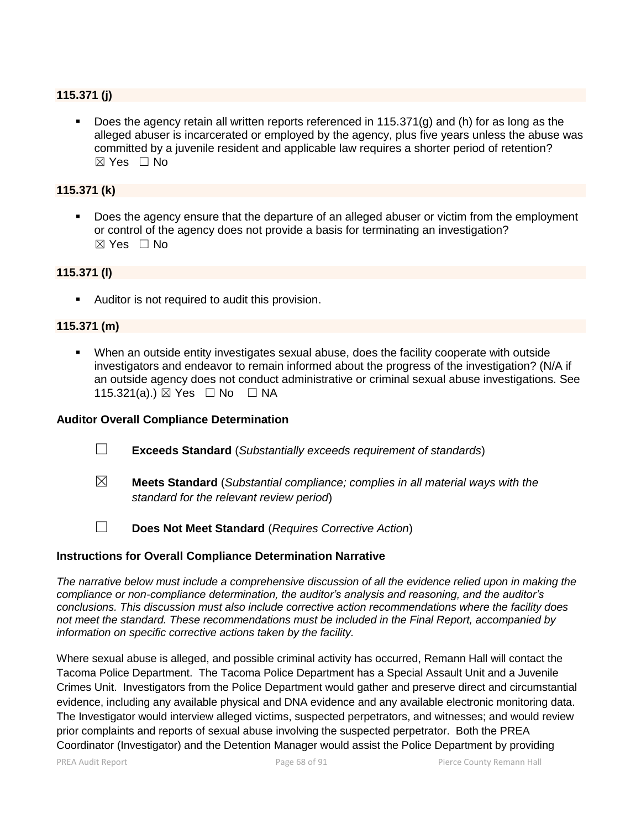## **115.371 (j)**

 Does the agency retain all written reports referenced in 115.371(g) and (h) for as long as the alleged abuser is incarcerated or employed by the agency, plus five years unless the abuse was committed by a juvenile resident and applicable law requires a shorter period of retention? ☒ Yes ☐ No

## **115.371 (k)**

Does the agency ensure that the departure of an alleged abuser or victim from the employment or control of the agency does not provide a basis for terminating an investigation?  $\boxtimes$  Yes  $\Box$  No

#### **115.371 (l)**

**Auditor is not required to audit this provision.** 

#### **115.371 (m)**

 When an outside entity investigates sexual abuse, does the facility cooperate with outside investigators and endeavor to remain informed about the progress of the investigation? (N/A if an outside agency does not conduct administrative or criminal sexual abuse investigations. See 115.321(a).) ⊠ Yes □ No □ NA

#### **Auditor Overall Compliance Determination**

- ☐ **Exceeds Standard** (*Substantially exceeds requirement of standards*)
- ☒ **Meets Standard** (*Substantial compliance; complies in all material ways with the standard for the relevant review period*)
- ☐ **Does Not Meet Standard** (*Requires Corrective Action*)

#### **Instructions for Overall Compliance Determination Narrative**

*The narrative below must include a comprehensive discussion of all the evidence relied upon in making the compliance or non-compliance determination, the auditor's analysis and reasoning, and the auditor's conclusions. This discussion must also include corrective action recommendations where the facility does not meet the standard. These recommendations must be included in the Final Report, accompanied by information on specific corrective actions taken by the facility.*

Where sexual abuse is alleged, and possible criminal activity has occurred, Remann Hall will contact the Tacoma Police Department. The Tacoma Police Department has a Special Assault Unit and a Juvenile Crimes Unit. Investigators from the Police Department would gather and preserve direct and circumstantial evidence, including any available physical and DNA evidence and any available electronic monitoring data. The Investigator would interview alleged victims, suspected perpetrators, and witnesses; and would review prior complaints and reports of sexual abuse involving the suspected perpetrator. Both the PREA Coordinator (Investigator) and the Detention Manager would assist the Police Department by providing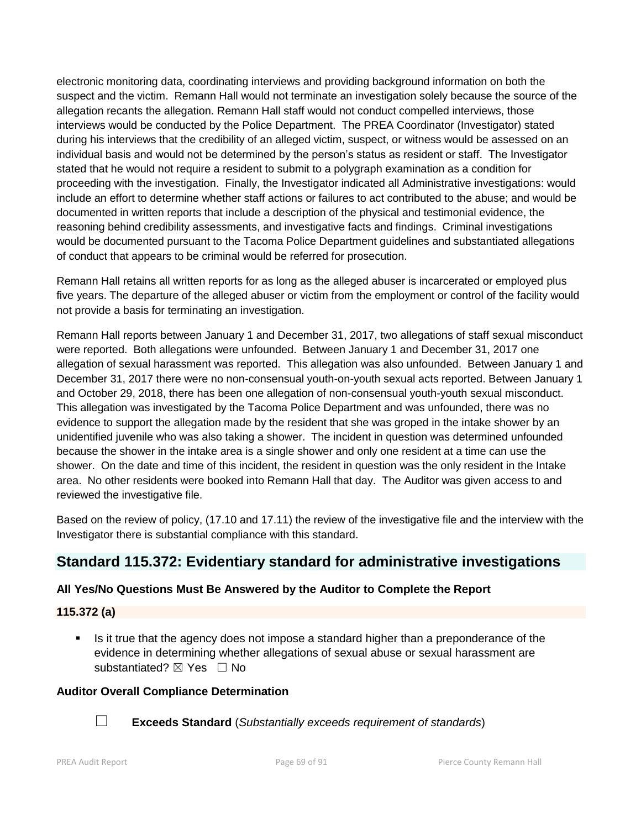electronic monitoring data, coordinating interviews and providing background information on both the suspect and the victim. Remann Hall would not terminate an investigation solely because the source of the allegation recants the allegation. Remann Hall staff would not conduct compelled interviews, those interviews would be conducted by the Police Department. The PREA Coordinator (Investigator) stated during his interviews that the credibility of an alleged victim, suspect, or witness would be assessed on an individual basis and would not be determined by the person's status as resident or staff. The Investigator stated that he would not require a resident to submit to a polygraph examination as a condition for proceeding with the investigation. Finally, the Investigator indicated all Administrative investigations: would include an effort to determine whether staff actions or failures to act contributed to the abuse; and would be documented in written reports that include a description of the physical and testimonial evidence, the reasoning behind credibility assessments, and investigative facts and findings. Criminal investigations would be documented pursuant to the Tacoma Police Department guidelines and substantiated allegations of conduct that appears to be criminal would be referred for prosecution.

Remann Hall retains all written reports for as long as the alleged abuser is incarcerated or employed plus five years. The departure of the alleged abuser or victim from the employment or control of the facility would not provide a basis for terminating an investigation.

Remann Hall reports between January 1 and December 31, 2017, two allegations of staff sexual misconduct were reported. Both allegations were unfounded. Between January 1 and December 31, 2017 one allegation of sexual harassment was reported. This allegation was also unfounded. Between January 1 and December 31, 2017 there were no non-consensual youth-on-youth sexual acts reported. Between January 1 and October 29, 2018, there has been one allegation of non-consensual youth-youth sexual misconduct. This allegation was investigated by the Tacoma Police Department and was unfounded, there was no evidence to support the allegation made by the resident that she was groped in the intake shower by an unidentified juvenile who was also taking a shower. The incident in question was determined unfounded because the shower in the intake area is a single shower and only one resident at a time can use the shower. On the date and time of this incident, the resident in question was the only resident in the Intake area. No other residents were booked into Remann Hall that day. The Auditor was given access to and reviewed the investigative file.

Based on the review of policy, (17.10 and 17.11) the review of the investigative file and the interview with the Investigator there is substantial compliance with this standard.

## **Standard 115.372: Evidentiary standard for administrative investigations**

## **All Yes/No Questions Must Be Answered by the Auditor to Complete the Report**

## **115.372 (a)**

 Is it true that the agency does not impose a standard higher than a preponderance of the evidence in determining whether allegations of sexual abuse or sexual harassment are substantiated? ⊠ Yes □ No

#### **Auditor Overall Compliance Determination**



☐ **Exceeds Standard** (*Substantially exceeds requirement of standards*)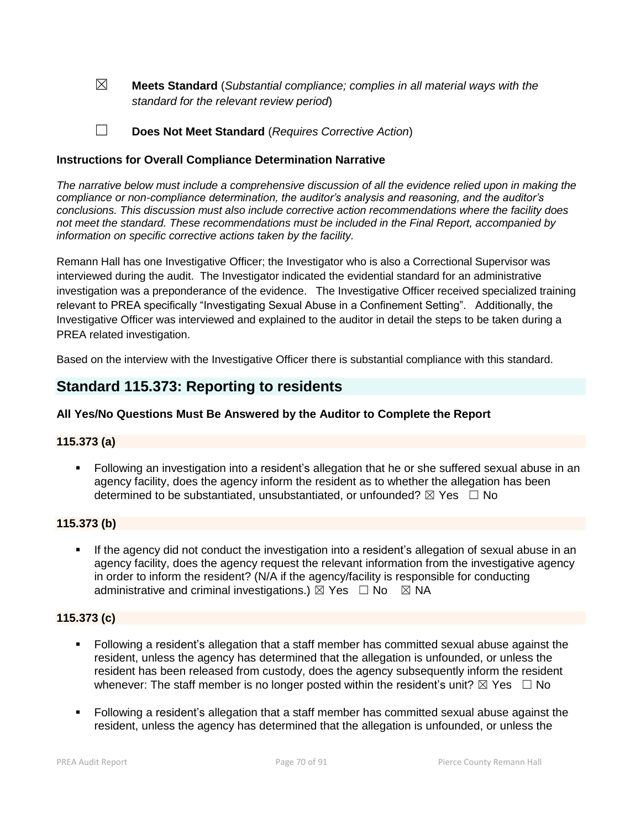☒ **Meets Standard** (*Substantial compliance; complies in all material ways with the standard for the relevant review period*)

☐ **Does Not Meet Standard** (*Requires Corrective Action*)

## **Instructions for Overall Compliance Determination Narrative**

*The narrative below must include a comprehensive discussion of all the evidence relied upon in making the compliance or non-compliance determination, the auditor's analysis and reasoning, and the auditor's conclusions. This discussion must also include corrective action recommendations where the facility does not meet the standard. These recommendations must be included in the Final Report, accompanied by information on specific corrective actions taken by the facility.*

Remann Hall has one Investigative Officer; the Investigator who is also a Correctional Supervisor was interviewed during the audit. The Investigator indicated the evidential standard for an administrative investigation was a preponderance of the evidence. The Investigative Officer received specialized training relevant to PREA specifically "Investigating Sexual Abuse in a Confinement Setting". Additionally, the Investigative Officer was interviewed and explained to the auditor in detail the steps to be taken during a PREA related investigation.

Based on the interview with the Investigative Officer there is substantial compliance with this standard.

## **Standard 115.373: Reporting to residents**

## **All Yes/No Questions Must Be Answered by the Auditor to Complete the Report**

## **115.373 (a)**

 Following an investigation into a resident's allegation that he or she suffered sexual abuse in an agency facility, does the agency inform the resident as to whether the allegation has been determined to be substantiated, unsubstantiated, or unfounded?  $\boxtimes$  Yes  $\Box$  No

## **115.373 (b)**

 If the agency did not conduct the investigation into a resident's allegation of sexual abuse in an agency facility, does the agency request the relevant information from the investigative agency in order to inform the resident? (N/A if the agency/facility is responsible for conducting administrative and criminal investigations.)  $\boxtimes$  Yes  $\Box$  No  $\boxtimes$  NA

#### **115.373 (c)**

- Following a resident's allegation that a staff member has committed sexual abuse against the resident, unless the agency has determined that the allegation is unfounded, or unless the resident has been released from custody, does the agency subsequently inform the resident whenever: The staff member is no longer posted within the resident's unit?  $\boxtimes$  Yes  $\Box$  No
- Following a resident's allegation that a staff member has committed sexual abuse against the resident, unless the agency has determined that the allegation is unfounded, or unless the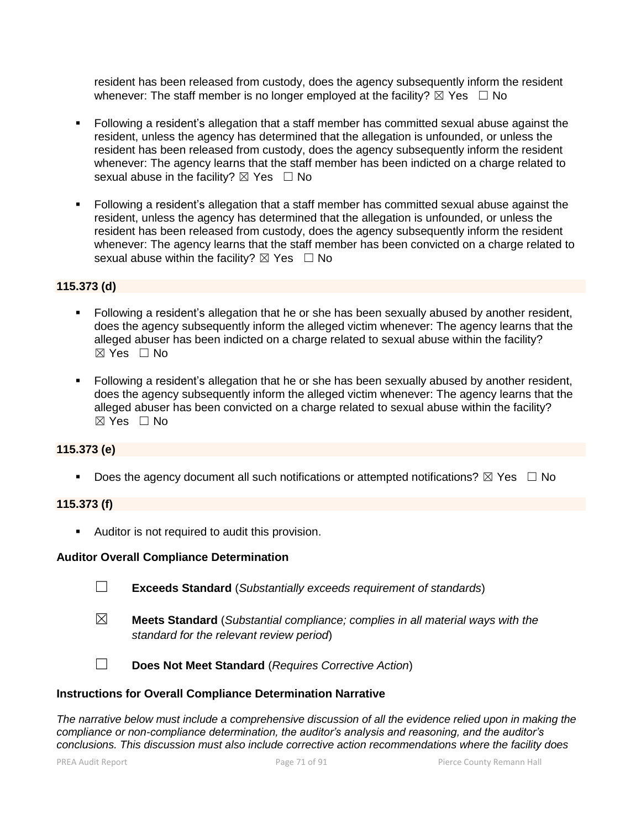resident has been released from custody, does the agency subsequently inform the resident whenever: The staff member is no longer employed at the facility?  $\boxtimes$  Yes  $\Box$  No

- Following a resident's allegation that a staff member has committed sexual abuse against the resident, unless the agency has determined that the allegation is unfounded, or unless the resident has been released from custody, does the agency subsequently inform the resident whenever: The agency learns that the staff member has been indicted on a charge related to sexual abuse in the facility?  $\boxtimes$  Yes  $\Box$  No
- Following a resident's allegation that a staff member has committed sexual abuse against the resident, unless the agency has determined that the allegation is unfounded, or unless the resident has been released from custody, does the agency subsequently inform the resident whenever: The agency learns that the staff member has been convicted on a charge related to sexual abuse within the facility?  $\boxtimes$  Yes  $\Box$  No

## **115.373 (d)**

- Following a resident's allegation that he or she has been sexually abused by another resident, does the agency subsequently inform the alleged victim whenever: The agency learns that the alleged abuser has been indicted on a charge related to sexual abuse within the facility?  $\boxtimes$  Yes  $\Box$  No
- Following a resident's allegation that he or she has been sexually abused by another resident, does the agency subsequently inform the alleged victim whenever: The agency learns that the alleged abuser has been convicted on a charge related to sexual abuse within the facility?  $\boxtimes$  Yes  $\Box$  No

## **115.373 (e)**

Does the agency document all such notifications or attempted notifications?  $\boxtimes$  Yes  $\Box$  No

#### **115.373 (f)**

**Auditor is not required to audit this provision.** 

#### **Auditor Overall Compliance Determination**

- ☐ **Exceeds Standard** (*Substantially exceeds requirement of standards*)
- ☒ **Meets Standard** (*Substantial compliance; complies in all material ways with the standard for the relevant review period*)

☐ **Does Not Meet Standard** (*Requires Corrective Action*)

#### **Instructions for Overall Compliance Determination Narrative**

*The narrative below must include a comprehensive discussion of all the evidence relied upon in making the compliance or non-compliance determination, the auditor's analysis and reasoning, and the auditor's conclusions. This discussion must also include corrective action recommendations where the facility does*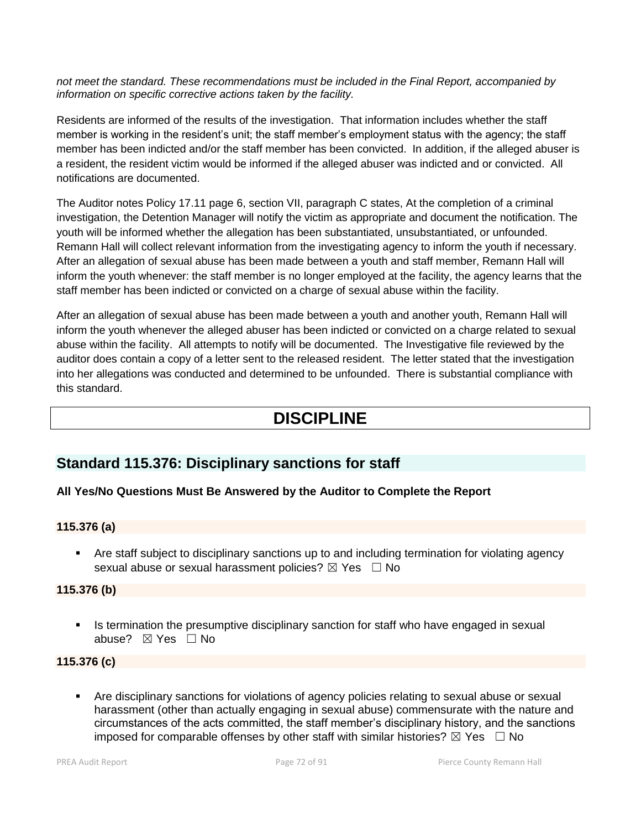*not meet the standard. These recommendations must be included in the Final Report, accompanied by information on specific corrective actions taken by the facility.*

Residents are informed of the results of the investigation. That information includes whether the staff member is working in the resident's unit; the staff member's employment status with the agency; the staff member has been indicted and/or the staff member has been convicted. In addition, if the alleged abuser is a resident, the resident victim would be informed if the alleged abuser was indicted and or convicted. All notifications are documented.

The Auditor notes Policy 17.11 page 6, section VII, paragraph C states, At the completion of a criminal investigation, the Detention Manager will notify the victim as appropriate and document the notification. The youth will be informed whether the allegation has been substantiated, unsubstantiated, or unfounded. Remann Hall will collect relevant information from the investigating agency to inform the youth if necessary. After an allegation of sexual abuse has been made between a youth and staff member, Remann Hall will inform the youth whenever: the staff member is no longer employed at the facility, the agency learns that the staff member has been indicted or convicted on a charge of sexual abuse within the facility.

After an allegation of sexual abuse has been made between a youth and another youth, Remann Hall will inform the youth whenever the alleged abuser has been indicted or convicted on a charge related to sexual abuse within the facility. All attempts to notify will be documented. The Investigative file reviewed by the auditor does contain a copy of a letter sent to the released resident. The letter stated that the investigation into her allegations was conducted and determined to be unfounded. There is substantial compliance with this standard.

# **DISCIPLINE**

## **Standard 115.376: Disciplinary sanctions for staff**

## **All Yes/No Questions Must Be Answered by the Auditor to Complete the Report**

## **115.376 (a)**

 Are staff subject to disciplinary sanctions up to and including termination for violating agency sexual abuse or sexual harassment policies?  $\boxtimes$  Yes  $\Box$  No

## **115.376 (b)**

Is termination the presumptive disciplinary sanction for staff who have engaged in sexual abuse? ☒ Yes ☐ No

## **115.376 (c)**

 Are disciplinary sanctions for violations of agency policies relating to sexual abuse or sexual harassment (other than actually engaging in sexual abuse) commensurate with the nature and circumstances of the acts committed, the staff member's disciplinary history, and the sanctions imposed for comparable offenses by other staff with similar histories?  $\boxtimes$  Yes  $\Box$  No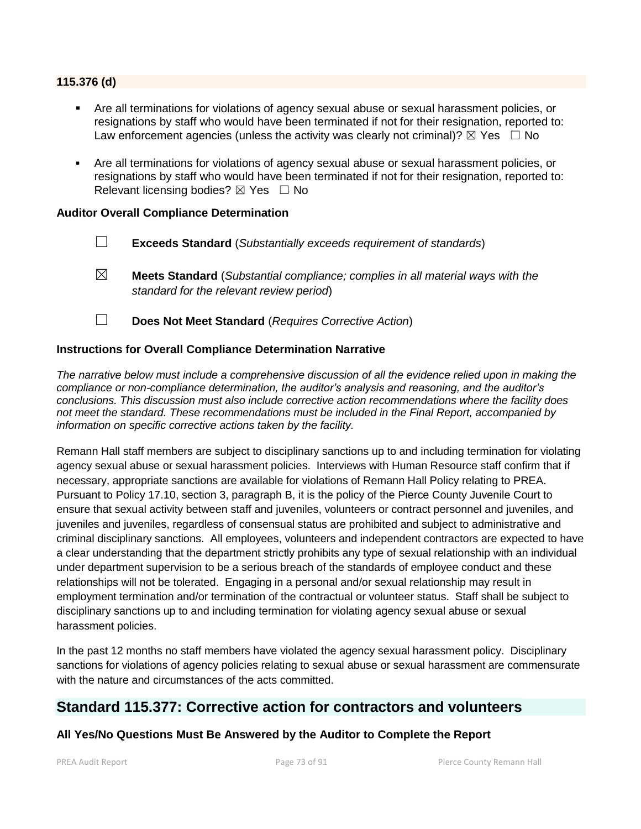#### **115.376 (d)**

- Are all terminations for violations of agency sexual abuse or sexual harassment policies, or resignations by staff who would have been terminated if not for their resignation, reported to: Law enforcement agencies (unless the activity was clearly not criminal)?  $\boxtimes$  Yes  $\Box$  No
- Are all terminations for violations of agency sexual abuse or sexual harassment policies, or resignations by staff who would have been terminated if not for their resignation, reported to: Relevant licensing bodies?  $\boxtimes$  Yes  $\Box$  No

#### **Auditor Overall Compliance Determination**

- ☐ **Exceeds Standard** (*Substantially exceeds requirement of standards*)
- ☒ **Meets Standard** (*Substantial compliance; complies in all material ways with the standard for the relevant review period*)
- ☐ **Does Not Meet Standard** (*Requires Corrective Action*)

### **Instructions for Overall Compliance Determination Narrative**

*The narrative below must include a comprehensive discussion of all the evidence relied upon in making the compliance or non-compliance determination, the auditor's analysis and reasoning, and the auditor's conclusions. This discussion must also include corrective action recommendations where the facility does not meet the standard. These recommendations must be included in the Final Report, accompanied by information on specific corrective actions taken by the facility.*

Remann Hall staff members are subject to disciplinary sanctions up to and including termination for violating agency sexual abuse or sexual harassment policies. Interviews with Human Resource staff confirm that if necessary, appropriate sanctions are available for violations of Remann Hall Policy relating to PREA. Pursuant to Policy 17.10, section 3, paragraph B, it is the policy of the Pierce County Juvenile Court to ensure that sexual activity between staff and juveniles, volunteers or contract personnel and juveniles, and juveniles and juveniles, regardless of consensual status are prohibited and subject to administrative and criminal disciplinary sanctions. All employees, volunteers and independent contractors are expected to have a clear understanding that the department strictly prohibits any type of sexual relationship with an individual under department supervision to be a serious breach of the standards of employee conduct and these relationships will not be tolerated. Engaging in a personal and/or sexual relationship may result in employment termination and/or termination of the contractual or volunteer status. Staff shall be subject to disciplinary sanctions up to and including termination for violating agency sexual abuse or sexual harassment policies.

In the past 12 months no staff members have violated the agency sexual harassment policy. Disciplinary sanctions for violations of agency policies relating to sexual abuse or sexual harassment are commensurate with the nature and circumstances of the acts committed.

# **Standard 115.377: Corrective action for contractors and volunteers**

# **All Yes/No Questions Must Be Answered by the Auditor to Complete the Report**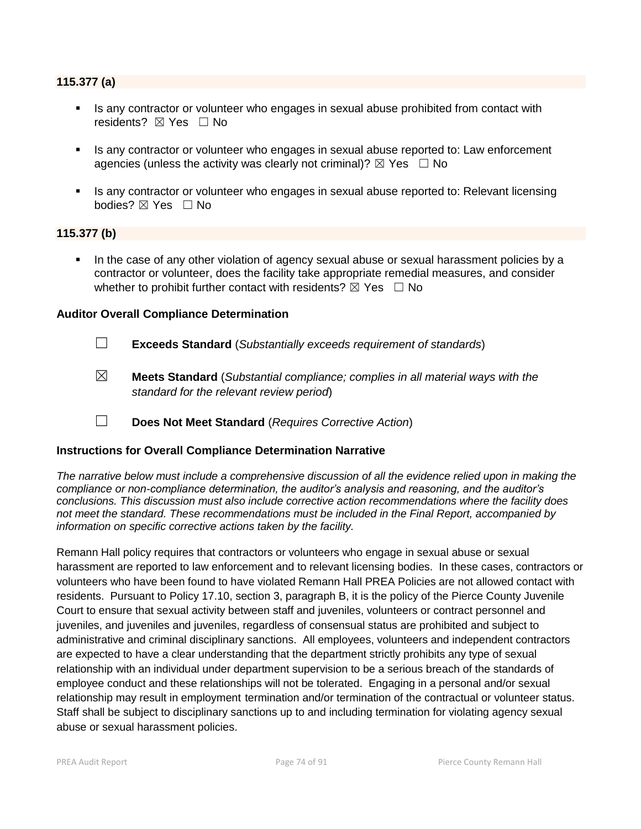#### **115.377 (a)**

- Is any contractor or volunteer who engages in sexual abuse prohibited from contact with residents? ⊠ Yes □ No
- Is any contractor or volunteer who engages in sexual abuse reported to: Law enforcement agencies (unless the activity was clearly not criminal)?  $\boxtimes$  Yes  $\Box$  No
- Is any contractor or volunteer who engages in sexual abuse reported to: Relevant licensing bodies? ⊠ Yes □ No

#### **115.377 (b)**

In the case of any other violation of agency sexual abuse or sexual harassment policies by a contractor or volunteer, does the facility take appropriate remedial measures, and consider whether to prohibit further contact with residents?  $\boxtimes$  Yes  $\Box$  No

#### **Auditor Overall Compliance Determination**

- ☐ **Exceeds Standard** (*Substantially exceeds requirement of standards*)
- ☒ **Meets Standard** (*Substantial compliance; complies in all material ways with the standard for the relevant review period*)
- ☐ **Does Not Meet Standard** (*Requires Corrective Action*)

#### **Instructions for Overall Compliance Determination Narrative**

*The narrative below must include a comprehensive discussion of all the evidence relied upon in making the compliance or non-compliance determination, the auditor's analysis and reasoning, and the auditor's conclusions. This discussion must also include corrective action recommendations where the facility does not meet the standard. These recommendations must be included in the Final Report, accompanied by information on specific corrective actions taken by the facility.*

Remann Hall policy requires that contractors or volunteers who engage in sexual abuse or sexual harassment are reported to law enforcement and to relevant licensing bodies. In these cases, contractors or volunteers who have been found to have violated Remann Hall PREA Policies are not allowed contact with residents. Pursuant to Policy 17.10, section 3, paragraph B, it is the policy of the Pierce County Juvenile Court to ensure that sexual activity between staff and juveniles, volunteers or contract personnel and juveniles, and juveniles and juveniles, regardless of consensual status are prohibited and subject to administrative and criminal disciplinary sanctions. All employees, volunteers and independent contractors are expected to have a clear understanding that the department strictly prohibits any type of sexual relationship with an individual under department supervision to be a serious breach of the standards of employee conduct and these relationships will not be tolerated. Engaging in a personal and/or sexual relationship may result in employment termination and/or termination of the contractual or volunteer status. Staff shall be subject to disciplinary sanctions up to and including termination for violating agency sexual abuse or sexual harassment policies.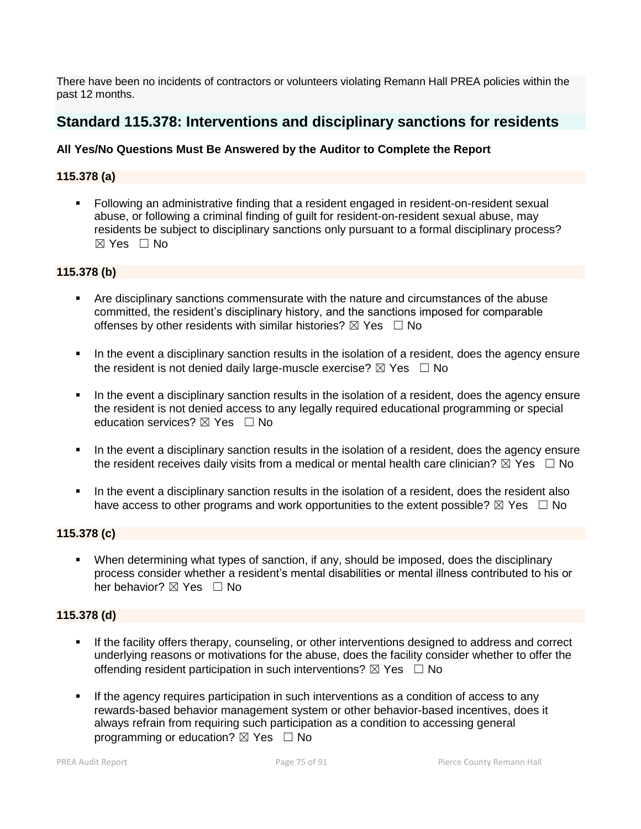There have been no incidents of contractors or volunteers violating Remann Hall PREA policies within the past 12 months.

# **Standard 115.378: Interventions and disciplinary sanctions for residents**

# **All Yes/No Questions Must Be Answered by the Auditor to Complete the Report**

# **115.378 (a)**

 Following an administrative finding that a resident engaged in resident-on-resident sexual abuse, or following a criminal finding of guilt for resident-on-resident sexual abuse, may residents be subject to disciplinary sanctions only pursuant to a formal disciplinary process?  $\boxtimes$  Yes  $\Box$  No

#### **115.378 (b)**

- Are disciplinary sanctions commensurate with the nature and circumstances of the abuse committed, the resident's disciplinary history, and the sanctions imposed for comparable offenses by other residents with similar histories?  $\boxtimes$  Yes  $\Box$  No
- In the event a disciplinary sanction results in the isolation of a resident, does the agency ensure the resident is not denied daily large-muscle exercise?  $\boxtimes$  Yes  $\Box$  No
- In the event a disciplinary sanction results in the isolation of a resident, does the agency ensure the resident is not denied access to any legally required educational programming or special education services?  $\boxtimes$  Yes  $\Box$  No
- In the event a disciplinary sanction results in the isolation of a resident, does the agency ensure the resident receives daily visits from a medical or mental health care clinician?  $\boxtimes$  Yes  $\Box$  No
- In the event a disciplinary sanction results in the isolation of a resident, does the resident also have access to other programs and work opportunities to the extent possible?  $\boxtimes$  Yes  $\Box$  No

# **115.378 (c)**

 When determining what types of sanction, if any, should be imposed, does the disciplinary process consider whether a resident's mental disabilities or mental illness contributed to his or her behavior? ⊠ Yes □ No

#### **115.378 (d)**

- If the facility offers therapy, counseling, or other interventions designed to address and correct underlying reasons or motivations for the abuse, does the facility consider whether to offer the offending resident participation in such interventions?  $\boxtimes$  Yes  $\Box$  No
- If the agency requires participation in such interventions as a condition of access to any rewards-based behavior management system or other behavior-based incentives, does it always refrain from requiring such participation as a condition to accessing general programming or education?  $\boxtimes$  Yes  $\Box$  No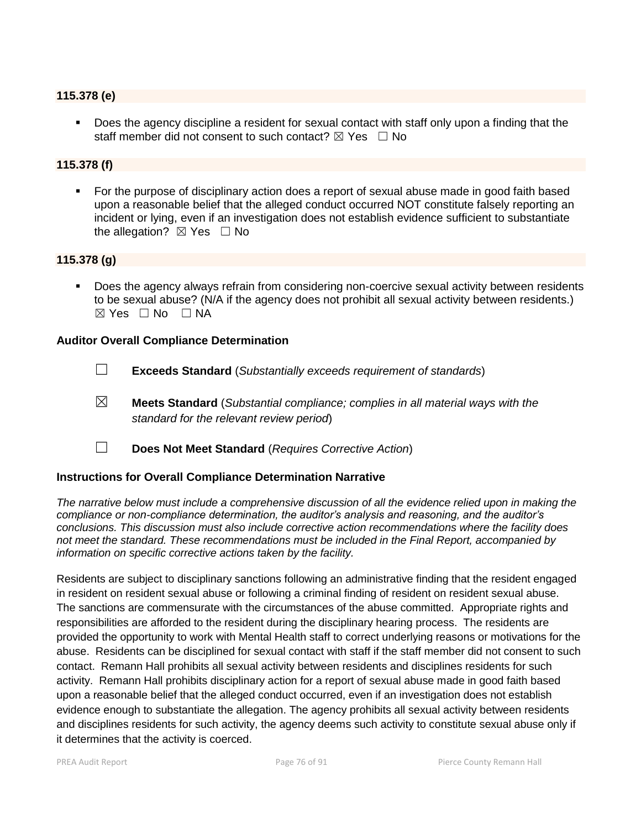#### **115.378 (e)**

 Does the agency discipline a resident for sexual contact with staff only upon a finding that the staff member did not consent to such contact?  $\boxtimes$  Yes  $\Box$  No

### **115.378 (f)**

 For the purpose of disciplinary action does a report of sexual abuse made in good faith based upon a reasonable belief that the alleged conduct occurred NOT constitute falsely reporting an incident or lying, even if an investigation does not establish evidence sufficient to substantiate the allegation?  $\boxtimes$  Yes  $\Box$  No

### **115.378 (g)**

 Does the agency always refrain from considering non-coercive sexual activity between residents to be sexual abuse? (N/A if the agency does not prohibit all sexual activity between residents.)  $\boxtimes$  Yes  $\Box$  No  $\Box$  NA

#### **Auditor Overall Compliance Determination**

- ☐ **Exceeds Standard** (*Substantially exceeds requirement of standards*)
- ☒ **Meets Standard** (*Substantial compliance; complies in all material ways with the standard for the relevant review period*)
- ☐ **Does Not Meet Standard** (*Requires Corrective Action*)

#### **Instructions for Overall Compliance Determination Narrative**

*The narrative below must include a comprehensive discussion of all the evidence relied upon in making the compliance or non-compliance determination, the auditor's analysis and reasoning, and the auditor's conclusions. This discussion must also include corrective action recommendations where the facility does not meet the standard. These recommendations must be included in the Final Report, accompanied by information on specific corrective actions taken by the facility.*

Residents are subject to disciplinary sanctions following an administrative finding that the resident engaged in resident on resident sexual abuse or following a criminal finding of resident on resident sexual abuse. The sanctions are commensurate with the circumstances of the abuse committed. Appropriate rights and responsibilities are afforded to the resident during the disciplinary hearing process. The residents are provided the opportunity to work with Mental Health staff to correct underlying reasons or motivations for the abuse. Residents can be disciplined for sexual contact with staff if the staff member did not consent to such contact. Remann Hall prohibits all sexual activity between residents and disciplines residents for such activity. Remann Hall prohibits disciplinary action for a report of sexual abuse made in good faith based upon a reasonable belief that the alleged conduct occurred, even if an investigation does not establish evidence enough to substantiate the allegation. The agency prohibits all sexual activity between residents and disciplines residents for such activity, the agency deems such activity to constitute sexual abuse only if it determines that the activity is coerced.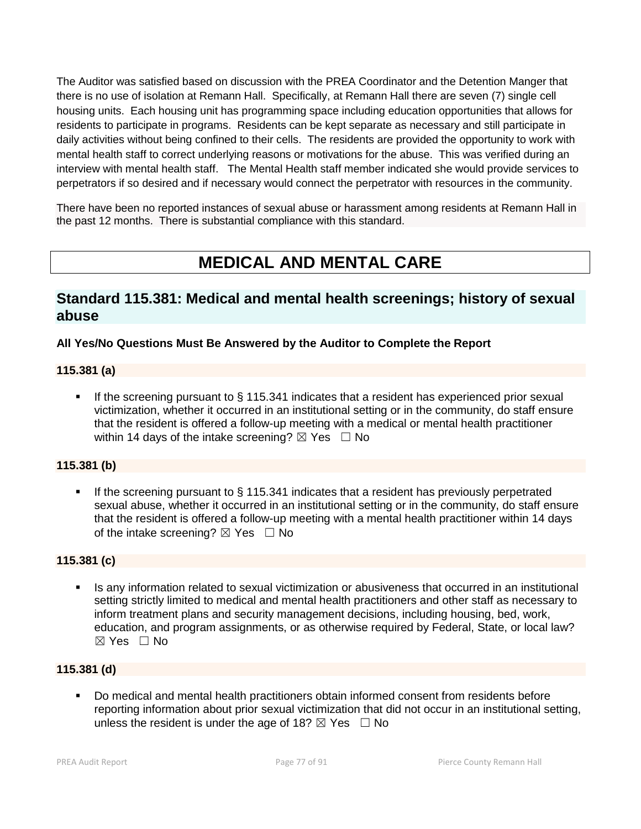The Auditor was satisfied based on discussion with the PREA Coordinator and the Detention Manger that there is no use of isolation at Remann Hall. Specifically, at Remann Hall there are seven (7) single cell housing units. Each housing unit has programming space including education opportunities that allows for residents to participate in programs. Residents can be kept separate as necessary and still participate in daily activities without being confined to their cells. The residents are provided the opportunity to work with mental health staff to correct underlying reasons or motivations for the abuse. This was verified during an interview with mental health staff. The Mental Health staff member indicated she would provide services to perpetrators if so desired and if necessary would connect the perpetrator with resources in the community.

There have been no reported instances of sexual abuse or harassment among residents at Remann Hall in the past 12 months. There is substantial compliance with this standard.

# **MEDICAL AND MENTAL CARE**

# **Standard 115.381: Medical and mental health screenings; history of sexual abuse**

# **All Yes/No Questions Must Be Answered by the Auditor to Complete the Report**

# **115.381 (a)**

 If the screening pursuant to § 115.341 indicates that a resident has experienced prior sexual victimization, whether it occurred in an institutional setting or in the community, do staff ensure that the resident is offered a follow-up meeting with a medical or mental health practitioner within 14 days of the intake screening?  $\boxtimes$  Yes  $\Box$  No

# **115.381 (b)**

If the screening pursuant to  $\S$  115.341 indicates that a resident has previously perpetrated sexual abuse, whether it occurred in an institutional setting or in the community, do staff ensure that the resident is offered a follow-up meeting with a mental health practitioner within 14 days of the intake screening?  $\boxtimes$  Yes  $\Box$  No

# **115.381 (c)**

 Is any information related to sexual victimization or abusiveness that occurred in an institutional setting strictly limited to medical and mental health practitioners and other staff as necessary to inform treatment plans and security management decisions, including housing, bed, work, education, and program assignments, or as otherwise required by Federal, State, or local law?  $\boxtimes$  Yes  $\Box$  No

### **115.381 (d)**

 Do medical and mental health practitioners obtain informed consent from residents before reporting information about prior sexual victimization that did not occur in an institutional setting, unless the resident is under the age of 18?  $\boxtimes$  Yes  $\Box$  No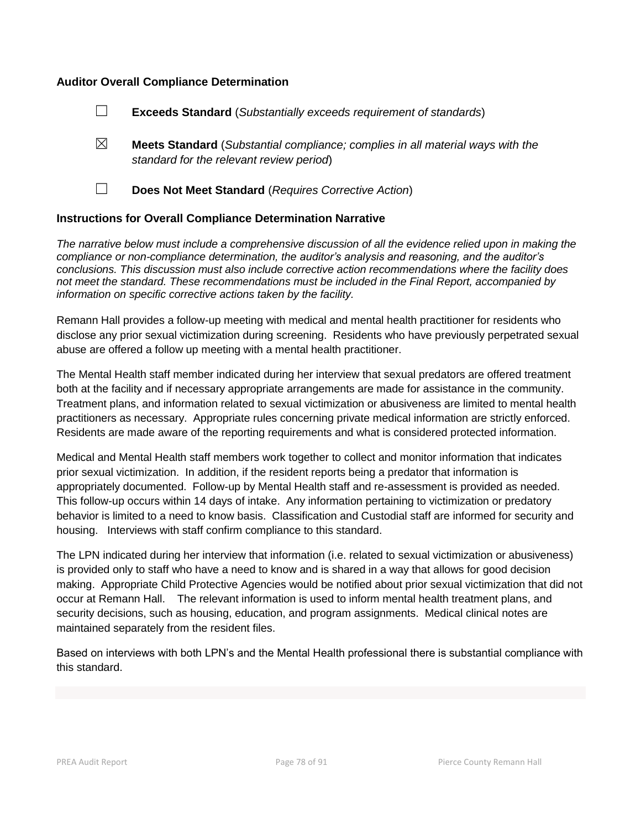### **Auditor Overall Compliance Determination**

- ☐ **Exceeds Standard** (*Substantially exceeds requirement of standards*)
- ☒ **Meets Standard** (*Substantial compliance; complies in all material ways with the standard for the relevant review period*)
- 
- ☐ **Does Not Meet Standard** (*Requires Corrective Action*)

#### **Instructions for Overall Compliance Determination Narrative**

*The narrative below must include a comprehensive discussion of all the evidence relied upon in making the compliance or non-compliance determination, the auditor's analysis and reasoning, and the auditor's conclusions. This discussion must also include corrective action recommendations where the facility does not meet the standard. These recommendations must be included in the Final Report, accompanied by information on specific corrective actions taken by the facility.*

Remann Hall provides a follow-up meeting with medical and mental health practitioner for residents who disclose any prior sexual victimization during screening. Residents who have previously perpetrated sexual abuse are offered a follow up meeting with a mental health practitioner.

The Mental Health staff member indicated during her interview that sexual predators are offered treatment both at the facility and if necessary appropriate arrangements are made for assistance in the community. Treatment plans, and information related to sexual victimization or abusiveness are limited to mental health practitioners as necessary. Appropriate rules concerning private medical information are strictly enforced. Residents are made aware of the reporting requirements and what is considered protected information.

Medical and Mental Health staff members work together to collect and monitor information that indicates prior sexual victimization. In addition, if the resident reports being a predator that information is appropriately documented. Follow-up by Mental Health staff and re-assessment is provided as needed. This follow-up occurs within 14 days of intake. Any information pertaining to victimization or predatory behavior is limited to a need to know basis. Classification and Custodial staff are informed for security and housing. Interviews with staff confirm compliance to this standard.

The LPN indicated during her interview that information (i.e. related to sexual victimization or abusiveness) is provided only to staff who have a need to know and is shared in a way that allows for good decision making. Appropriate Child Protective Agencies would be notified about prior sexual victimization that did not occur at Remann Hall. The relevant information is used to inform mental health treatment plans, and security decisions, such as housing, education, and program assignments. Medical clinical notes are maintained separately from the resident files.

Based on interviews with both LPN's and the Mental Health professional there is substantial compliance with this standard.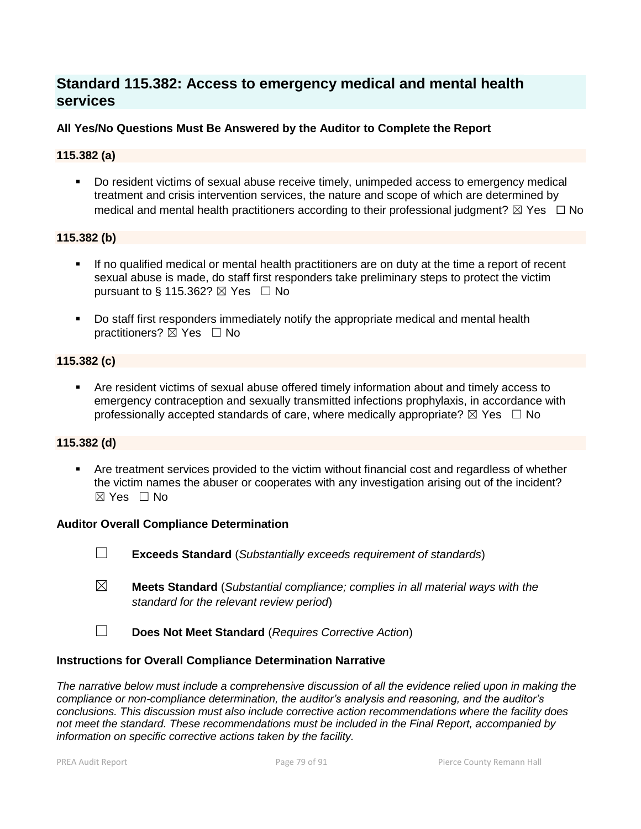# **Standard 115.382: Access to emergency medical and mental health services**

# **All Yes/No Questions Must Be Answered by the Auditor to Complete the Report**

### **115.382 (a)**

 Do resident victims of sexual abuse receive timely, unimpeded access to emergency medical treatment and crisis intervention services, the nature and scope of which are determined by medical and mental health practitioners according to their professional judgment?  $\boxtimes$  Yes  $\Box$  No

#### **115.382 (b)**

- If no qualified medical or mental health practitioners are on duty at the time a report of recent sexual abuse is made, do staff first responders take preliminary steps to protect the victim pursuant to § 115.362?  $\boxtimes$  Yes  $\Box$  No
- Do staff first responders immediately notify the appropriate medical and mental health practitioners?  $\boxtimes$  Yes  $\Box$  No

### **115.382 (c)**

 Are resident victims of sexual abuse offered timely information about and timely access to emergency contraception and sexually transmitted infections prophylaxis, in accordance with professionally accepted standards of care, where medically appropriate?  $\boxtimes$  Yes  $\Box$  No

#### **115.382 (d)**

 Are treatment services provided to the victim without financial cost and regardless of whether the victim names the abuser or cooperates with any investigation arising out of the incident? ☒ Yes ☐ No

#### **Auditor Overall Compliance Determination**

- ☐ **Exceeds Standard** (*Substantially exceeds requirement of standards*)
- ☒ **Meets Standard** (*Substantial compliance; complies in all material ways with the standard for the relevant review period*)
- ☐ **Does Not Meet Standard** (*Requires Corrective Action*)

#### **Instructions for Overall Compliance Determination Narrative**

*The narrative below must include a comprehensive discussion of all the evidence relied upon in making the compliance or non-compliance determination, the auditor's analysis and reasoning, and the auditor's conclusions. This discussion must also include corrective action recommendations where the facility does not meet the standard. These recommendations must be included in the Final Report, accompanied by information on specific corrective actions taken by the facility.*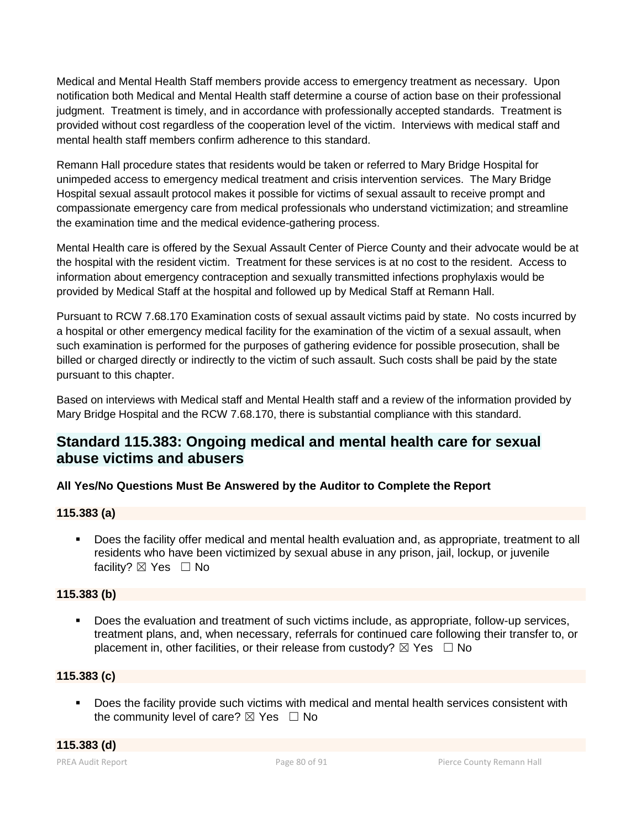Medical and Mental Health Staff members provide access to emergency treatment as necessary. Upon notification both Medical and Mental Health staff determine a course of action base on their professional iudgment. Treatment is timely, and in accordance with professionally accepted standards. Treatment is provided without cost regardless of the cooperation level of the victim. Interviews with medical staff and mental health staff members confirm adherence to this standard.

Remann Hall procedure states that residents would be taken or referred to Mary Bridge Hospital for unimpeded access to emergency medical treatment and crisis intervention services. The Mary Bridge Hospital sexual assault protocol makes it possible for victims of sexual assault to receive prompt and compassionate emergency care from medical professionals who understand victimization; and streamline the examination time and the medical evidence-gathering process.

Mental Health care is offered by the Sexual Assault Center of Pierce County and their advocate would be at the hospital with the resident victim. Treatment for these services is at no cost to the resident. Access to information about emergency contraception and sexually transmitted infections prophylaxis would be provided by Medical Staff at the hospital and followed up by Medical Staff at Remann Hall.

Pursuant to RCW 7.68.170 Examination costs of sexual assault victims paid by state. No costs incurred by a hospital or other emergency medical facility for the examination of the victim of a sexual assault, when such examination is performed for the purposes of gathering evidence for possible prosecution, shall be billed or charged directly or indirectly to the victim of such assault. Such costs shall be paid by the state pursuant to this chapter.

Based on interviews with Medical staff and Mental Health staff and a review of the information provided by Mary Bridge Hospital and the RCW 7.68.170, there is substantial compliance with this standard.

# **Standard 115.383: Ongoing medical and mental health care for sexual abuse victims and abusers**

# **All Yes/No Questions Must Be Answered by the Auditor to Complete the Report**

# **115.383 (a)**

 Does the facility offer medical and mental health evaluation and, as appropriate, treatment to all residents who have been victimized by sexual abuse in any prison, jail, lockup, or juvenile facility? ⊠ Yes □ No

# **115.383 (b)**

 Does the evaluation and treatment of such victims include, as appropriate, follow-up services, treatment plans, and, when necessary, referrals for continued care following their transfer to, or placement in, other facilities, or their release from custody?  $\boxtimes$  Yes  $\Box$  No

# **115.383 (c)**

Does the facility provide such victims with medical and mental health services consistent with the community level of care?  $\boxtimes$  Yes  $\Box$  No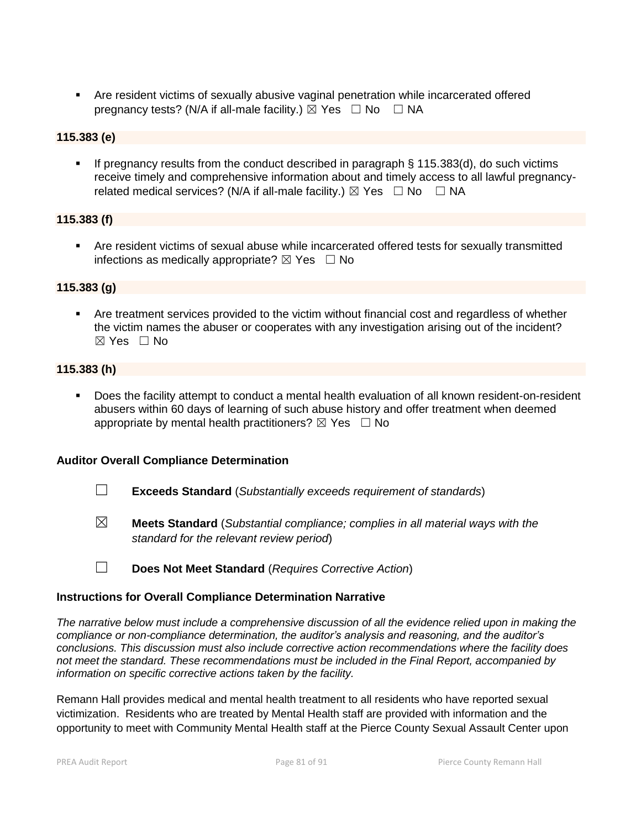Are resident victims of sexually abusive vaginal penetration while incarcerated offered pregnancy tests? (N/A if all-male facility.)  $\boxtimes$  Yes  $\Box$  No  $\Box$  NA

# **115.383 (e)**

 If pregnancy results from the conduct described in paragraph § 115.383(d), do such victims receive timely and comprehensive information about and timely access to all lawful pregnancyrelated medical services? (N/A if all-male facility.)  $\boxtimes$  Yes  $\Box$  No  $\Box$  NA

# **115.383 (f)**

 Are resident victims of sexual abuse while incarcerated offered tests for sexually transmitted infections as medically appropriate?  $\boxtimes$  Yes  $\Box$  No

# **115.383 (g)**

 Are treatment services provided to the victim without financial cost and regardless of whether the victim names the abuser or cooperates with any investigation arising out of the incident? ☒ Yes ☐ No

### **115.383 (h)**

 Does the facility attempt to conduct a mental health evaluation of all known resident-on-resident abusers within 60 days of learning of such abuse history and offer treatment when deemed appropriate by mental health practitioners?  $\boxtimes$  Yes  $\Box$  No

# **Auditor Overall Compliance Determination**

- ☐ **Exceeds Standard** (*Substantially exceeds requirement of standards*)
- ☒ **Meets Standard** (*Substantial compliance; complies in all material ways with the standard for the relevant review period*)

☐ **Does Not Meet Standard** (*Requires Corrective Action*)

#### **Instructions for Overall Compliance Determination Narrative**

*The narrative below must include a comprehensive discussion of all the evidence relied upon in making the compliance or non-compliance determination, the auditor's analysis and reasoning, and the auditor's conclusions. This discussion must also include corrective action recommendations where the facility does not meet the standard. These recommendations must be included in the Final Report, accompanied by information on specific corrective actions taken by the facility.*

Remann Hall provides medical and mental health treatment to all residents who have reported sexual victimization. Residents who are treated by Mental Health staff are provided with information and the opportunity to meet with Community Mental Health staff at the Pierce County Sexual Assault Center upon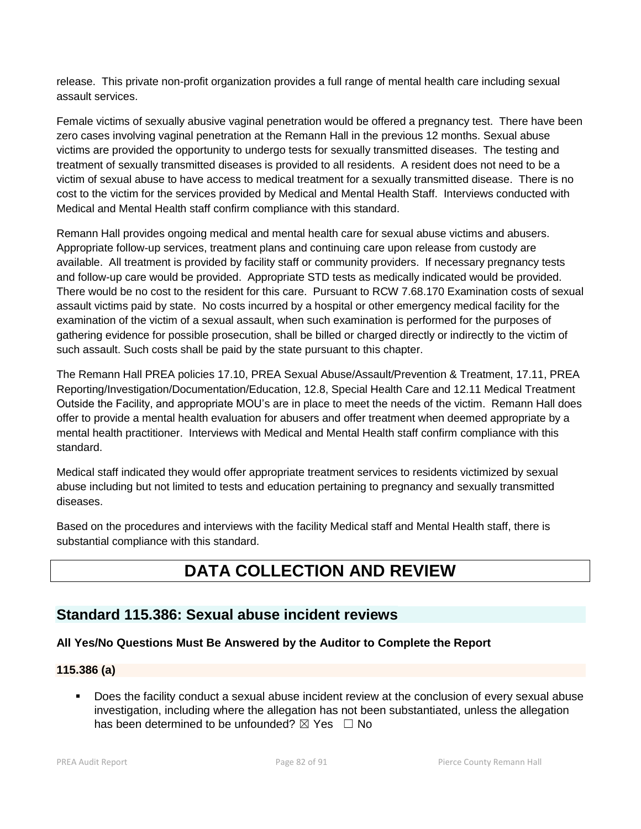release. This private non-profit organization provides a full range of mental health care including sexual assault services.

Female victims of sexually abusive vaginal penetration would be offered a pregnancy test. There have been zero cases involving vaginal penetration at the Remann Hall in the previous 12 months. Sexual abuse victims are provided the opportunity to undergo tests for sexually transmitted diseases. The testing and treatment of sexually transmitted diseases is provided to all residents. A resident does not need to be a victim of sexual abuse to have access to medical treatment for a sexually transmitted disease. There is no cost to the victim for the services provided by Medical and Mental Health Staff. Interviews conducted with Medical and Mental Health staff confirm compliance with this standard.

Remann Hall provides ongoing medical and mental health care for sexual abuse victims and abusers. Appropriate follow-up services, treatment plans and continuing care upon release from custody are available. All treatment is provided by facility staff or community providers. If necessary pregnancy tests and follow-up care would be provided. Appropriate STD tests as medically indicated would be provided. There would be no cost to the resident for this care. Pursuant to RCW 7.68.170 Examination costs of sexual assault victims paid by state. No costs incurred by a hospital or other emergency medical facility for the examination of the victim of a sexual assault, when such examination is performed for the purposes of gathering evidence for possible prosecution, shall be billed or charged directly or indirectly to the victim of such assault. Such costs shall be paid by the state pursuant to this chapter.

The Remann Hall PREA policies 17.10, PREA Sexual Abuse/Assault/Prevention & Treatment, 17.11, PREA Reporting/Investigation/Documentation/Education, 12.8, Special Health Care and 12.11 Medical Treatment Outside the Facility, and appropriate MOU's are in place to meet the needs of the victim. Remann Hall does offer to provide a mental health evaluation for abusers and offer treatment when deemed appropriate by a mental health practitioner. Interviews with Medical and Mental Health staff confirm compliance with this standard.

Medical staff indicated they would offer appropriate treatment services to residents victimized by sexual abuse including but not limited to tests and education pertaining to pregnancy and sexually transmitted diseases.

Based on the procedures and interviews with the facility Medical staff and Mental Health staff, there is substantial compliance with this standard.

# **DATA COLLECTION AND REVIEW**

# **Standard 115.386: Sexual abuse incident reviews**

# **All Yes/No Questions Must Be Answered by the Auditor to Complete the Report**

# **115.386 (a)**

 Does the facility conduct a sexual abuse incident review at the conclusion of every sexual abuse investigation, including where the allegation has not been substantiated, unless the allegation has been determined to be unfounded?  $\boxtimes$  Yes  $\Box$  No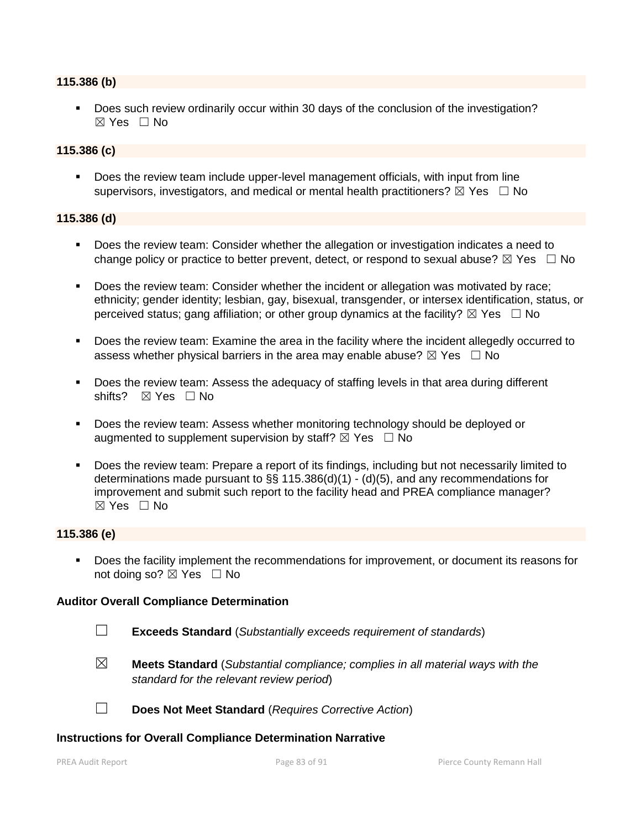#### **115.386 (b)**

Does such review ordinarily occur within 30 days of the conclusion of the investigation?  $\boxtimes$  Yes  $\Box$  No

#### **115.386 (c)**

 Does the review team include upper-level management officials, with input from line supervisors, investigators, and medical or mental health practitioners?  $\boxtimes$  Yes  $\Box$  No

#### **115.386 (d)**

- Does the review team: Consider whether the allegation or investigation indicates a need to change policy or practice to better prevent, detect, or respond to sexual abuse?  $\boxtimes$  Yes  $\Box$  No
- Does the review team: Consider whether the incident or allegation was motivated by race; ethnicity; gender identity; lesbian, gay, bisexual, transgender, or intersex identification, status, or perceived status; gang affiliation; or other group dynamics at the facility?  $\boxtimes$  Yes  $\Box$  No
- Does the review team: Examine the area in the facility where the incident allegedly occurred to assess whether physical barriers in the area may enable abuse?  $\boxtimes$  Yes  $\Box$  No
- Does the review team: Assess the adequacy of staffing levels in that area during different shifts? ⊠ Yes □ No
- **Does the review team: Assess whether monitoring technology should be deployed or** augmented to supplement supervision by staff?  $\boxtimes$  Yes  $\Box$  No
- Does the review team: Prepare a report of its findings, including but not necessarily limited to determinations made pursuant to §§ 115.386(d)(1) - (d)(5), and any recommendations for improvement and submit such report to the facility head and PREA compliance manager?  $\boxtimes$  Yes  $\Box$  No

#### **115.386 (e)**

 Does the facility implement the recommendations for improvement, or document its reasons for not doing so?  $\boxtimes$  Yes  $\Box$  No

#### **Auditor Overall Compliance Determination**

- ☐ **Exceeds Standard** (*Substantially exceeds requirement of standards*)
- ☒ **Meets Standard** (*Substantial compliance; complies in all material ways with the standard for the relevant review period*)

☐ **Does Not Meet Standard** (*Requires Corrective Action*)

#### **Instructions for Overall Compliance Determination Narrative**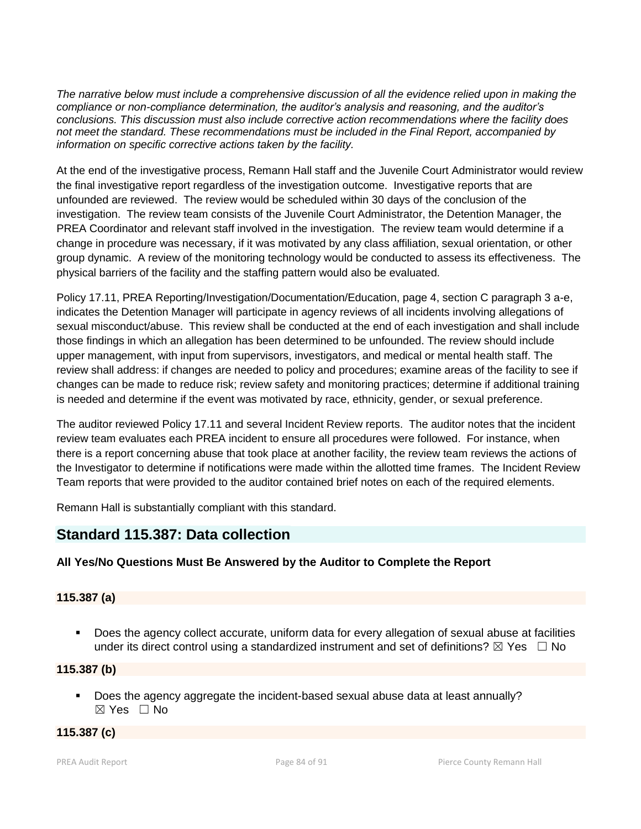*The narrative below must include a comprehensive discussion of all the evidence relied upon in making the compliance or non-compliance determination, the auditor's analysis and reasoning, and the auditor's conclusions. This discussion must also include corrective action recommendations where the facility does not meet the standard. These recommendations must be included in the Final Report, accompanied by information on specific corrective actions taken by the facility.*

At the end of the investigative process, Remann Hall staff and the Juvenile Court Administrator would review the final investigative report regardless of the investigation outcome. Investigative reports that are unfounded are reviewed. The review would be scheduled within 30 days of the conclusion of the investigation. The review team consists of the Juvenile Court Administrator, the Detention Manager, the PREA Coordinator and relevant staff involved in the investigation. The review team would determine if a change in procedure was necessary, if it was motivated by any class affiliation, sexual orientation, or other group dynamic. A review of the monitoring technology would be conducted to assess its effectiveness. The physical barriers of the facility and the staffing pattern would also be evaluated.

Policy 17.11, PREA Reporting/Investigation/Documentation/Education, page 4, section C paragraph 3 a-e, indicates the Detention Manager will participate in agency reviews of all incidents involving allegations of sexual misconduct/abuse. This review shall be conducted at the end of each investigation and shall include those findings in which an allegation has been determined to be unfounded. The review should include upper management, with input from supervisors, investigators, and medical or mental health staff. The review shall address: if changes are needed to policy and procedures; examine areas of the facility to see if changes can be made to reduce risk; review safety and monitoring practices; determine if additional training is needed and determine if the event was motivated by race, ethnicity, gender, or sexual preference.

The auditor reviewed Policy 17.11 and several Incident Review reports. The auditor notes that the incident review team evaluates each PREA incident to ensure all procedures were followed. For instance, when there is a report concerning abuse that took place at another facility, the review team reviews the actions of the Investigator to determine if notifications were made within the allotted time frames. The Incident Review Team reports that were provided to the auditor contained brief notes on each of the required elements.

Remann Hall is substantially compliant with this standard.

# **Standard 115.387: Data collection**

# **All Yes/No Questions Must Be Answered by the Auditor to Complete the Report**

# **115.387 (a)**

 Does the agency collect accurate, uniform data for every allegation of sexual abuse at facilities under its direct control using a standardized instrument and set of definitions?  $\boxtimes$  Yes  $\Box$  No

# **115.387 (b)**

Does the agency aggregate the incident-based sexual abuse data at least annually? ☒ Yes ☐ No

# **115.387 (c)**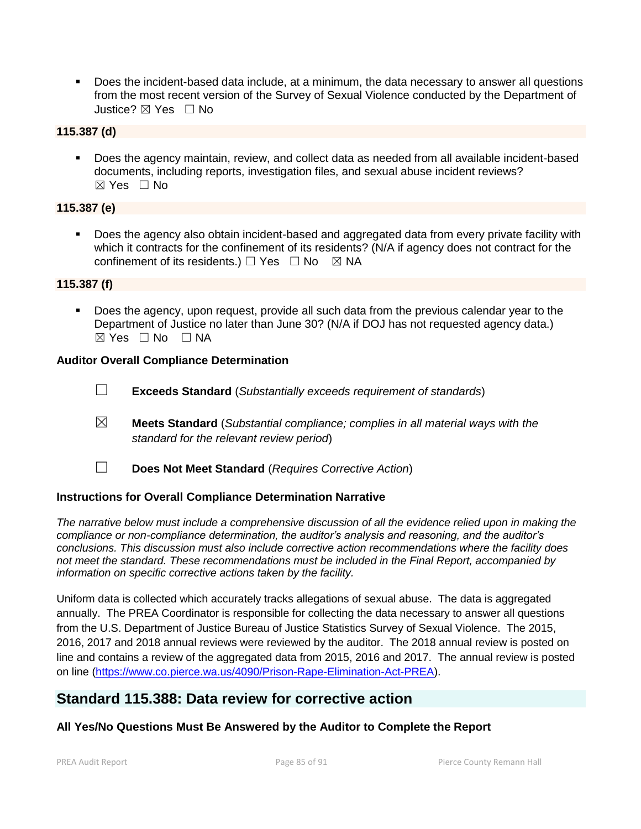Does the incident-based data include, at a minimum, the data necessary to answer all questions from the most recent version of the Survey of Sexual Violence conducted by the Department of Justice? ☒ Yes ☐ No

# **115.387 (d)**

 Does the agency maintain, review, and collect data as needed from all available incident-based documents, including reports, investigation files, and sexual abuse incident reviews? ☒ Yes ☐ No

# **115.387 (e)**

 Does the agency also obtain incident-based and aggregated data from every private facility with which it contracts for the confinement of its residents? (N/A if agency does not contract for the confinement of its residents.)  $\Box$  Yes  $\Box$  No  $\boxtimes$  NA

#### **115.387 (f)**

**Does the agency, upon request, provide all such data from the previous calendar year to the** Department of Justice no later than June 30? (N/A if DOJ has not requested agency data.)  $⊠ Yes ⊡ No ⊡ NA$ 

#### **Auditor Overall Compliance Determination**

- ☐ **Exceeds Standard** (*Substantially exceeds requirement of standards*)
- ☒ **Meets Standard** (*Substantial compliance; complies in all material ways with the standard for the relevant review period*)
- 
- ☐ **Does Not Meet Standard** (*Requires Corrective Action*)

#### **Instructions for Overall Compliance Determination Narrative**

*The narrative below must include a comprehensive discussion of all the evidence relied upon in making the compliance or non-compliance determination, the auditor's analysis and reasoning, and the auditor's conclusions. This discussion must also include corrective action recommendations where the facility does not meet the standard. These recommendations must be included in the Final Report, accompanied by information on specific corrective actions taken by the facility.*

Uniform data is collected which accurately tracks allegations of sexual abuse. The data is aggregated annually. The PREA Coordinator is responsible for collecting the data necessary to answer all questions from the U.S. Department of Justice Bureau of Justice Statistics Survey of Sexual Violence. The 2015, 2016, 2017 and 2018 annual reviews were reviewed by the auditor. The 2018 annual review is posted on line and contains a review of the aggregated data from 2015, 2016 and 2017. The annual review is posted on line [\(https://www.co.pierce.wa.us/4090/Prison-Rape-Elimination-Act-PREA\)](https://www.co.pierce.wa.us/4090/Prison-Rape-Elimination-Act-PREA).

# **Standard 115.388: Data review for corrective action**

#### **All Yes/No Questions Must Be Answered by the Auditor to Complete the Report**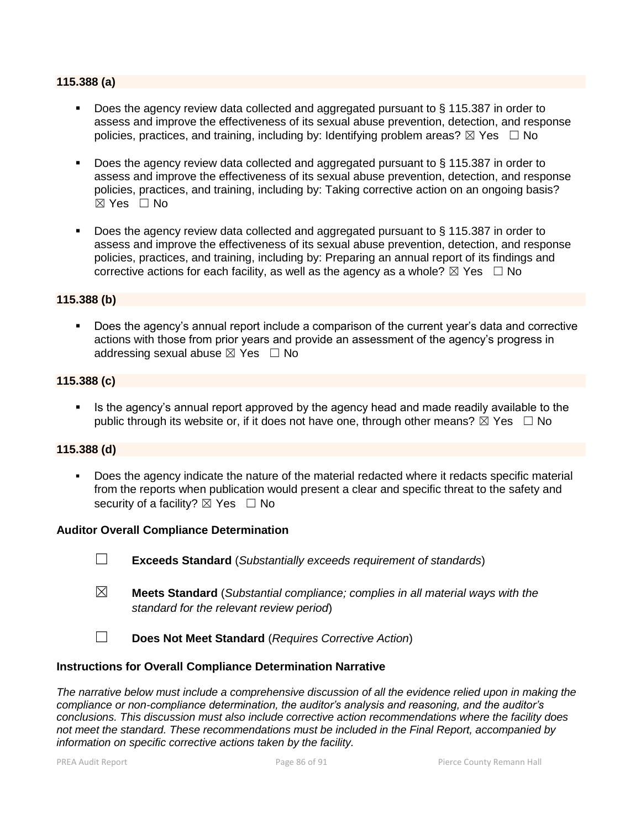#### **115.388 (a)**

- Does the agency review data collected and aggregated pursuant to § 115.387 in order to assess and improve the effectiveness of its sexual abuse prevention, detection, and response policies, practices, and training, including by: Identifying problem areas?  $\boxtimes$  Yes  $\Box$  No
- Does the agency review data collected and aggregated pursuant to § 115.387 in order to assess and improve the effectiveness of its sexual abuse prevention, detection, and response policies, practices, and training, including by: Taking corrective action on an ongoing basis?  $\boxtimes$  Yes  $\Box$  No
- Does the agency review data collected and aggregated pursuant to § 115.387 in order to assess and improve the effectiveness of its sexual abuse prevention, detection, and response policies, practices, and training, including by: Preparing an annual report of its findings and corrective actions for each facility, as well as the agency as a whole?  $\boxtimes$  Yes  $\Box$  No

#### **115.388 (b)**

**Does the agency's annual report include a comparison of the current year's data and corrective** actions with those from prior years and provide an assessment of the agency's progress in addressing sexual abuse  $\boxtimes$  Yes  $\Box$  No

### **115.388 (c)**

 Is the agency's annual report approved by the agency head and made readily available to the public through its website or, if it does not have one, through other means?  $\boxtimes$  Yes  $\Box$  No

#### **115.388 (d)**

 Does the agency indicate the nature of the material redacted where it redacts specific material from the reports when publication would present a clear and specific threat to the safety and security of a facility?  $\boxtimes$  Yes  $\Box$  No

#### **Auditor Overall Compliance Determination**

- ☐ **Exceeds Standard** (*Substantially exceeds requirement of standards*)
- ☒ **Meets Standard** (*Substantial compliance; complies in all material ways with the standard for the relevant review period*)
- ☐ **Does Not Meet Standard** (*Requires Corrective Action*)

#### **Instructions for Overall Compliance Determination Narrative**

*The narrative below must include a comprehensive discussion of all the evidence relied upon in making the compliance or non-compliance determination, the auditor's analysis and reasoning, and the auditor's conclusions. This discussion must also include corrective action recommendations where the facility does not meet the standard. These recommendations must be included in the Final Report, accompanied by information on specific corrective actions taken by the facility.*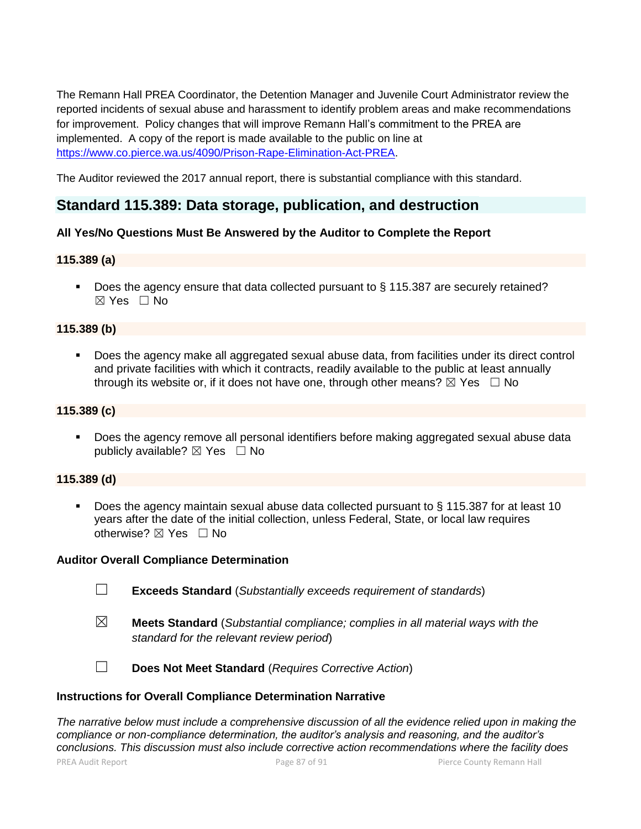The Remann Hall PREA Coordinator, the Detention Manager and Juvenile Court Administrator review the reported incidents of sexual abuse and harassment to identify problem areas and make recommendations for improvement. Policy changes that will improve Remann Hall's commitment to the PREA are implemented. A copy of the report is made available to the public on line at [https://www.co.pierce.wa.us/4090/Prison-Rape-Elimination-Act-PREA.](https://www.co.pierce.wa.us/4090/Prison-Rape-Elimination-Act-PREA)

The Auditor reviewed the 2017 annual report, there is substantial compliance with this standard.

# **Standard 115.389: Data storage, publication, and destruction**

# **All Yes/No Questions Must Be Answered by the Auditor to Complete the Report**

# **115.389 (a)**

■ Does the agency ensure that data collected pursuant to § 115.387 are securely retained? ☒ Yes ☐ No

# **115.389 (b)**

 Does the agency make all aggregated sexual abuse data, from facilities under its direct control and private facilities with which it contracts, readily available to the public at least annually through its website or, if it does not have one, through other means?  $\boxtimes$  Yes  $\Box$  No

#### **115.389 (c)**

Does the agency remove all personal identifiers before making aggregated sexual abuse data publicly available?  $\boxtimes$  Yes  $\Box$  No

#### **115.389 (d)**

 Does the agency maintain sexual abuse data collected pursuant to § 115.387 for at least 10 years after the date of the initial collection, unless Federal, State, or local law requires otherwise? ⊠ Yes □ No

#### **Auditor Overall Compliance Determination**

- ☐ **Exceeds Standard** (*Substantially exceeds requirement of standards*)
- ☒ **Meets Standard** (*Substantial compliance; complies in all material ways with the standard for the relevant review period*)

☐ **Does Not Meet Standard** (*Requires Corrective Action*)

#### **Instructions for Overall Compliance Determination Narrative**

PREA Audit Report Page 87 of 91 Pierce County Remann Hall *The narrative below must include a comprehensive discussion of all the evidence relied upon in making the compliance or non-compliance determination, the auditor's analysis and reasoning, and the auditor's conclusions. This discussion must also include corrective action recommendations where the facility does*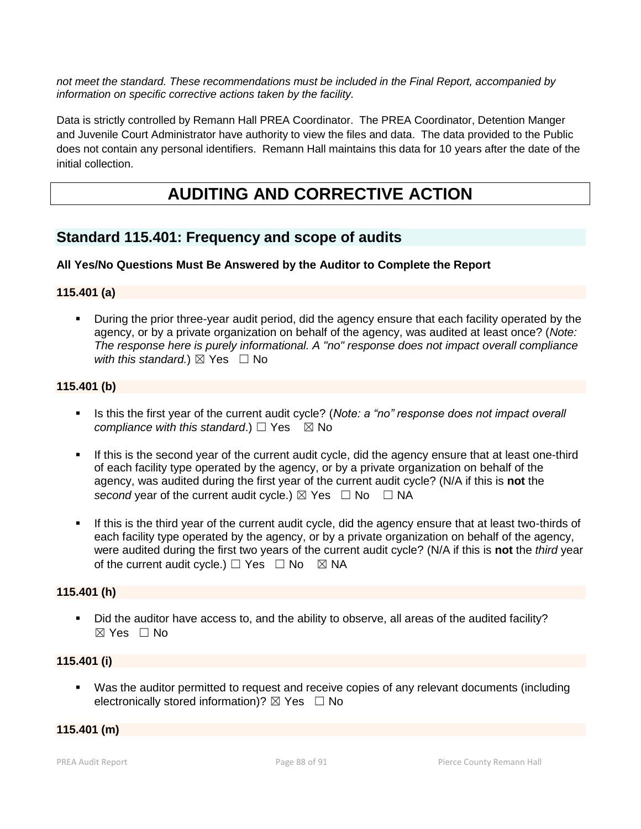*not meet the standard. These recommendations must be included in the Final Report, accompanied by information on specific corrective actions taken by the facility.*

Data is strictly controlled by Remann Hall PREA Coordinator. The PREA Coordinator, Detention Manger and Juvenile Court Administrator have authority to view the files and data. The data provided to the Public does not contain any personal identifiers. Remann Hall maintains this data for 10 years after the date of the initial collection.

# **AUDITING AND CORRECTIVE ACTION**

# **Standard 115.401: Frequency and scope of audits**

# **All Yes/No Questions Must Be Answered by the Auditor to Complete the Report**

# **115.401 (a)**

 During the prior three-year audit period, did the agency ensure that each facility operated by the agency, or by a private organization on behalf of the agency, was audited at least once? (*Note: The response here is purely informational. A "no" response does not impact overall compliance with this standard.*)  $\boxtimes$  Yes  $\Box$  No

# **115.401 (b)**

- Is this the first year of the current audit cycle? (*Note: a "no" response does not impact overall compliance with this standard.*) □ Yes  $\boxtimes$  No
- If this is the second year of the current audit cycle, did the agency ensure that at least one-third of each facility type operated by the agency, or by a private organization on behalf of the agency, was audited during the first year of the current audit cycle? (N/A if this is **not** the *second* year of the current audit cycle.)  $\boxtimes$  Yes  $\Box$  No  $\Box$  NA
- If this is the third year of the current audit cycle, did the agency ensure that at least two-thirds of each facility type operated by the agency, or by a private organization on behalf of the agency, were audited during the first two years of the current audit cycle? (N/A if this is **not** the *third* year of the current audit cycle.)  $\Box$  Yes  $\Box$  No  $\boxtimes$  NA

# **115.401 (h)**

 Did the auditor have access to, and the ability to observe, all areas of the audited facility?  $\boxtimes$  Yes  $\Box$  No

# **115.401 (i)**

 Was the auditor permitted to request and receive copies of any relevant documents (including electronically stored information)?  $\boxtimes$  Yes  $\Box$  No

#### **115.401 (m)**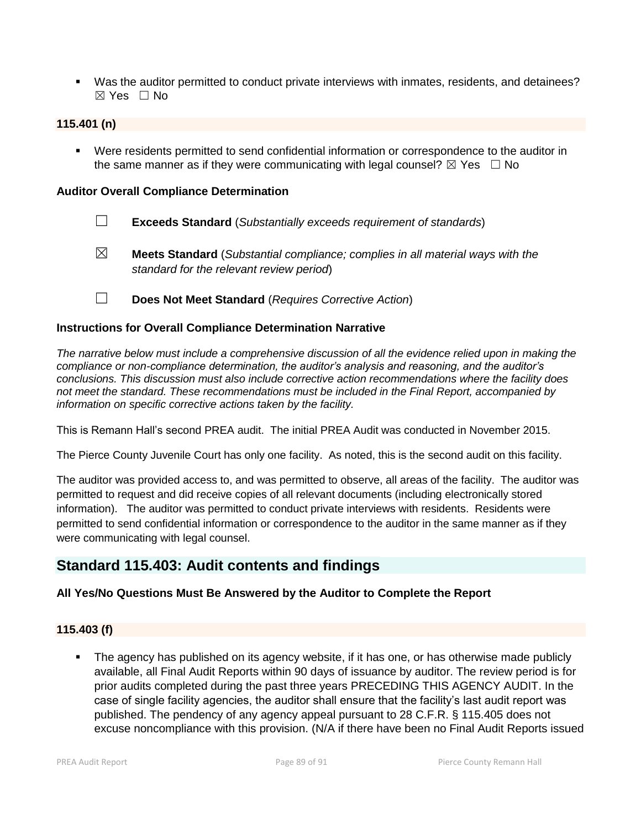Was the auditor permitted to conduct private interviews with inmates, residents, and detainees? ☒ Yes ☐ No

### **115.401 (n)**

 Were residents permitted to send confidential information or correspondence to the auditor in the same manner as if they were communicating with legal counsel?  $\boxtimes$  Yes  $\Box$  No

#### **Auditor Overall Compliance Determination**

- ☐ **Exceeds Standard** (*Substantially exceeds requirement of standards*)
- ☒ **Meets Standard** (*Substantial compliance; complies in all material ways with the standard for the relevant review period*)
- ☐ **Does Not Meet Standard** (*Requires Corrective Action*)

### **Instructions for Overall Compliance Determination Narrative**

*The narrative below must include a comprehensive discussion of all the evidence relied upon in making the compliance or non-compliance determination, the auditor's analysis and reasoning, and the auditor's conclusions. This discussion must also include corrective action recommendations where the facility does not meet the standard. These recommendations must be included in the Final Report, accompanied by information on specific corrective actions taken by the facility.*

This is Remann Hall's second PREA audit. The initial PREA Audit was conducted in November 2015.

The Pierce County Juvenile Court has only one facility. As noted, this is the second audit on this facility.

The auditor was provided access to, and was permitted to observe, all areas of the facility. The auditor was permitted to request and did receive copies of all relevant documents (including electronically stored information). The auditor was permitted to conduct private interviews with residents. Residents were permitted to send confidential information or correspondence to the auditor in the same manner as if they were communicating with legal counsel.

# **Standard 115.403: Audit contents and findings**

# **All Yes/No Questions Must Be Answered by the Auditor to Complete the Report**

#### **115.403 (f)**

 The agency has published on its agency website, if it has one, or has otherwise made publicly available, all Final Audit Reports within 90 days of issuance by auditor. The review period is for prior audits completed during the past three years PRECEDING THIS AGENCY AUDIT. In the case of single facility agencies, the auditor shall ensure that the facility's last audit report was published. The pendency of any agency appeal pursuant to 28 C.F.R. § 115.405 does not excuse noncompliance with this provision. (N/A if there have been no Final Audit Reports issued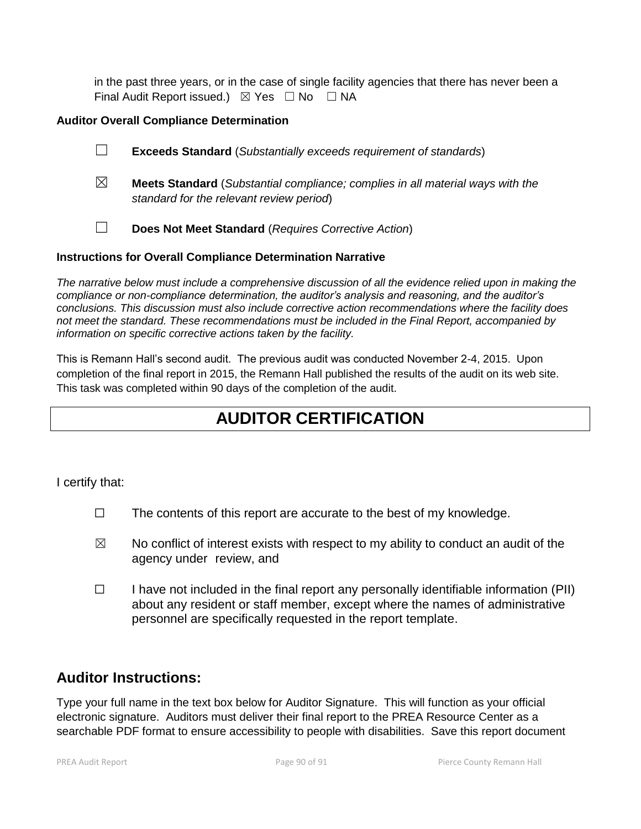in the past three years, or in the case of single facility agencies that there has never been a Final Audit Report issued.)  $\boxtimes$  Yes  $\Box$  No  $\Box$  NA

# **Auditor Overall Compliance Determination**

- ☐ **Exceeds Standard** (*Substantially exceeds requirement of standards*)
- ☒ **Meets Standard** (*Substantial compliance; complies in all material ways with the standard for the relevant review period*)
- ☐ **Does Not Meet Standard** (*Requires Corrective Action*)

# **Instructions for Overall Compliance Determination Narrative**

*The narrative below must include a comprehensive discussion of all the evidence relied upon in making the compliance or non-compliance determination, the auditor's analysis and reasoning, and the auditor's conclusions. This discussion must also include corrective action recommendations where the facility does not meet the standard. These recommendations must be included in the Final Report, accompanied by information on specific corrective actions taken by the facility.*

This is Remann Hall's second audit. The previous audit was conducted November 2-4, 2015. Upon completion of the final report in 2015, the Remann Hall published the results of the audit on its web site. This task was completed within 90 days of the completion of the audit.

# **AUDITOR CERTIFICATION**

I certify that:

- $\Box$  The contents of this report are accurate to the best of my knowledge.
- $\boxtimes$  No conflict of interest exists with respect to my ability to conduct an audit of the agency under review, and
- $\Box$  I have not included in the final report any personally identifiable information (PII) about any resident or staff member, except where the names of administrative personnel are specifically requested in the report template.

# **Auditor Instructions:**

Type your full name in the text box below for Auditor Signature. This will function as your official electronic signature. Auditors must deliver their final report to the PREA Resource Center as a searchable PDF format to ensure accessibility to people with disabilities. Save this report document